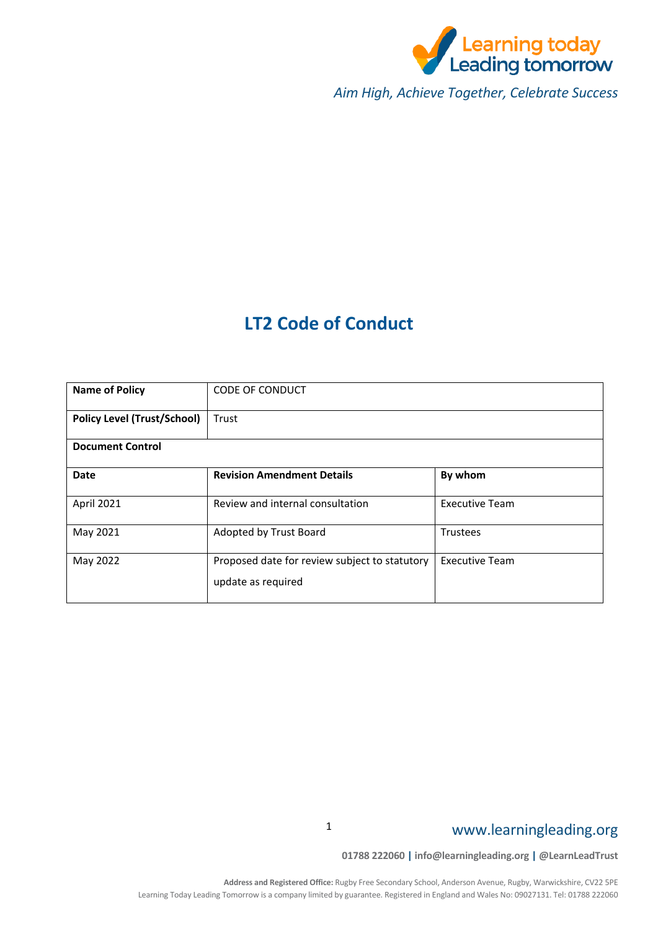

*Aim High, Achieve Together, Celebrate Success*

### **LT2 Code of Conduct**

| <b>Name of Policy</b>              | <b>CODE OF CONDUCT</b>                                              |                       |
|------------------------------------|---------------------------------------------------------------------|-----------------------|
| <b>Policy Level (Trust/School)</b> | Trust                                                               |                       |
| <b>Document Control</b>            |                                                                     |                       |
| Date                               | <b>Revision Amendment Details</b>                                   | By whom               |
| April 2021                         | Review and internal consultation                                    | <b>Executive Team</b> |
| May 2021                           | Adopted by Trust Board                                              | Trustees              |
| May 2022                           | Proposed date for review subject to statutory<br>update as required | <b>Executive Team</b> |

### www.learningleading.org

**01788 222060 | info@learningleading.org | @LearnLeadTrust**

1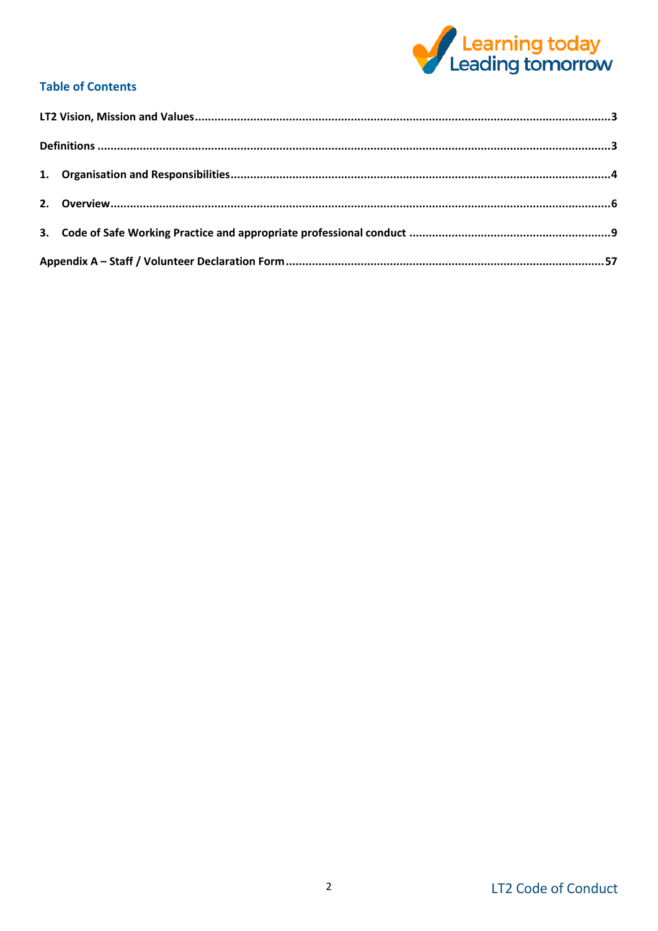

### **Table of Contents**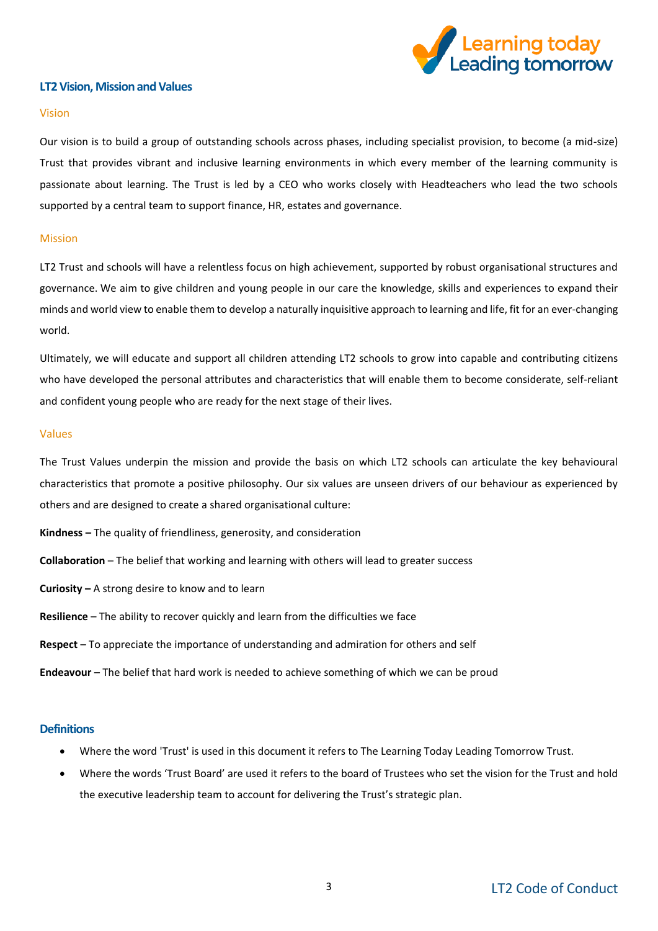

#### <span id="page-2-0"></span>**LT2 Vision, Mission and Values**

#### Vision

Our vision is to build a group of outstanding schools across phases, including specialist provision, to become (a mid-size) Trust that provides vibrant and inclusive learning environments in which every member of the learning community is passionate about learning. The Trust is led by a CEO who works closely with Headteachers who lead the two schools supported by a central team to support finance, HR, estates and governance.

#### Mission

LT2 Trust and schools will have a relentless focus on high achievement, supported by robust organisational structures and governance. We aim to give children and young people in our care the knowledge, skills and experiences to expand their minds and world view to enable them to develop a naturally inquisitive approach to learning and life, fit for an ever-changing world.

Ultimately, we will educate and support all children attending LT2 schools to grow into capable and contributing citizens who have developed the personal attributes and characteristics that will enable them to become considerate, self-reliant and confident young people who are ready for the next stage of their lives.

#### Values

The Trust Values underpin the mission and provide the basis on which LT2 schools can articulate the key behavioural characteristics that promote a positive philosophy. Our six values are unseen drivers of our behaviour as experienced by others and are designed to create a shared organisational culture:

**Kindness –** The quality of friendliness, generosity, and consideration

**Collaboration** – The belief that working and learning with others will lead to greater success

**Curiosity –** A strong desire to know and to learn

**Resilience** – The ability to recover quickly and learn from the difficulties we face

**Respect** – To appreciate the importance of understanding and admiration for others and self

**Endeavour** – The belief that hard work is needed to achieve something of which we can be proud

#### <span id="page-2-1"></span>**Definitions**

- Where the word 'Trust' is used in this document it refers to The Learning Today Leading Tomorrow Trust.
- Where the words 'Trust Board' are used it refers to the board of Trustees who set the vision for the Trust and hold the executive leadership team to account for delivering the Trust's strategic plan.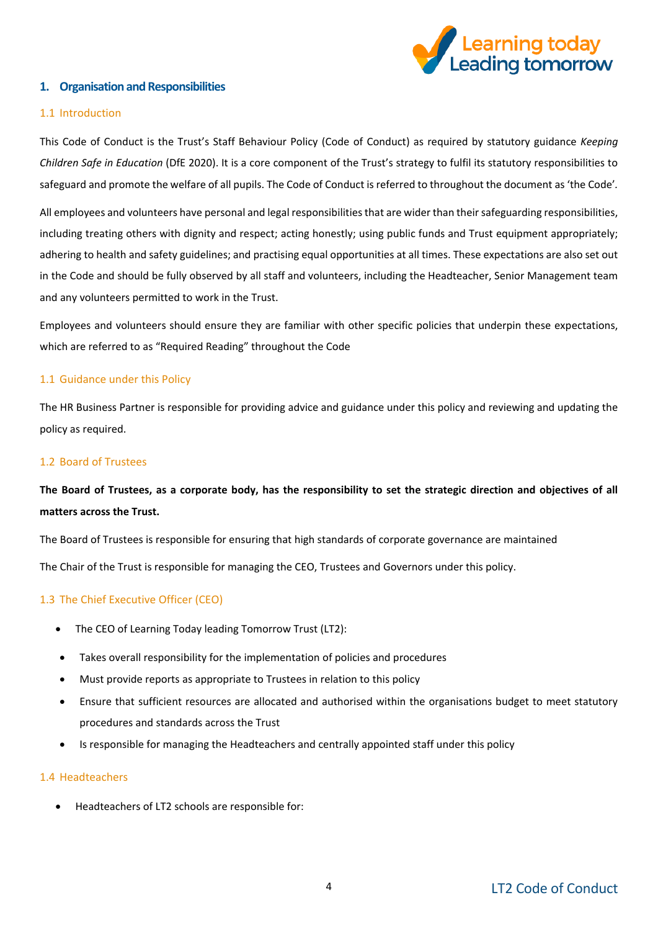

#### <span id="page-3-0"></span>**1. Organisation and Responsibilities**

#### 1.1 Introduction

This Code of Conduct is the Trust's Staff Behaviour Policy (Code of Conduct) as required by statutory guidance *Keeping Children Safe in Education* (DfE 2020). It is a core component of the Trust's strategy to fulfil its statutory responsibilities to safeguard and promote the welfare of all pupils. The Code of Conduct is referred to throughout the document as 'the Code'*.* 

All employees and volunteers have personal and legal responsibilities that are wider than their safeguarding responsibilities, including treating others with dignity and respect; acting honestly; using public funds and Trust equipment appropriately; adhering to health and safety guidelines; and practising equal opportunities at all times. These expectations are also set out in the Code and should be fully observed by all staff and volunteers, including the Headteacher, Senior Management team and any volunteers permitted to work in the Trust.

Employees and volunteers should ensure they are familiar with other specific policies that underpin these expectations, which are referred to as "Required Reading" throughout the Code

#### 1.1 Guidance under this Policy

The HR Business Partner is responsible for providing advice and guidance under this policy and reviewing and updating the policy as required.

#### 1.2 Board of Trustees

### **The Board of Trustees, as a corporate body, has the responsibility to set the strategic direction and objectives of all matters across the Trust.**

The Board of Trustees is responsible for ensuring that high standards of corporate governance are maintained

The Chair of the Trust is responsible for managing the CEO, Trustees and Governors under this policy.

#### 1.3 The Chief Executive Officer (CEO)

- The CEO of Learning Today leading Tomorrow Trust (LT2):
- Takes overall responsibility for the implementation of policies and procedures
- Must provide reports as appropriate to Trustees in relation to this policy
- Ensure that sufficient resources are allocated and authorised within the organisations budget to meet statutory procedures and standards across the Trust
- Is responsible for managing the Headteachers and centrally appointed staff under this policy

#### 1.4 Headteachers

• Headteachers of LT2 schools are responsible for: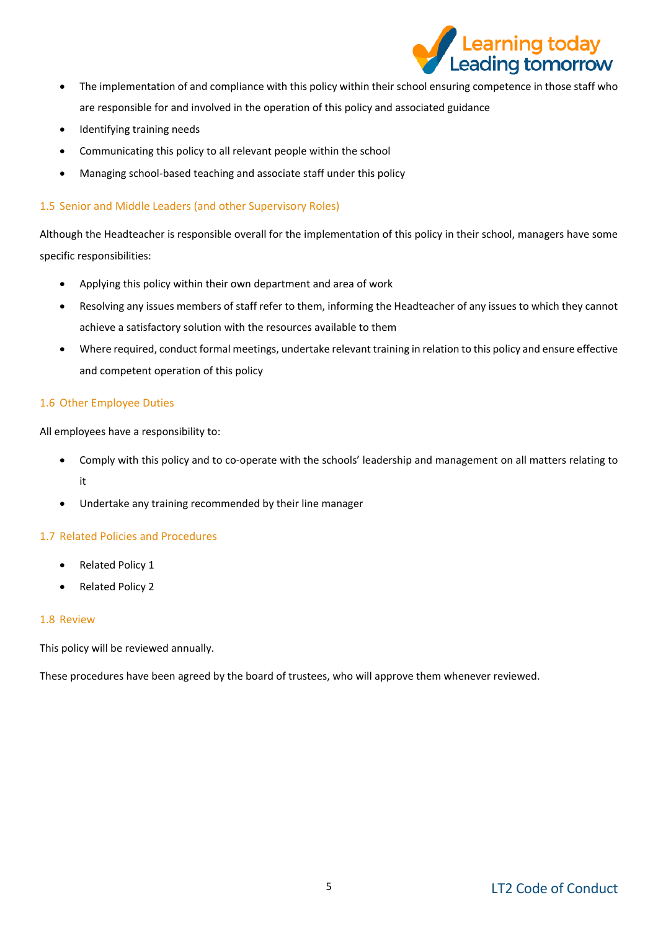

- The implementation of and compliance with this policy within their school ensuring competence in those staff who are responsible for and involved in the operation of this policy and associated guidance
- Identifying training needs
- Communicating this policy to all relevant people within the school
- Managing school-based teaching and associate staff under this policy

#### 1.5 Senior and Middle Leaders (and other Supervisory Roles)

Although the Headteacher is responsible overall for the implementation of this policy in their school, managers have some specific responsibilities:

- Applying this policy within their own department and area of work
- Resolving any issues members of staff refer to them, informing the Headteacher of any issues to which they cannot achieve a satisfactory solution with the resources available to them
- Where required, conduct formal meetings, undertake relevant training in relation to this policy and ensure effective and competent operation of this policy

#### 1.6 Other Employee Duties

All employees have a responsibility to:

- Comply with this policy and to co-operate with the schools' leadership and management on all matters relating to it
- Undertake any training recommended by their line manager

#### 1.7 Related Policies and Procedures

- Related Policy 1
- Related Policy 2

#### 1.8 Review

This policy will be reviewed annually.

These procedures have been agreed by the board of trustees, who will approve them whenever reviewed.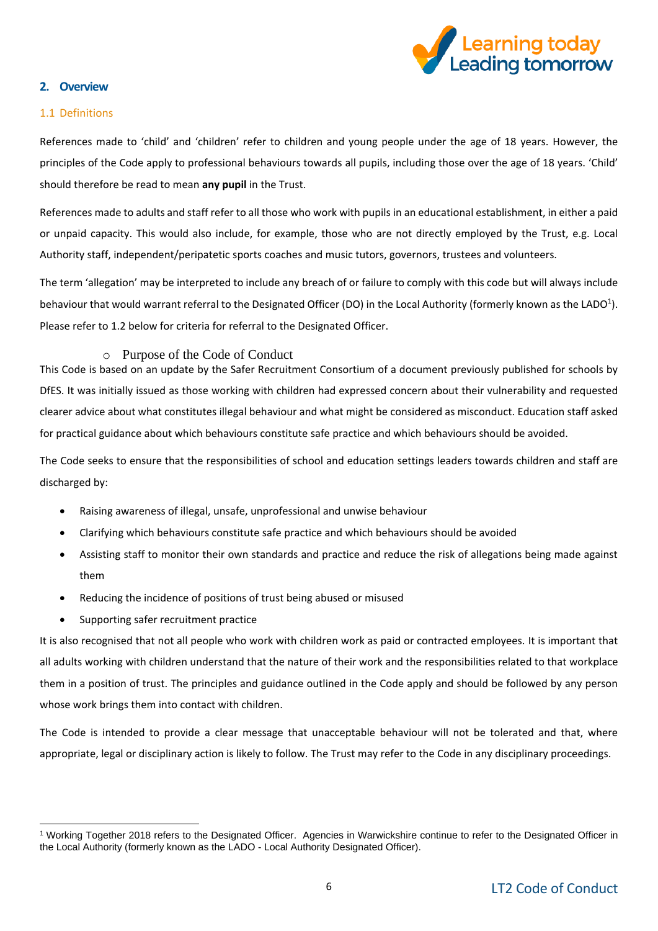

#### <span id="page-5-0"></span>**2. Overview**

#### 1.1 Definitions

References made to 'child' and 'children' refer to children and young people under the age of 18 years. However, the principles of the Code apply to professional behaviours towards all pupils, including those over the age of 18 years. 'Child' should therefore be read to mean **any pupil** in the Trust.

References made to adults and staff refer to all those who work with pupils in an educational establishment, in either a paid or unpaid capacity. This would also include, for example, those who are not directly employed by the Trust, e.g. Local Authority staff, independent/peripatetic sports coaches and music tutors, governors, trustees and volunteers.

The term 'allegation' may be interpreted to include any breach of or failure to comply with this code but will always include behaviour that would warrant referral to the Designated Officer (DO) in the Local Authority (formerly known as the LADO<sup>1</sup>). Please refer to 1.2 below for criteria for referral to the Designated Officer.

#### o Purpose of the Code of Conduct

This Code is based on an update by the Safer Recruitment Consortium of a document previously published for schools by DfES. It was initially issued as those working with children had expressed concern about their vulnerability and requested clearer advice about what constitutes illegal behaviour and what might be considered as misconduct. Education staff asked for practical guidance about which behaviours constitute safe practice and which behaviours should be avoided.

The Code seeks to ensure that the responsibilities of school and education settings leaders towards children and staff are discharged by:

- Raising awareness of illegal, unsafe, unprofessional and unwise behaviour
- Clarifying which behaviours constitute safe practice and which behaviours should be avoided
- Assisting staff to monitor their own standards and practice and reduce the risk of allegations being made against them
- Reducing the incidence of positions of trust being abused or misused
- Supporting safer recruitment practice

-

It is also recognised that not all people who work with children work as paid or contracted employees. It is important that all adults working with children understand that the nature of their work and the responsibilities related to that workplace them in a position of trust. The principles and guidance outlined in the Code apply and should be followed by any person whose work brings them into contact with children.

The Code is intended to provide a clear message that unacceptable behaviour will not be tolerated and that, where appropriate, legal or disciplinary action is likely to follow. The Trust may refer to the Code in any disciplinary proceedings.

<sup>1</sup> Working Together 2018 refers to the Designated Officer. Agencies in Warwickshire continue to refer to the Designated Officer in the Local Authority (formerly known as the LADO - Local Authority Designated Officer).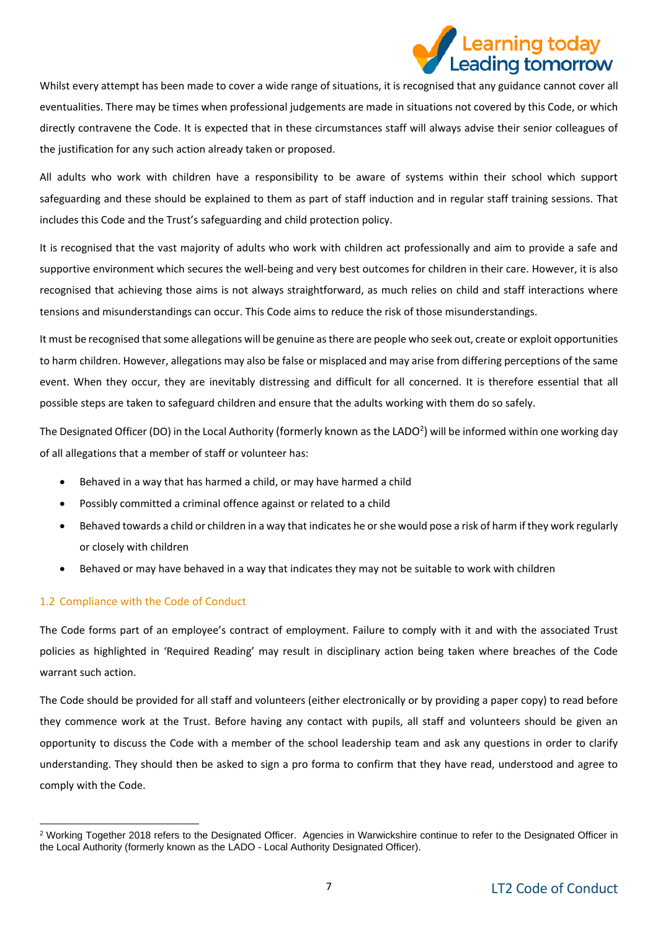# earning today ading tomorrow

Whilst every attempt has been made to cover a wide range of situations, it is recognised that any guidance cannot cover all eventualities. There may be times when professional judgements are made in situations not covered by this Code, or which directly contravene the Code. It is expected that in these circumstances staff will always advise their senior colleagues of the justification for any such action already taken or proposed.

All adults who work with children have a responsibility to be aware of systems within their school which support safeguarding and these should be explained to them as part of staff induction and in regular staff training sessions. That includes this Code and the Trust's safeguarding and child protection policy.

It is recognised that the vast majority of adults who work with children act professionally and aim to provide a safe and supportive environment which secures the well-being and very best outcomes for children in their care. However, it is also recognised that achieving those aims is not always straightforward, as much relies on child and staff interactions where tensions and misunderstandings can occur. This Code aims to reduce the risk of those misunderstandings.

It must be recognised that some allegations will be genuine as there are people who seek out, create or exploit opportunities to harm children. However, allegations may also be false or misplaced and may arise from differing perceptions of the same event. When they occur, they are inevitably distressing and difficult for all concerned. It is therefore essential that all possible steps are taken to safeguard children and ensure that the adults working with them do so safely.

The Designated Officer (DO) in the Local Authority (formerly known as the LADO<sup>2</sup>) will be informed within one working day of all allegations that a member of staff or volunteer has:

- Behaved in a way that has harmed a child, or may have harmed a child
- Possibly committed a criminal offence against or related to a child
- Behaved towards a child or children in a way that indicates he or she would pose a risk of harm if they work regularly or closely with children
- Behaved or may have behaved in a way that indicates they may not be suitable to work with children

#### 1.2 Compliance with the Code of Conduct

The Code forms part of an employee's contract of employment. Failure to comply with it and with the associated Trust policies as highlighted in 'Required Reading' may result in disciplinary action being taken where breaches of the Code warrant such action.

The Code should be provided for all staff and volunteers (either electronically or by providing a paper copy) to read before they commence work at the Trust. Before having any contact with pupils, all staff and volunteers should be given an opportunity to discuss the Code with a member of the school leadership team and ask any questions in order to clarify understanding. They should then be asked to sign a pro forma to confirm that they have read, understood and agree to comply with the Code.

<sup>-</sup><sup>2</sup> Working Together 2018 refers to the Designated Officer. Agencies in Warwickshire continue to refer to the Designated Officer in the Local Authority (formerly known as the LADO - Local Authority Designated Officer).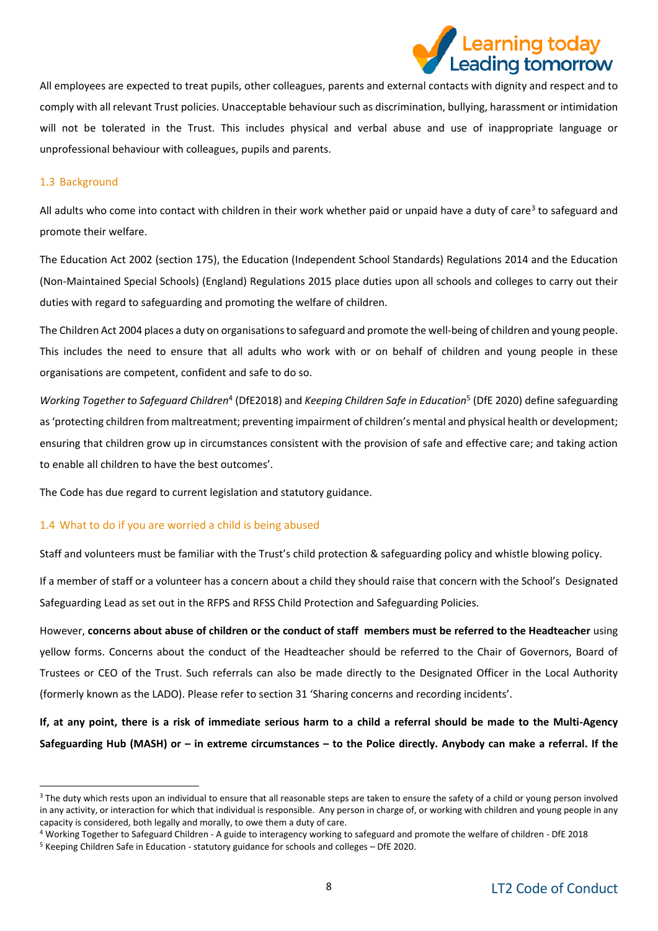# earning today. ading tomorrow

All employees are expected to treat pupils, other colleagues, parents and external contacts with dignity and respect and to comply with all relevant Trust policies. Unacceptable behaviour such as discrimination, bullying, harassment or intimidation will not be tolerated in the Trust. This includes physical and verbal abuse and use of inappropriate language or unprofessional behaviour with colleagues, pupils and parents.

#### 1.3 Background

-

All adults who come into contact with children in their work whether paid or unpaid have a duty of care<sup>3</sup> to safeguard and promote their welfare.

The Education Act 2002 (section 175), the Education (Independent School Standards) Regulations 2014 and the Education (Non-Maintained Special Schools) (England) Regulations 2015 place duties upon all schools and colleges to carry out their duties with regard to safeguarding and promoting the welfare of children.

The Children Act 2004 places a duty on organisations to safeguard and promote the well-being of children and young people. This includes the need to ensure that all adults who work with or on behalf of children and young people in these organisations are competent, confident and safe to do so.

Working Together to Safeguard Children<sup>4</sup> (DfE2018) and *Keeping Children Safe in Education*<sup>5</sup> (DfE 2020) define safeguarding as 'protecting children from maltreatment; preventing impairment of children's mental and physical health or development; ensuring that children grow up in circumstances consistent with the provision of safe and effective care; and taking action to enable all children to have the best outcomes'.

The Code has due regard to current legislation and statutory guidance.

#### 1.4 What to do if you are worried a child is being abused

Staff and volunteers must be familiar with the Trust's child protection & safeguarding policy and whistle blowing policy.

If a member of staff or a volunteer has a concern about a child they should raise that concern with the School's Designated Safeguarding Lead as set out in the RFPS and RFSS Child Protection and Safeguarding Policies.

However, **concerns about abuse of children or the conduct of staff members must be referred to the Headteacher** using yellow forms. Concerns about the conduct of the Headteacher should be referred to the Chair of Governors, Board of Trustees or CEO of the Trust. Such referrals can also be made directly to the Designated Officer in the Local Authority (formerly known as the LADO). Please refer to section 31 'Sharing concerns and recording incidents'.

**If, at any point, there is a risk of immediate serious harm to a child a referral should be made to the Multi-Agency Safeguarding Hub (MASH) or – in extreme circumstances – to the Police directly. Anybody can make a referral. If the** 

<sup>&</sup>lt;sup>3</sup> The duty which rests upon an individual to ensure that all reasonable steps are taken to ensure the safety of a child or young person involved in any activity, or interaction for which that individual is responsible. Any person in charge of, or working with children and young people in any capacity is considered, both legally and morally, to owe them a duty of care.

<sup>4</sup> Working Together to Safeguard Children - A guide to interagency working to safeguard and promote the welfare of children - DfE 2018 <sup>5</sup> Keeping Children Safe in Education - statutory guidance for schools and colleges – DfE 2020.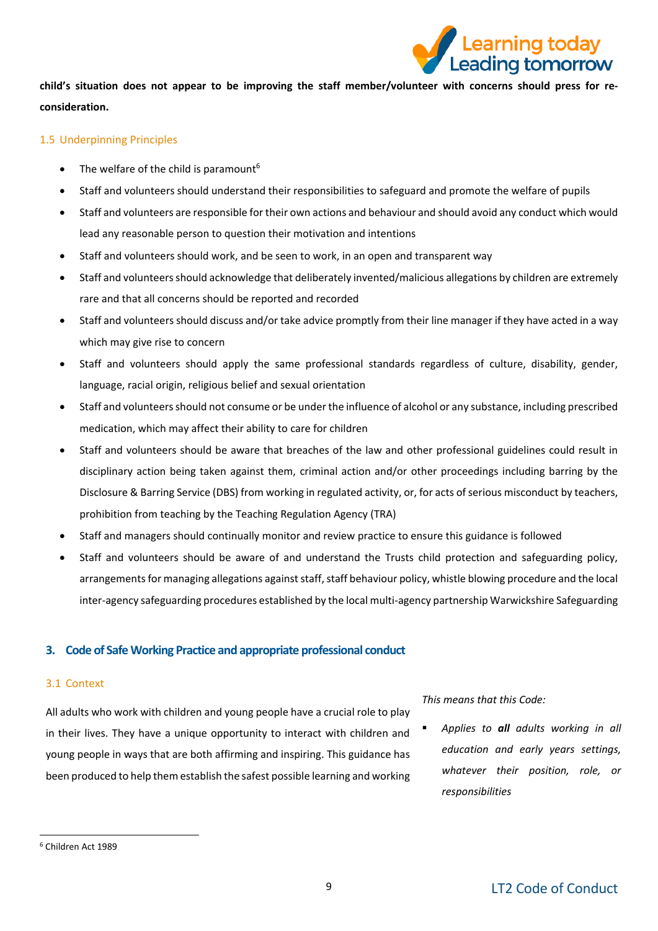

**child's situation does not appear to be improving the staff member/volunteer with concerns should press for reconsideration.** 

#### 1.5 Underpinning Principles

- The welfare of the child is paramount<sup>6</sup>
- Staff and volunteers should understand their responsibilities to safeguard and promote the welfare of pupils
- Staff and volunteers are responsible for their own actions and behaviour and should avoid any conduct which would lead any reasonable person to question their motivation and intentions
- Staff and volunteers should work, and be seen to work, in an open and transparent way
- Staff and volunteers should acknowledge that deliberately invented/malicious allegations by children are extremely rare and that all concerns should be reported and recorded
- Staff and volunteers should discuss and/or take advice promptly from their line manager if they have acted in a way which may give rise to concern
- Staff and volunteers should apply the same professional standards regardless of culture, disability, gender, language, racial origin, religious belief and sexual orientation
- Staff and volunteers should not consume or be under the influence of alcohol or any substance, including prescribed medication, which may affect their ability to care for children
- Staff and volunteers should be aware that breaches of the law and other professional guidelines could result in disciplinary action being taken against them, criminal action and/or other proceedings including barring by the Disclosure & Barring Service (DBS) from working in regulated activity, or, for acts of serious misconduct by teachers, prohibition from teaching by the Teaching Regulation Agency (TRA)
- Staff and managers should continually monitor and review practice to ensure this guidance is followed
- Staff and volunteers should be aware of and understand the Trusts child protection and safeguarding policy, arrangements for managing allegations against staff, staff behaviour policy, whistle blowing procedure and the local inter-agency safeguarding procedures established by the local multi-agency partnership Warwickshire Safeguarding

#### <span id="page-8-0"></span>**3. Code of Safe Working Practice and appropriate professional conduct**

#### 3.1 Context

All adults who work with children and young people have a crucial role to play in their lives. They have a unique opportunity to interact with children and young people in ways that are both affirming and inspiring. This guidance has been produced to help them establish the safest possible learning and working

*This means that this Code:*

Applies to **all** adults working in all *education and early years settings, whatever their position, role, or responsibilities*

-

<sup>6</sup> Children Act 1989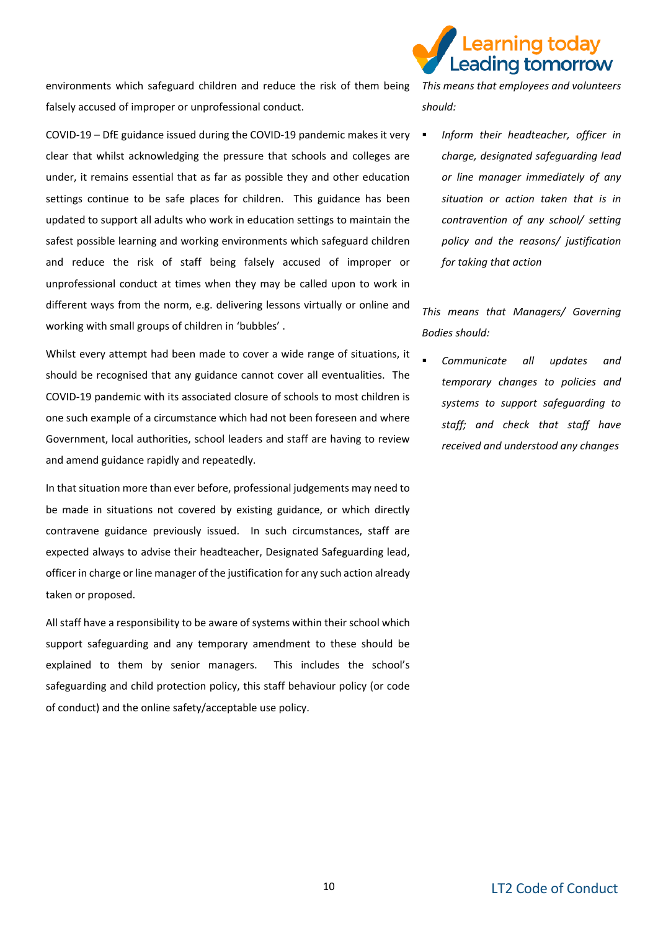

environments which safeguard children and reduce the risk of them being *This means that employees and volunteers*  falsely accused of improper or unprofessional conduct.

COVID-19 – DfE guidance issued during the COVID-19 pandemic makes it very clear that whilst acknowledging the pressure that schools and colleges are under, it remains essential that as far as possible they and other education settings continue to be safe places for children. This guidance has been updated to support all adults who work in education settings to maintain the safest possible learning and working environments which safeguard children and reduce the risk of staff being falsely accused of improper or unprofessional conduct at times when they may be called upon to work in different ways from the norm, e.g. delivering lessons virtually or online and working with small groups of children in 'bubbles' .

Whilst every attempt had been made to cover a wide range of situations, it should be recognised that any guidance cannot cover all eventualities. The COVID-19 pandemic with its associated closure of schools to most children is one such example of a circumstance which had not been foreseen and where Government, local authorities, school leaders and staff are having to review and amend guidance rapidly and repeatedly.

In that situation more than ever before, professional judgements may need to be made in situations not covered by existing guidance, or which directly contravene guidance previously issued. In such circumstances, staff are expected always to advise their headteacher, Designated Safeguarding lead, officer in charge or line manager of the justification for any such action already taken or proposed.

All staff have a responsibility to be aware of systems within their school which support safeguarding and any temporary amendment to these should be explained to them by senior managers. This includes the school's safeguarding and child protection policy, this staff behaviour policy (or code of conduct) and the online safety/acceptable use policy.

*should:*

**Inform their headteacher, officer in** *charge, designated safeguarding lead or line manager immediately of any situation or action taken that is in contravention of any school/ setting policy and the reasons/ justification for taking that action*

*This means that Managers/ Governing Bodies should:*

**Communicate all updates and** *temporary changes to policies and systems to support safeguarding to staff; and check that staff have received and understood any changes*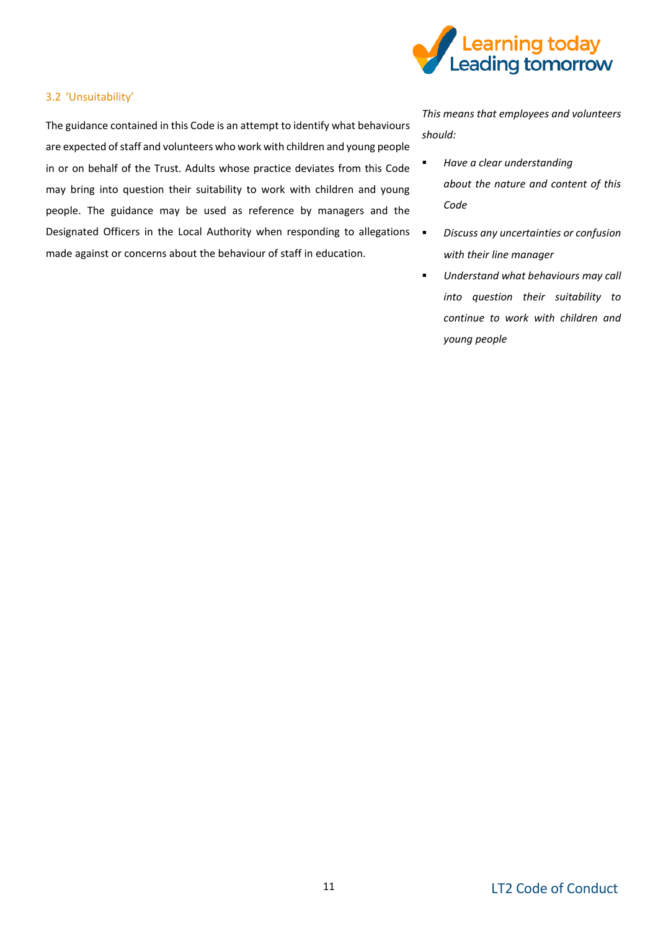

#### 3.2 'Unsuitability'

The guidance contained in this Code is an attempt to identify what behaviours are expected of staff and volunteers who work with children and young people in or on behalf of the Trust. Adults whose practice deviates from this Code may bring into question their suitability to work with children and young people. The guidance may be used as reference by managers and the Designated Officers in the Local Authority when responding to allegations  $\blacksquare$ made against or concerns about the behaviour of staff in education.

*This means that employees and volunteers should:*

- *Have a clear understanding about the nature and content of this Code*
- *Discuss any uncertainties or confusion with their line manager*
- *Understand what behaviours may call into question their suitability to continue to work with children and young people*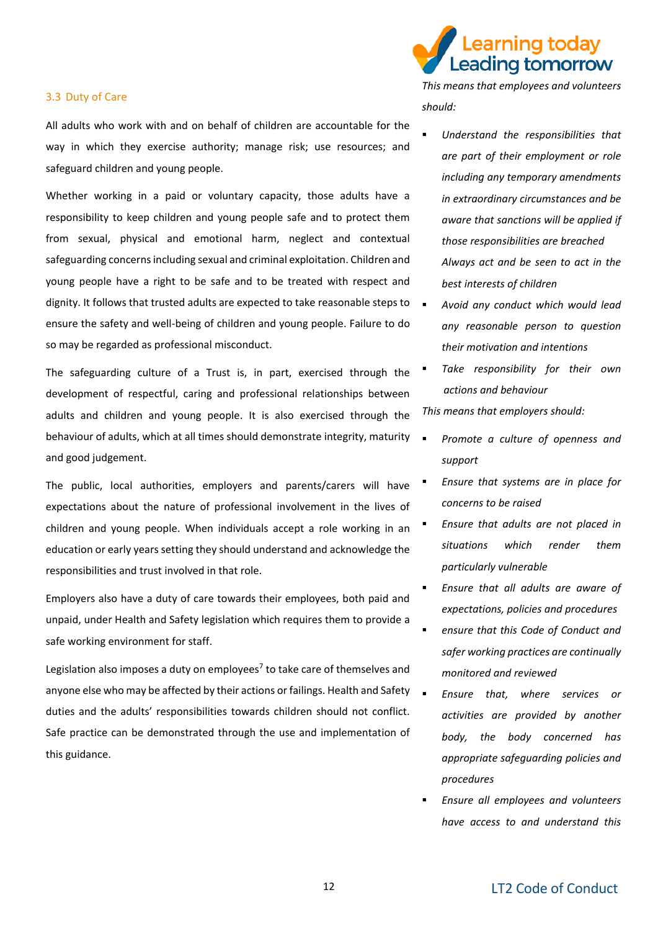#### 3.3 Duty of Care

All adults who work with and on behalf of children are accountable for the way in which they exercise authority; manage risk; use resources; and safeguard children and young people.

Whether working in a paid or voluntary capacity, those adults have a responsibility to keep children and young people safe and to protect them from sexual, physical and emotional harm, neglect and contextual safeguarding concerns including sexual and criminal exploitation. Children and young people have a right to be safe and to be treated with respect and dignity. It follows that trusted adults are expected to take reasonable steps to  $\Box$ ensure the safety and well-being of children and young people. Failure to do so may be regarded as professional misconduct.

The safeguarding culture of a Trust is, in part, exercised through the development of respectful, caring and professional relationships between adults and children and young people. It is also exercised through the behaviour of adults, which at all times should demonstrate integrity, maturity and good judgement.

The public, local authorities, employers and parents/carers will have expectations about the nature of professional involvement in the lives of children and young people. When individuals accept a role working in an education or early years setting they should understand and acknowledge the responsibilities and trust involved in that role.

Employers also have a duty of care towards their employees, both paid and unpaid, under Health and Safety legislation which requires them to provide a safe working environment for staff.

Legislation also imposes a duty on employees<sup>7</sup> to take care of themselves and anyone else who may be affected by their actions or failings. Health and Safety duties and the adults' responsibilities towards children should not conflict. Safe practice can be demonstrated through the use and implementation of this guidance.



*This means that employees and volunteers should:*

- *Understand the responsibilities that are part of their employment or role including any temporary amendments in extraordinary circumstances and be aware that sanctions will be applied if those responsibilities are breached Always act and be seen to act in the best interests of children*
- *Avoid any conduct which would lead any reasonable person to question their motivation and intentions*
- **Take responsibility for their own** *actions and behaviour*

*This means that employers should:*

- Promote a culture of openness and *support*
- *Ensure that systems are in place for concerns to be raised*
- *Ensure that adults are not placed in situations which render them particularly vulnerable*
- *Ensure that all adults are aware of expectations, policies and procedures*
- ensure that this Code of Conduct and *safer working practices are continually monitored and reviewed*
- *Ensure that, where services or activities are provided by another body, the body concerned has appropriate safeguarding policies and procedures*
- *Ensure all employees and volunteers have access to and understand this*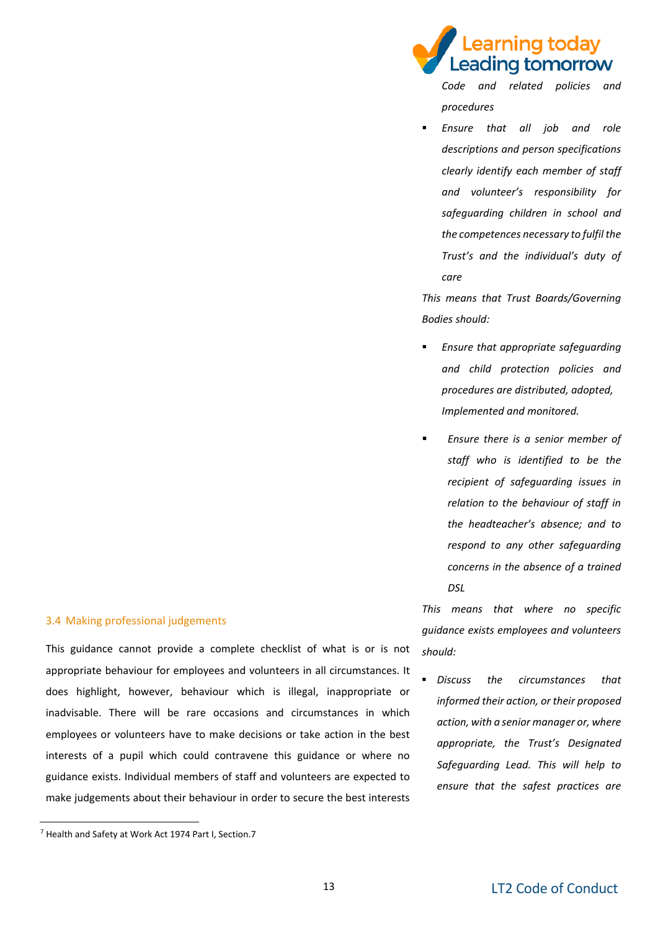#### 3.4 Making professional judgements

This guidance cannot provide a complete checklist of what is or is not appropriate behaviour for employees and volunteers in all circumstances. It does highlight, however, behaviour which is illegal, inappropriate or inadvisable. There will be rare occasions and circumstances in which employees or volunteers have to make decisions or take action in the best interests of a pupil which could contravene this guidance or where no guidance exists. Individual members of staff and volunteers are expected to make judgements about their behaviour in order to secure the best interests

-

earning today eading tomorrow

> *Code and related policies and procedures*

▪ *Ensure that all job and role descriptions and person specifications clearly identify each member of staff and volunteer's responsibility for safeguarding children in school and the competences necessary to fulfil the Trust's and the individual's duty of care*

*This means that Trust Boards/Governing Bodies should:* 

- *Ensure that appropriate safeguarding and child protection policies and procedures are distributed, adopted, Implemented and monitored.*
- *Ensure there is a senior member of staff who is identified to be the recipient of safeguarding issues in relation to the behaviour of staff in the headteacher's absence; and to respond to any other safeguarding concerns in the absence of a trained DSL*

*This means that where no specific guidance exists employees and volunteers should:*

▪ *Discuss the circumstances that informed their action, or their proposed action, with a senior manager or, where appropriate, the Trust's Designated Safeguarding Lead. This will help to ensure that the safest practices are* 

<sup>7</sup> Health and Safety at Work Act 1974 Part I, Section.7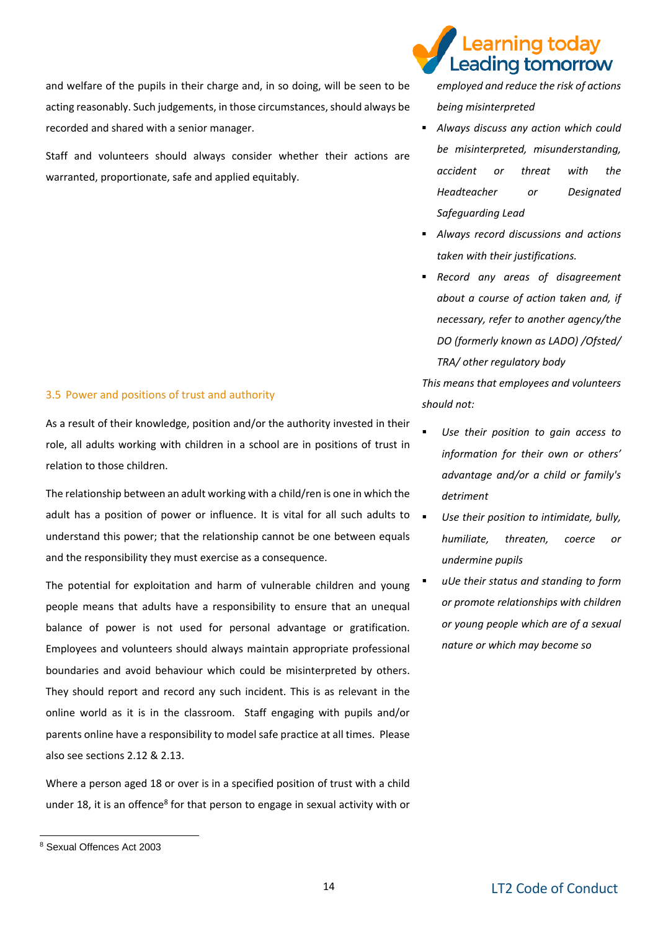and welfare of the pupils in their charge and, in so doing, will be seen to be acting reasonably. Such judgements, in those circumstances, should always be recorded and shared with a senior manager.

Staff and volunteers should always consider whether their actions are warranted, proportionate, safe and applied equitably.

#### 3.5 Power and positions of trust and authority

As a result of their knowledge, position and/or the authority invested in their role, all adults working with children in a school are in positions of trust in relation to those children.

The relationship between an adult working with a child/ren is one in which the adult has a position of power or influence. It is vital for all such adults to  $\Box$ understand this power; that the relationship cannot be one between equals and the responsibility they must exercise as a consequence.

The potential for exploitation and harm of vulnerable children and young people means that adults have a responsibility to ensure that an unequal balance of power is not used for personal advantage or gratification. Employees and volunteers should always maintain appropriate professional boundaries and avoid behaviour which could be misinterpreted by others. They should report and record any such incident. This is as relevant in the online world as it is in the classroom. Staff engaging with pupils and/or parents online have a responsibility to model safe practice at all times. Please also see sections 2.12 & 2.13.

Where a person aged 18 or over is in a specified position of trust with a child under 18, it is an offence<sup>8</sup> for that person to engage in sexual activity with or

-

### earning today. Leading tomorrow

*employed and reduce the risk of actions being misinterpreted* 

- *Always discuss any action which could be misinterpreted, misunderstanding, accident or threat with the Headteacher or Designated Safeguarding Lead*
- *Always record discussions and actions taken with their justifications.*
- *Record any areas of disagreement about a course of action taken and, if necessary, refer to another agency/the DO (formerly known as LADO) /Ofsted/ TRA/ other regulatory body*

*This means that employees and volunteers should not:*

- Use their position to gain access to *information for their own or others' advantage and/or a child or family's detriment*
- Use their position to intimidate, bully, *humiliate, threaten, coerce or undermine pupils*
- *uUe their status and standing to form or promote relationships with children or young people which are of a sexual nature or which may become so*

<sup>8</sup> Sexual Offences Act 2003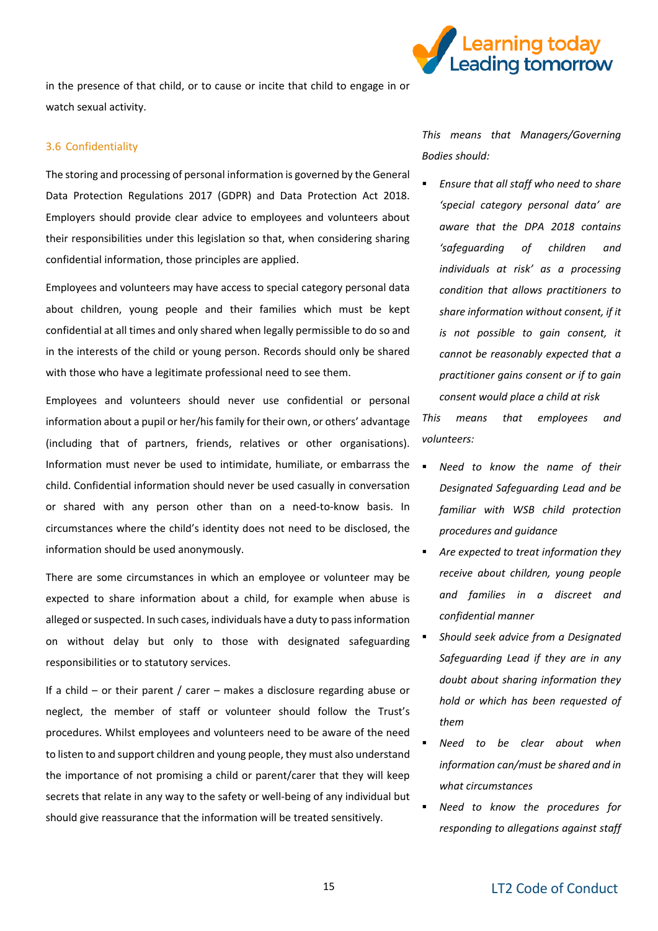

in the presence of that child, or to cause or incite that child to engage in or watch sexual activity.

#### 3.6 Confidentiality

The storing and processing of personal information is governed by the General Data Protection Regulations 2017 (GDPR) and Data Protection Act 2018. Employers should provide clear advice to employees and volunteers about their responsibilities under this legislation so that, when considering sharing confidential information, those principles are applied.

Employees and volunteers may have access to special category personal data about children, young people and their families which must be kept confidential at all times and only shared when legally permissible to do so and in the interests of the child or young person. Records should only be shared with those who have a legitimate professional need to see them.

Employees and volunteers should never use confidential or personal information about a pupil or her/his family for their own, or others' advantage (including that of partners, friends, relatives or other organisations). Information must never be used to intimidate, humiliate, or embarrass the child. Confidential information should never be used casually in conversation or shared with any person other than on a need-to-know basis. In circumstances where the child's identity does not need to be disclosed, the information should be used anonymously.

There are some circumstances in which an employee or volunteer may be expected to share information about a child, for example when abuse is alleged or suspected. In such cases, individuals have a duty to pass information on without delay but only to those with designated safeguarding responsibilities or to statutory services.

If a child – or their parent / carer – makes a disclosure regarding abuse or neglect, the member of staff or volunteer should follow the Trust's procedures. Whilst employees and volunteers need to be aware of the need to listen to and support children and young people, they must also understand the importance of not promising a child or parent/carer that they will keep secrets that relate in any way to the safety or well-being of any individual but should give reassurance that the information will be treated sensitively.

*This means that Managers/Governing Bodies should:*

▪ *Ensure that all staff who need to share 'special category personal data' are aware that the DPA 2018 contains 'safeguarding of children and individuals at risk' as a processing condition that allows practitioners to share information without consent, if it is not possible to gain consent, it cannot be reasonably expected that a practitioner gains consent or if to gain consent would place a child at risk* 

*This means that employees and volunteers:*

- *Need to know the name of their Designated Safeguarding Lead and be familiar with WSB child protection procedures and guidance*
- Are expected to treat information they *receive about children, young people and families in a discreet and confidential manner*
- *Should seek advice from a Designated Safeguarding Lead if they are in any doubt about sharing information they hold or which has been requested of them*
- Need to be clear about when *information can/must be shared and in what circumstances*
- **Need to know the procedures for** *responding to allegations against staff*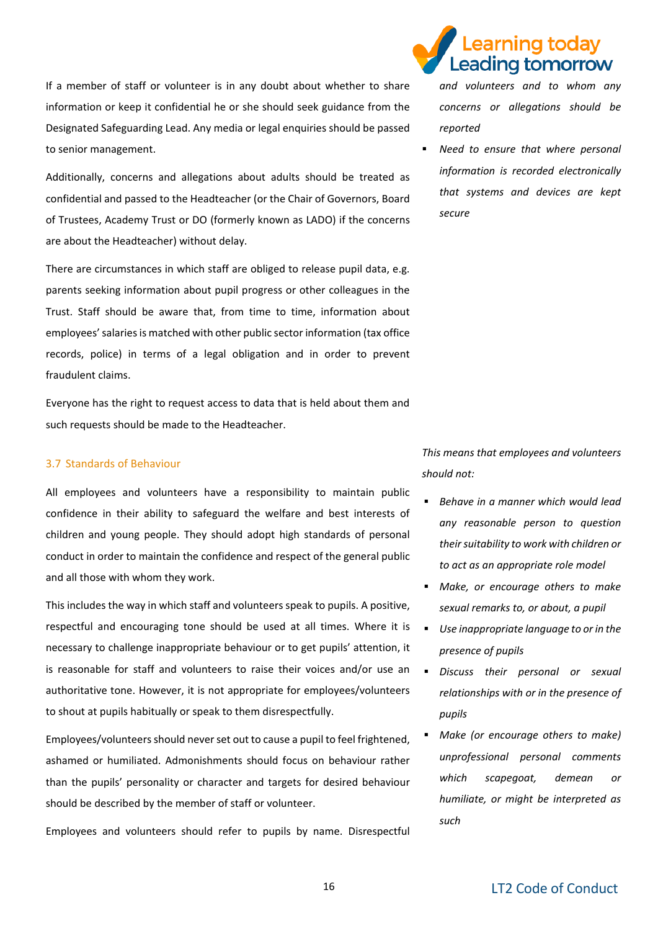If a member of staff or volunteer is in any doubt about whether to share information or keep it confidential he or she should seek guidance from the Designated Safeguarding Lead. Any media or legal enquiries should be passed to senior management.

Additionally, concerns and allegations about adults should be treated as confidential and passed to the Headteacher (or the Chair of Governors, Board of Trustees, Academy Trust or DO (formerly known as LADO) if the concerns are about the Headteacher) without delay.

There are circumstances in which staff are obliged to release pupil data, e.g. parents seeking information about pupil progress or other colleagues in the Trust. Staff should be aware that, from time to time, information about employees' salaries is matched with other public sector information (tax office records, police) in terms of a legal obligation and in order to prevent fraudulent claims.

Everyone has the right to request access to data that is held about them and such requests should be made to the Headteacher.

#### 3.7 Standards of Behaviour

All employees and volunteers have a responsibility to maintain public confidence in their ability to safeguard the welfare and best interests of children and young people. They should adopt high standards of personal conduct in order to maintain the confidence and respect of the general public and all those with whom they work.

This includes the way in which staff and volunteers speak to pupils. A positive, respectful and encouraging tone should be used at all times. Where it is necessary to challenge inappropriate behaviour or to get pupils' attention, it is reasonable for staff and volunteers to raise their voices and/or use an authoritative tone. However, it is not appropriate for employees/volunteers to shout at pupils habitually or speak to them disrespectfully.

Employees/volunteers should never set out to cause a pupil to feel frightened, ashamed or humiliated. Admonishments should focus on behaviour rather than the pupils' personality or character and targets for desired behaviour should be described by the member of staff or volunteer.

Employees and volunteers should refer to pupils by name. Disrespectful



*and volunteers and to whom any concerns or allegations should be reported* 

**Need to ensure that where personal** *information is recorded electronically that systems and devices are kept secure* 

*This means that employees and volunteers should not:*

- *Behave in a manner which would lead any reasonable person to question their suitability to work with children or to act as an appropriate role model*
- *Make, or encourage others to make sexual remarks to, or about, a pupil*
- *Use inappropriate language to or in the presence of pupils*
- *Discuss their personal or sexual relationships with or in the presence of pupils*
- *Make (or encourage others to make) unprofessional personal comments which scapegoat, demean or humiliate, or might be interpreted as such*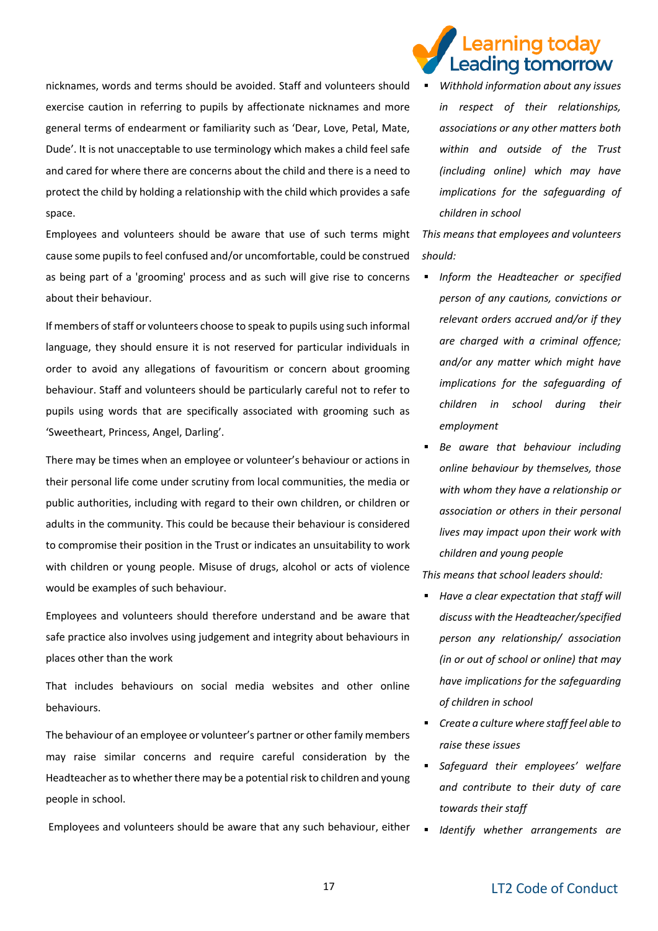nicknames, words and terms should be avoided. Staff and volunteers should exercise caution in referring to pupils by affectionate nicknames and more general terms of endearment or familiarity such as 'Dear, Love, Petal, Mate, Dude'. It is not unacceptable to use terminology which makes a child feel safe and cared for where there are concerns about the child and there is a need to protect the child by holding a relationship with the child which provides a safe space.

Employees and volunteers should be aware that use of such terms might cause some pupils to feel confused and/or uncomfortable, could be construed as being part of a 'grooming' process and as such will give rise to concerns about their behaviour.

If members of staff or volunteers choose to speak to pupils using such informal language, they should ensure it is not reserved for particular individuals in order to avoid any allegations of favouritism or concern about grooming behaviour. Staff and volunteers should be particularly careful not to refer to pupils using words that are specifically associated with grooming such as 'Sweetheart, Princess, Angel, Darling'.

There may be times when an employee or volunteer's behaviour or actions in their personal life come under scrutiny from local communities, the media or public authorities, including with regard to their own children, or children or adults in the community. This could be because their behaviour is considered to compromise their position in the Trust or indicates an unsuitability to work with children or young people. Misuse of drugs, alcohol or acts of violence would be examples of such behaviour.

Employees and volunteers should therefore understand and be aware that safe practice also involves using judgement and integrity about behaviours in places other than the work

That includes behaviours on social media websites and other online behaviours.

The behaviour of an employee or volunteer's partner or other family members may raise similar concerns and require careful consideration by the Headteacher as to whether there may be a potential risk to children and young people in school.

Employees and volunteers should be aware that any such behaviour, either

### earning today. Leading tomorrow

▪ *Withhold information about any issues in respect of their relationships, associations or any other matters both within and outside of the Trust (including online) which may have implications for the safeguarding of children in school*

*This means that employees and volunteers should:* 

- *Inform the Headteacher or specified person of any cautions, convictions or relevant orders accrued and/or if they are charged with a criminal offence; and/or any matter which might have implications for the safeguarding of children in school during their employment*
- Be aware that behaviour including *online behaviour by themselves, those with whom they have a relationship or association or others in their personal lives may impact upon their work with children and young people*

*This means that school leaders should:* 

- *Have a clear expectation that staff will discuss with the Headteacher/specified person any relationship/ association (in or out of school or online) that may have implications for the safeguarding of children in school*
- *Create a culture where staff feel able to raise these issues*
- *Safeguard their employees' welfare and contribute to their duty of care towards their staff*
- *Identify whether arrangements are*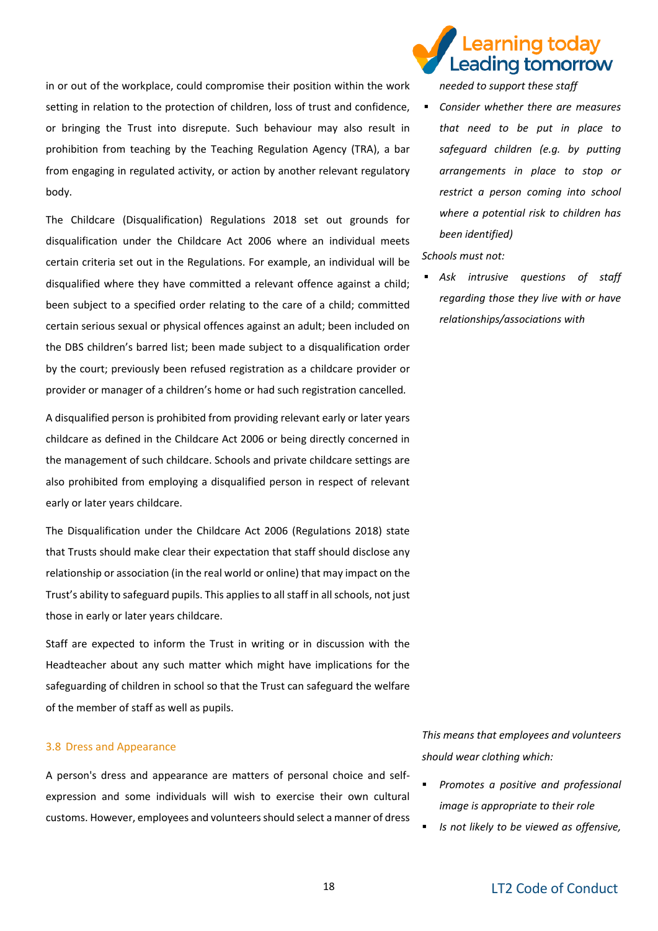in or out of the workplace, could compromise their position within the work setting in relation to the protection of children, loss of trust and confidence, or bringing the Trust into disrepute. Such behaviour may also result in prohibition from teaching by the Teaching Regulation Agency (TRA), a bar from engaging in regulated activity, or action by another relevant regulatory body.

The Childcare (Disqualification) Regulations 2018 set out grounds for disqualification under the Childcare Act 2006 where an individual meets certain criteria set out in the Regulations. For example, an individual will be disqualified where they have committed a relevant offence against a child; been subject to a specified order relating to the care of a child; committed certain serious sexual or physical offences against an adult; been included on the DBS children's barred list; been made subject to a disqualification order by the court; previously been refused registration as a childcare provider or provider or manager of a children's home or had such registration cancelled*.*

A disqualified person is prohibited from providing relevant early or later years childcare as defined in the Childcare Act 2006 or being directly concerned in the management of such childcare. Schools and private childcare settings are also prohibited from employing a disqualified person in respect of relevant early or later years childcare.

The Disqualification under the Childcare Act 2006 (Regulations 2018) state that Trusts should make clear their expectation that staff should disclose any relationship or association (in the real world or online) that may impact on the Trust's ability to safeguard pupils. This applies to all staff in all schools, not just those in early or later years childcare.

Staff are expected to inform the Trust in writing or in discussion with the Headteacher about any such matter which might have implications for the safeguarding of children in school so that the Trust can safeguard the welfare of the member of staff as well as pupils.

#### 3.8 Dress and Appearance

A person's dress and appearance are matters of personal choice and selfexpression and some individuals will wish to exercise their own cultural customs. However, employees and volunteersshould select a manner of dress

### earning today Leading tomorrow

*needed to support these staff* 

▪ *Consider whether there are measures that need to be put in place to safeguard children (e.g. by putting arrangements in place to stop or restrict a person coming into school where a potential risk to children has been identified)* 

#### *Schools must not:*

▪ *Ask intrusive questions of staff regarding those they live with or have relationships/associations with*

*This means that employees and volunteers should wear clothing which:*

- *Promotes a positive and professional image is appropriate to their role*
- *Is not likely to be viewed as offensive,*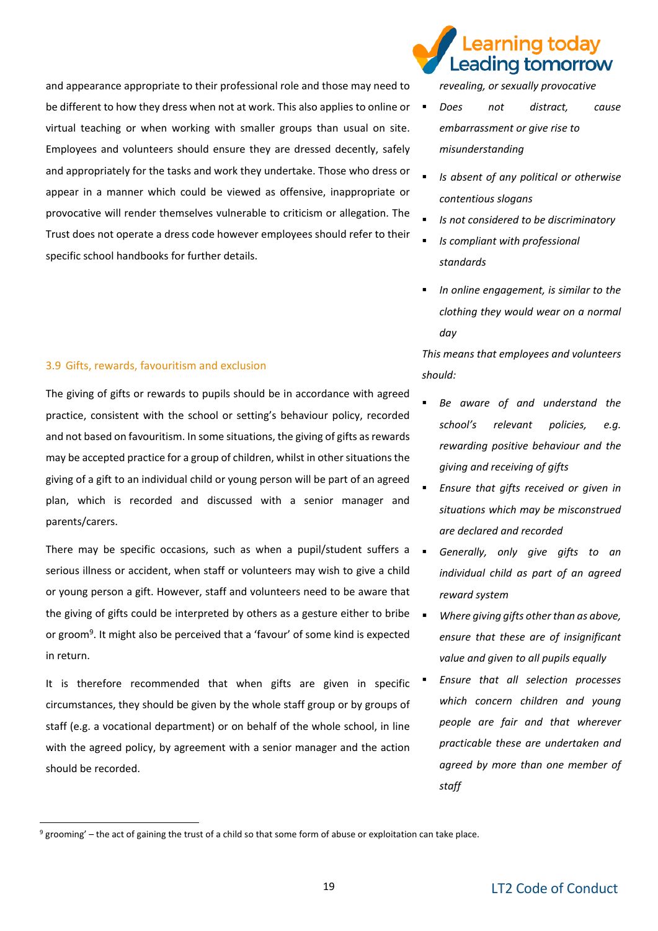and appearance appropriate to their professional role and those may need to be different to how they dress when not at work. This also applies to online or virtual teaching or when working with smaller groups than usual on site. Employees and volunteers should ensure they are dressed decently, safely and appropriately for the tasks and work they undertake. Those who dress or appear in a manner which could be viewed as offensive, inappropriate or provocative will render themselves vulnerable to criticism or allegation. The Trust does not operate a dress code however employees should refer to their specific school handbooks for further details.

#### 3.9 Gifts, rewards, favouritism and exclusion

-

The giving of gifts or rewards to pupils should be in accordance with agreed practice, consistent with the school or setting's behaviour policy, recorded and not based on favouritism. In some situations, the giving of gifts as rewards may be accepted practice for a group of children, whilst in other situations the giving of a gift to an individual child or young person will be part of an agreed plan, which is recorded and discussed with a senior manager and parents/carers.

There may be specific occasions, such as when a pupil/student suffers a  $\Box$ serious illness or accident, when staff or volunteers may wish to give a child or young person a gift. However, staff and volunteers need to be aware that the giving of gifts could be interpreted by others as a gesture either to bribe or groom<sup>9</sup>. It might also be perceived that a 'favour' of some kind is expected in return.

It is therefore recommended that when gifts are given in specific circumstances, they should be given by the whole staff group or by groups of staff (e.g. a vocational department) or on behalf of the whole school, in line with the agreed policy, by agreement with a senior manager and the action should be recorded.

### earning today Leading tomorrow

*revealing, or sexually provocative*

- *Does not distract, cause embarrassment or give rise to misunderstanding*
- *Is absent of any political or otherwise contentious slogans*
- *Is not considered to be discriminatory*
- *Is compliant with professional standards*
- In online engagement, is similar to the *clothing they would wear on a normal day*

*This means that employees and volunteers should:* 

- Be aware of and understand the *school's relevant policies, e.g. rewarding positive behaviour and the giving and receiving of gifts*
- *Ensure that gifts received or given in situations which may be misconstrued are declared and recorded*
- Generally, only give gifts to an *individual child as part of an agreed reward system*
- *Where giving gifts other than as above, ensure that these are of insignificant value and given to all pupils equally*
- *Ensure that all selection processes which concern children and young people are fair and that wherever practicable these are undertaken and agreed by more than one member of staff*

 $9$  grooming' – the act of gaining the trust of a child so that some form of abuse or exploitation can take place.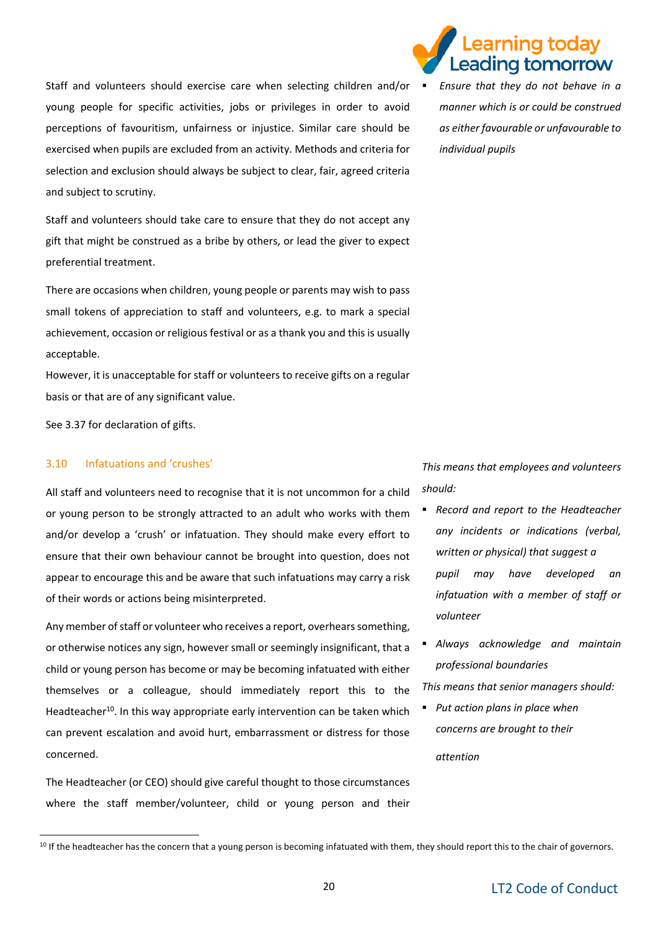Staff and volunteers should exercise care when selecting children and/or  $\blacksquare$ young people for specific activities, jobs or privileges in order to avoid perceptions of favouritism, unfairness or injustice. Similar care should be exercised when pupils are excluded from an activity. Methods and criteria for selection and exclusion should always be subject to clear, fair, agreed criteria and subject to scrutiny.

Staff and volunteers should take care to ensure that they do not accept any gift that might be construed as a bribe by others, or lead the giver to expect preferential treatment.

There are occasions when children, young people or parents may wish to pass small tokens of appreciation to staff and volunteers, e.g. to mark a special achievement, occasion or religious festival or as a thank you and this is usually acceptable.

However, it is unacceptable for staff or volunteers to receive gifts on a regular basis or that are of any significant value.

See 3.37 for declaration of gifts.

#### 3.10 Infatuations and 'crushes'

-

All staff and volunteers need to recognise that it is not uncommon for a child or young person to be strongly attracted to an adult who works with them and/or develop a 'crush' or infatuation. They should make every effort to ensure that their own behaviour cannot be brought into question, does not appear to encourage this and be aware that such infatuations may carry a risk of their words or actions being misinterpreted.

Any member of staff or volunteer who receives a report, overhears something, or otherwise notices any sign, however small or seemingly insignificant, that a child or young person has become or may be becoming infatuated with either themselves or a colleague, should immediately report this to the Headteacher<sup>10</sup>. In this way appropriate early intervention can be taken which can prevent escalation and avoid hurt, embarrassment or distress for those concerned.

The Headteacher (or CEO) should give careful thought to those circumstances where the staff member/volunteer, child or young person and their

### earning today. eading tomorrow

▪ *Ensure that they do not behave in a manner which is or could be construed as either favourable or unfavourable to individual pupils* 

*This means that employees and volunteers should:*

- *Record and report to the Headteacher any incidents or indications (verbal, written or physical) that suggest a pupil may have developed an infatuation with a member of staff or volunteer*
- *Always acknowledge and maintain professional boundaries*

*This means that senior managers should:* 

▪ *Put action plans in place when concerns are brought to their* 

*attention* 

<sup>&</sup>lt;sup>10</sup> If the headteacher has the concern that a young person is becoming infatuated with them, they should report this to the chair of governors.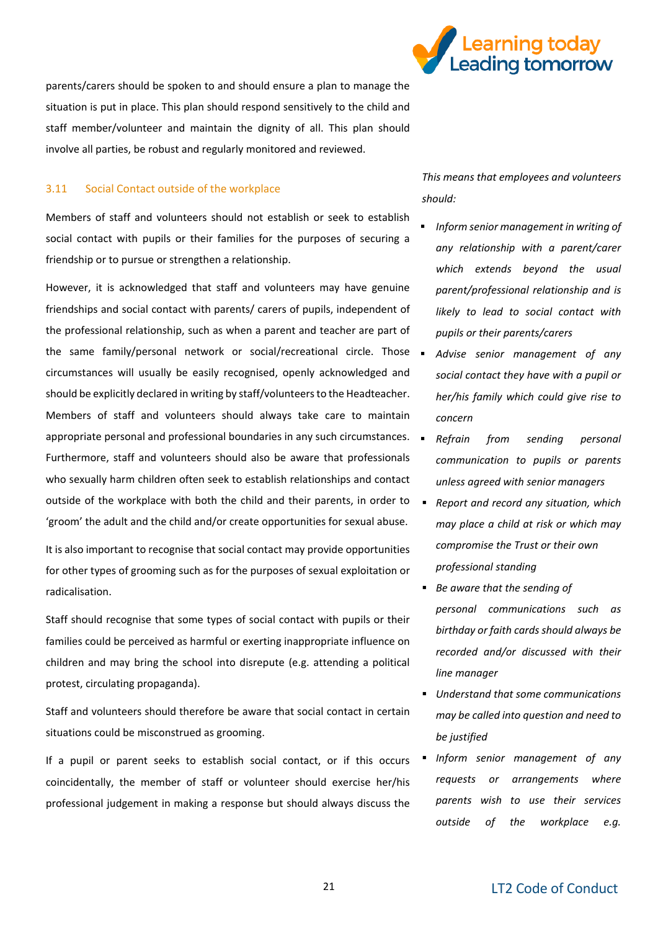

parents/carers should be spoken to and should ensure a plan to manage the situation is put in place. This plan should respond sensitively to the child and staff member/volunteer and maintain the dignity of all. This plan should involve all parties, be robust and regularly monitored and reviewed.

#### 3.11 Social Contact outside of the workplace

Members of staff and volunteers should not establish or seek to establish social contact with pupils or their families for the purposes of securing a friendship or to pursue or strengthen a relationship.

However, it is acknowledged that staff and volunteers may have genuine friendships and social contact with parents/ carers of pupils, independent of the professional relationship, such as when a parent and teacher are part of the same family/personal network or social/recreational circle. Those . circumstances will usually be easily recognised, openly acknowledged and should be explicitly declared in writing by staff/volunteers to the Headteacher. Members of staff and volunteers should always take care to maintain appropriate personal and professional boundaries in any such circumstances. Furthermore, staff and volunteers should also be aware that professionals who sexually harm children often seek to establish relationships and contact outside of the workplace with both the child and their parents, in order to 'groom' the adult and the child and/or create opportunities for sexual abuse.

It is also important to recognise that social contact may provide opportunities for other types of grooming such as for the purposes of sexual exploitation or radicalisation.

Staff should recognise that some types of social contact with pupils or their families could be perceived as harmful or exerting inappropriate influence on children and may bring the school into disrepute (e.g. attending a political protest, circulating propaganda).

Staff and volunteers should therefore be aware that social contact in certain situations could be misconstrued as grooming.

If a pupil or parent seeks to establish social contact, or if this occurs coincidentally, the member of staff or volunteer should exercise her/his professional judgement in making a response but should always discuss the

*This means that employees and volunteers should:*

- *Inform senior management in writing of any relationship with a parent/carer which extends beyond the usual parent/professional relationship and is likely to lead to social contact with pupils or their parents/carers*
- Advise senior management of any *social contact they have with a pupil or her/his family which could give rise to concern*
- *Refrain from sending personal communication to pupils or parents unless agreed with senior managers*
- *Report and record any situation, which may place a child at risk or which may compromise the Trust or their own professional standing*
- *Be aware that the sending of personal communications such as birthday or faith cards should always be recorded and/or discussed with their line manager*
- *Understand that some communications may be called into question and need to be justified*
- *Inform senior management of any requests or arrangements where parents wish to use their services outside of the workplace e.g.*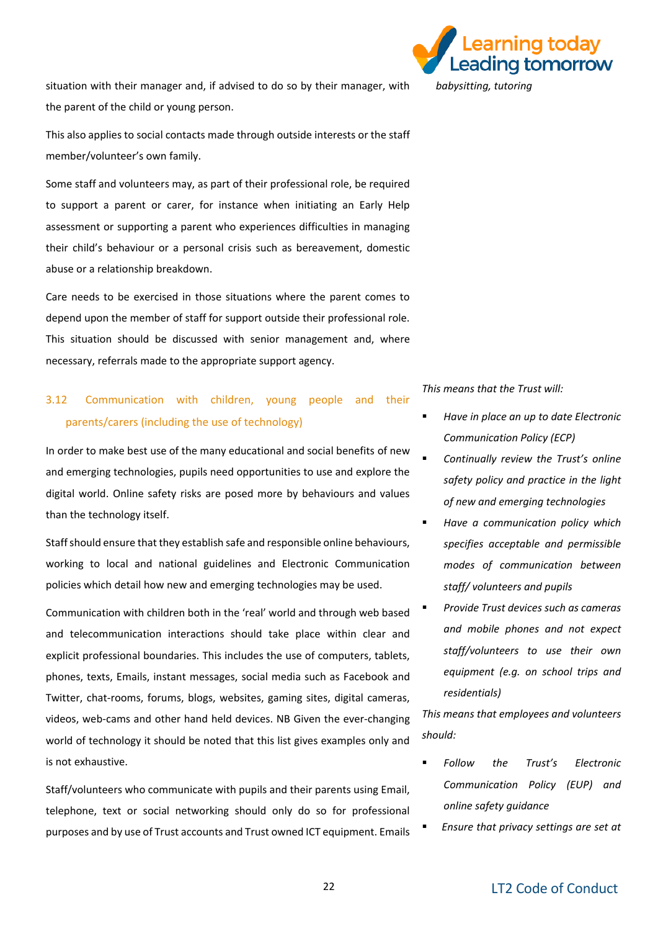situation with their manager and, if advised to do so by their manager, with the parent of the child or young person.

This also applies to social contacts made through outside interests or the staff member/volunteer's own family.

Some staff and volunteers may, as part of their professional role, be required to support a parent or carer, for instance when initiating an Early Help assessment or supporting a parent who experiences difficulties in managing their child's behaviour or a personal crisis such as bereavement, domestic abuse or a relationship breakdown.

Care needs to be exercised in those situations where the parent comes to depend upon the member of staff for support outside their professional role. This situation should be discussed with senior management and, where necessary, referrals made to the appropriate support agency.

### 3.12 Communication with children, young people and their parents/carers (including the use of technology)

In order to make best use of the many educational and social benefits of new and emerging technologies, pupils need opportunities to use and explore the digital world. Online safety risks are posed more by behaviours and values than the technology itself.

Staff should ensure that they establish safe and responsible online behaviours, working to local and national guidelines and Electronic Communication policies which detail how new and emerging technologies may be used.

Communication with children both in the 'real' world and through web based and telecommunication interactions should take place within clear and explicit professional boundaries. This includes the use of computers, tablets, phones, texts, Emails, instant messages, social media such as Facebook and Twitter, chat-rooms, forums, blogs, websites, gaming sites, digital cameras, videos, web-cams and other hand held devices. NB Given the ever-changing world of technology it should be noted that this list gives examples only and is not exhaustive.

Staff/volunteers who communicate with pupils and their parents using Email, telephone, text or social networking should only do so for professional purposes and by use of Trust accounts and Trust owned ICT equipment. Emails



*This means that the Trust will:*

- *Have in place an up to date Electronic Communication Policy (ECP)*
- *Continually review the Trust's online safety policy and practice in the light of new and emerging technologies*
- *Have a communication policy which specifies acceptable and permissible modes of communication between staff/ volunteers and pupils*
- *Provide Trust devices such as cameras and mobile phones and not expect staff/volunteers to use their own equipment (e.g. on school trips and residentials)*

*This means that employees and volunteers should:*

- *Follow the Trust's Electronic Communication Policy (EUP) and online safety guidance*
- *Ensure that privacy settings are set at*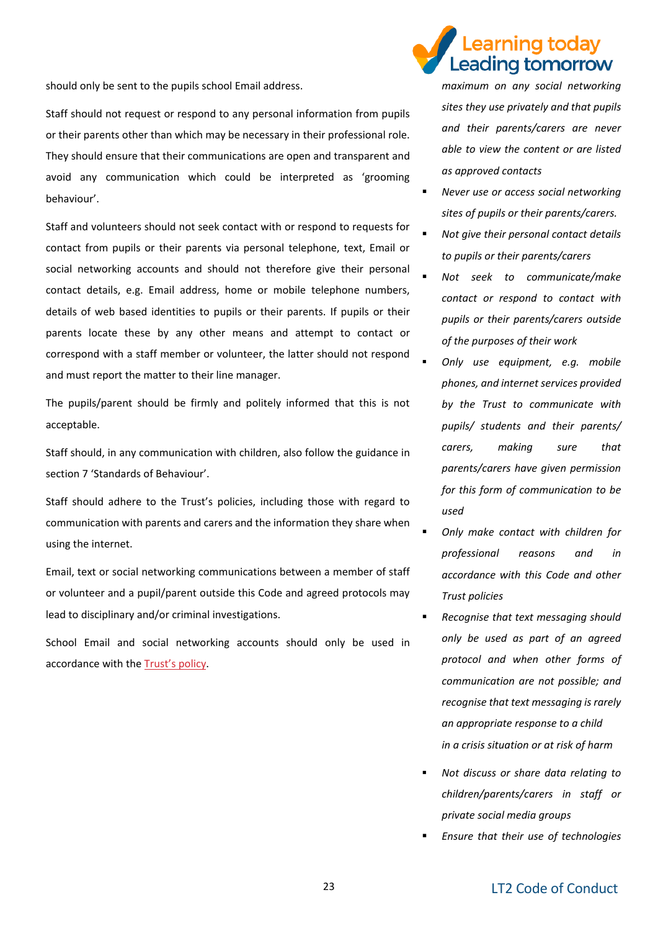should only be sent to the pupils school Email address.

Staff should not request or respond to any personal information from pupils or their parents other than which may be necessary in their professional role. They should ensure that their communications are open and transparent and avoid any communication which could be interpreted as 'grooming behaviour'.

Staff and volunteers should not seek contact with or respond to requests for contact from pupils or their parents via personal telephone, text, Email or social networking accounts and should not therefore give their personal contact details, e.g. Email address, home or mobile telephone numbers, details of web based identities to pupils or their parents. If pupils or their parents locate these by any other means and attempt to contact or correspond with a staff member or volunteer, the latter should not respond and must report the matter to their line manager.

The pupils/parent should be firmly and politely informed that this is not acceptable.

Staff should, in any communication with children, also follow the guidance in section 7 'Standards of Behaviour'.

Staff should adhere to the Trust's policies, including those with regard to communication with parents and carers and the information they share when using the internet.

Email, text or social networking communications between a member of staff or volunteer and a pupil/parent outside this Code and agreed protocols may lead to disciplinary and/or criminal investigations.

School Email and social networking accounts should only be used in accordance with the [Trust's policy](https://learningleading.org/trust-policies/).

# earning today Leading tomorrow

*maximum on any social networking sites they use privately and that pupils and their parents/carers are never able to view the content or are listed as approved contacts*

- **Never use or access social networking** *sites of pupils or their parents/carers.*
- *Not give their personal contact details to pupils or their parents/carers*
- Not seek to communicate/make *contact or respond to contact with pupils or their parents/carers outside of the purposes of their work*
- Only use equipment, e.g. mobile *phones, and internet services provided by the Trust to communicate with pupils/ students and their parents/ carers, making sure that parents/carers have given permission for this form of communication to be used*
- *Only make contact with children for professional reasons and in accordance with this Code and other Trust policies*
- *Recognise that text messaging should only be used as part of an agreed protocol and when other forms of communication are not possible; and recognise that text messaging is rarely an appropriate response to a child in a crisis situation or at risk of harm*
- *Not discuss or share data relating to children/parents/carers in staff or private social media groups*
- *Ensure that their use of technologies*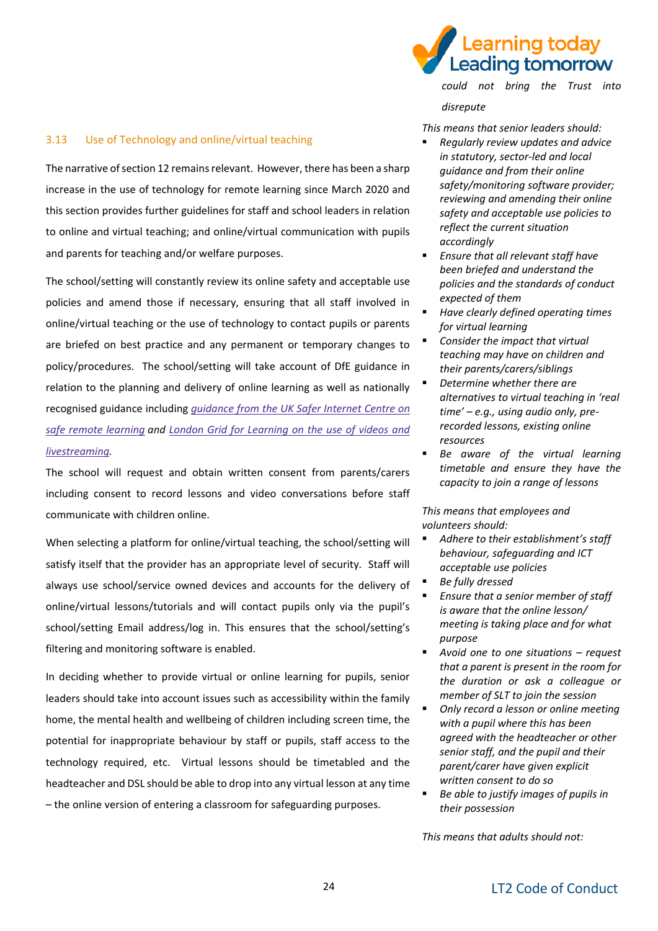

#### 3.13 Use of Technology and online/virtual teaching

The narrative of section 12 remains relevant. However, there has been a sharp increase in the use of technology for remote learning since March 2020 and this section provides further guidelines for staff and school leaders in relation to online and virtual teaching; and online/virtual communication with pupils and parents for teaching and/or welfare purposes.

The school/setting will constantly review its online safety and acceptable use policies and amend those if necessary, ensuring that all staff involved in online/virtual teaching or the use of technology to contact pupils or parents are briefed on best practice and any permanent or temporary changes to policy/procedures. The school/setting will take account of DfE guidance in relation to the planning and delivery of online learning as well as nationally recognised guidance including *[guidance](https://swgfl.org.uk/resources/safe-remote-learning/) from the UK Safer Internet Centre on safe remote [learning](https://swgfl.org.uk/resources/safe-remote-learning/) and London Grid for [Learning](https://static.lgfl.net/LgflNet/downloads/digisafe/Safe-Lessons-by-Video-and-Livestream.pdf) on the use of videos and [livestreaming.](https://static.lgfl.net/LgflNet/downloads/digisafe/Safe-Lessons-by-Video-and-Livestream.pdf)*

The school will request and obtain written consent from parents/carers including consent to record lessons and video conversations before staff communicate with children online.

When selecting a platform for online/virtual teaching, the school/setting will satisfy itself that the provider has an appropriate level of security. Staff will always use school/service owned devices and accounts for the delivery of online/virtual lessons/tutorials and will contact pupils only via the pupil's school/setting Email address/log in. This ensures that the school/setting's filtering and monitoring software is enabled.

In deciding whether to provide virtual or online learning for pupils, senior leaders should take into account issues such as accessibility within the family home, the mental health and wellbeing of children including screen time, the potential for inappropriate behaviour by staff or pupils, staff access to the technology required, etc. Virtual lessons should be timetabled and the headteacher and DSL should be able to drop into any virtual lesson at any time – the online version of entering a classroom for safeguarding purposes.

*could not bring the Trust into disrepute*

*This means that senior leaders should:* 

- *Regularly review updates and advice in statutory, sector-led and local guidance and from their online safety/monitoring software provider; reviewing and amending their online safety and acceptable use policies to reflect the current situation accordingly*
- *Ensure that all relevant staff have been briefed and understand the policies and the standards of conduct expected of them*
- *Have clearly defined operating times for virtual learning*
- *Consider the impact that virtual teaching may have on children and their parents/carers/siblings*
- **Determine whether there are** *alternatives to virtual teaching in 'real time' – e.g., using audio only, prerecorded lessons, existing online resources*
- Be aware of the virtual learning *timetable and ensure they have the capacity to join a range of lessons*

*This means that employees and volunteers should:* 

- *Adhere to their establishment's staff behaviour, safeguarding and ICT acceptable use policies*
- *Be fully dressed* 
	- *Ensure that a senior member of staff is aware that the online lesson/ meeting is taking place and for what purpose*
- *Avoid one to one situations – request that a parent is present in the room for the duration or ask a colleague or member of SLT to join the session*
- *Only record a lesson or online meeting with a pupil where this has been agreed with the headteacher or other senior staff, and the pupil and their parent/carer have given explicit written consent to do so*
- *Be able to justify images of pupils in their possession*

*This means that adults should not:*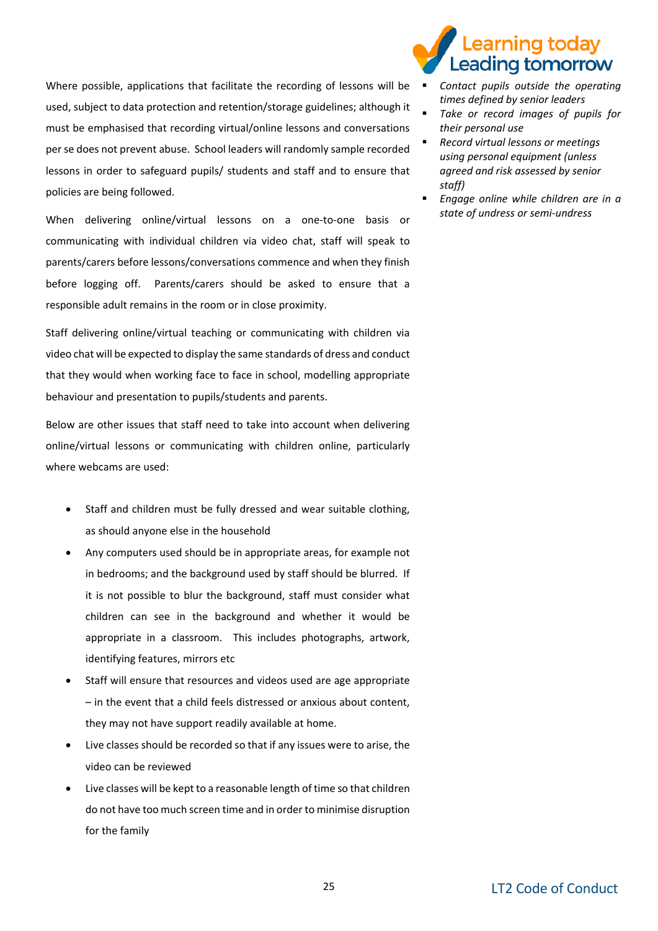Where possible, applications that facilitate the recording of lessons will be used, subject to data protection and retention/storage guidelines; although it must be emphasised that recording virtual/online lessons and conversations per se does not prevent abuse. School leaders will randomly sample recorded lessons in order to safeguard pupils/ students and staff and to ensure that policies are being followed.

When delivering online/virtual lessons on a one-to-one basis or communicating with individual children via video chat, staff will speak to parents/carers before lessons/conversations commence and when they finish before logging off. Parents/carers should be asked to ensure that a responsible adult remains in the room or in close proximity.

Staff delivering online/virtual teaching or communicating with children via video chat will be expected to display the same standards of dress and conduct that they would when working face to face in school, modelling appropriate behaviour and presentation to pupils/students and parents.

Below are other issues that staff need to take into account when delivering online/virtual lessons or communicating with children online, particularly where webcams are used:

- Staff and children must be fully dressed and wear suitable clothing, as should anyone else in the household
- Any computers used should be in appropriate areas, for example not in bedrooms; and the background used by staff should be blurred. If it is not possible to blur the background, staff must consider what children can see in the background and whether it would be appropriate in a classroom. This includes photographs, artwork, identifying features, mirrors etc
- Staff will ensure that resources and videos used are age appropriate – in the event that a child feels distressed or anxious about content, they may not have support readily available at home.
- Live classes should be recorded so that if any issues were to arise, the video can be reviewed
- Live classes will be kept to a reasonable length of time so that children do not have too much screen time and in order to minimise disruption for the family

# earning today. Leading tomorrow

- *Contact pupils outside the operating times defined by senior leaders* 
	- *Take or record images of pupils for their personal use*
	- *Record virtual lessons or meetings using personal equipment (unless agreed and risk assessed by senior staff)*
	- *Engage online while children are in a state of undress or semi-undress*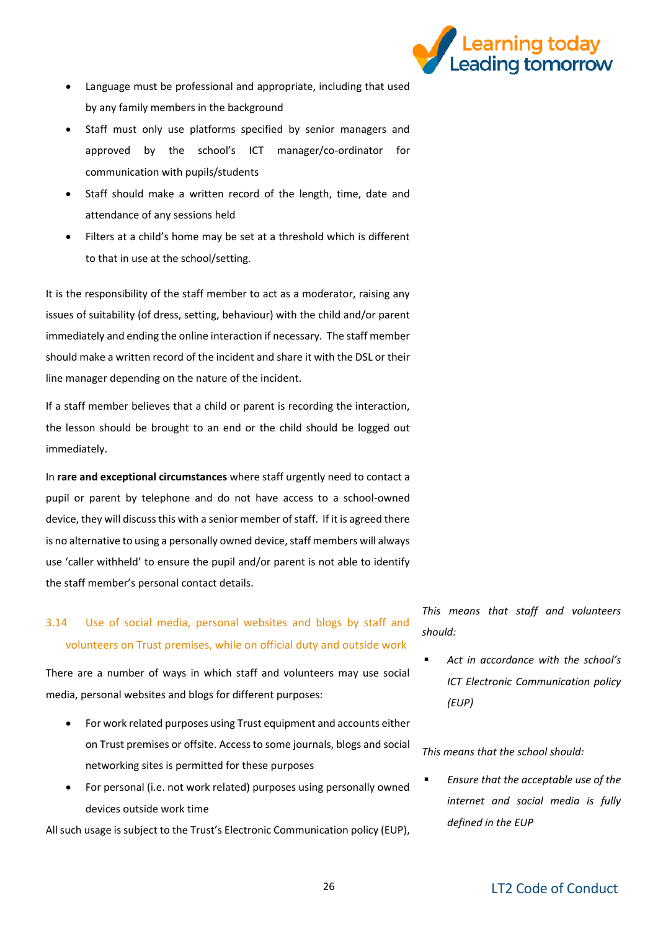

- Language must be professional and appropriate, including that used by any family members in the background
- Staff must only use platforms specified by senior managers and approved by the school's ICT manager/co-ordinator for communication with pupils/students
- Staff should make a written record of the length, time, date and attendance of any sessions held
- Filters at a child's home may be set at a threshold which is different to that in use at the school/setting.

It is the responsibility of the staff member to act as a moderator, raising any issues of suitability (of dress, setting, behaviour) with the child and/or parent immediately and ending the online interaction if necessary. The staff member should make a written record of the incident and share it with the DSL or their line manager depending on the nature of the incident.

If a staff member believes that a child or parent is recording the interaction, the lesson should be brought to an end or the child should be logged out immediately.

In **rare and exceptional circumstances** where staff urgently need to contact a pupil or parent by telephone and do not have access to a school-owned device, they will discuss this with a senior member of staff. If it is agreed there is no alternative to using a personally owned device, staff members will always use 'caller withheld' to ensure the pupil and/or parent is not able to identify the staff member's personal contact details.

### 3.14 Use of social media, personal websites and blogs by staff and volunteers on Trust premises, while on official duty and outside work

There are a number of ways in which staff and volunteers may use social media, personal websites and blogs for different purposes:

- For work related purposes using Trust equipment and accounts either on Trust premises or offsite. Access to some journals, blogs and social networking sites is permitted for these purposes
- For personal (i.e. not work related) purposes using personally owned devices outside work time

All such usage is subject to the Trust's Electronic Communication policy (EUP),

*This means that staff and volunteers should:*

▪ *Act in accordance with the school's ICT Electronic Communication policy (EUP)*

*This means that the school should:*

**Ensure that the acceptable use of the** *internet and social media is fully defined in the EUP*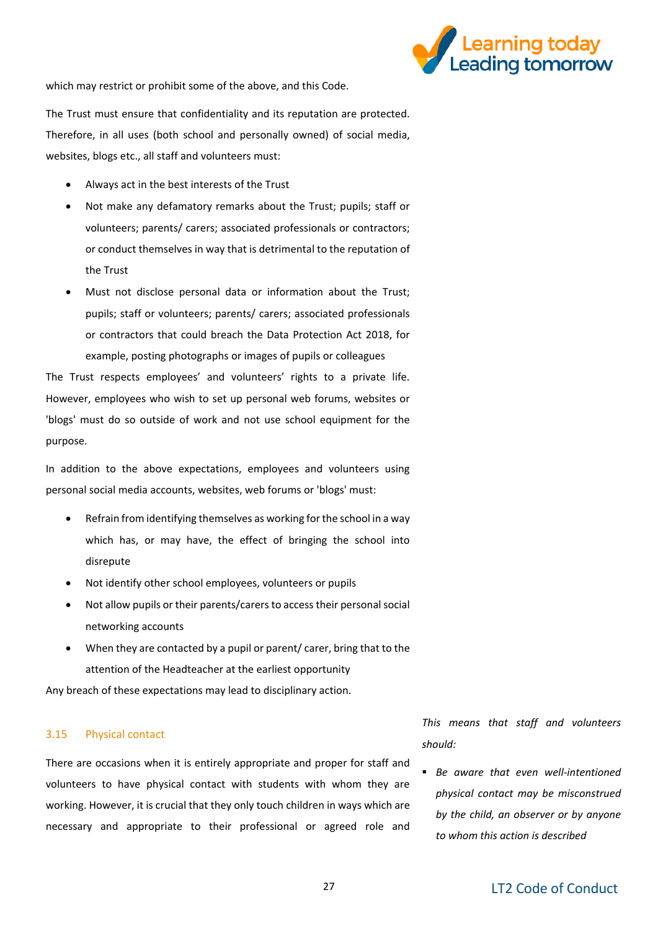

which may restrict or prohibit some of the above, and this Code.

The Trust must ensure that confidentiality and its reputation are protected. Therefore, in all uses (both school and personally owned) of social media, websites, blogs etc., all staff and volunteers must:

- Always act in the best interests of the Trust
- Not make any defamatory remarks about the Trust; pupils; staff or volunteers; parents/ carers; associated professionals or contractors; or conduct themselves in way that is detrimental to the reputation of the Trust
- Must not disclose personal data or information about the Trust; pupils; staff or volunteers; parents/ carers; associated professionals or contractors that could breach the Data Protection Act 2018, for example, posting photographs or images of pupils or colleagues

The Trust respects employees' and volunteers' rights to a private life. However, employees who wish to set up personal web forums, websites or 'blogs' must do so outside of work and not use school equipment for the purpose.

In addition to the above expectations, employees and volunteers using personal social media accounts, websites, web forums or 'blogs' must:

- Refrain from identifying themselves as working for the school in a way which has, or may have, the effect of bringing the school into disrepute
- Not identify other school employees, volunteers or pupils
- Not allow pupils or their parents/carers to access their personal social networking accounts
- When they are contacted by a pupil or parent/ carer, bring that to the attention of the Headteacher at the earliest opportunity

Any breach of these expectations may lead to disciplinary action.

#### 3.15 Physical contact

There are occasions when it is entirely appropriate and proper for staff and volunteers to have physical contact with students with whom they are working. However, it is crucial that they only touch children in ways which are necessary and appropriate to their professional or agreed role and

*This means that staff and volunteers should:*

▪ *Be aware that even well-intentioned physical contact may be misconstrued by the child, an observer or by anyone to whom this action is described*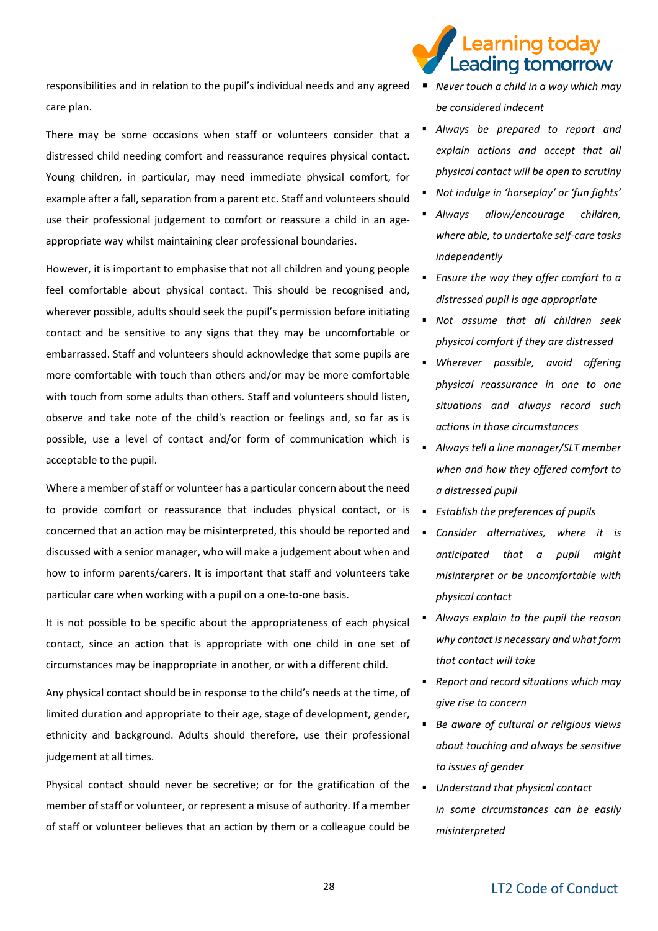earning today. Leading tomorrow

responsibilities and in relation to the pupil's individual needs and any agreed ▪ *Never touch a child in a way which may*  care plan.

There may be some occasions when staff or volunteers consider that a distressed child needing comfort and reassurance requires physical contact. Young children, in particular, may need immediate physical comfort, for example after a fall, separation from a parent etc. Staff and volunteers should use their professional judgement to comfort or reassure a child in an ageappropriate way whilst maintaining clear professional boundaries.

However, it is important to emphasise that not all children and young people feel comfortable about physical contact. This should be recognised and, wherever possible, adults should seek the pupil's permission before initiating contact and be sensitive to any signs that they may be uncomfortable or embarrassed. Staff and volunteers should acknowledge that some pupils are more comfortable with touch than others and/or may be more comfortable with touch from some adults than others. Staff and volunteers should listen, observe and take note of the child's reaction or feelings and, so far as is possible, use a level of contact and/or form of communication which is acceptable to the pupil.

Where a member of staff or volunteer has a particular concern about the need to provide comfort or reassurance that includes physical contact, or is concerned that an action may be misinterpreted, this should be reported and discussed with a senior manager, who will make a judgement about when and how to inform parents/carers. It is important that staff and volunteers take particular care when working with a pupil on a one-to-one basis.

It is not possible to be specific about the appropriateness of each physical contact, since an action that is appropriate with one child in one set of circumstances may be inappropriate in another, or with a different child.

Any physical contact should be in response to the child's needs at the time, of limited duration and appropriate to their age, stage of development, gender, ethnicity and background. Adults should therefore, use their professional judgement at all times.

Physical contact should never be secretive; or for the gratification of the member of staff or volunteer, or represent a misuse of authority. If a member of staff or volunteer believes that an action by them or a colleague could be

- *be considered indecent*
- *Always be prepared to report and explain actions and accept that all physical contact will be open to scrutiny*
- *Not indulge in 'horseplay' or 'fun fights'*
- *Always allow/encourage children, where able, to undertake self-care tasks independently*
- *Ensure the way they offer comfort to a distressed pupil is age appropriate*
- *Not assume that all children seek physical comfort if they are distressed*
- *Wherever possible, avoid offering physical reassurance in one to one situations and always record such actions in those circumstances*
- *Always tell a line manager/SLT member when and how they offered comfort to a distressed pupil*
- *Establish the preferences of pupils*
- *Consider alternatives, where it is anticipated that a pupil might misinterpret or be uncomfortable with physical contact*
- *Always explain to the pupil the reason why contact is necessary and what form that contact will take*
- *Report and record situations which may give rise to concern*
- *Be aware of cultural or religious views about touching and always be sensitive to issues of gender*
- *Understand that physical contact in some circumstances can be easily misinterpreted*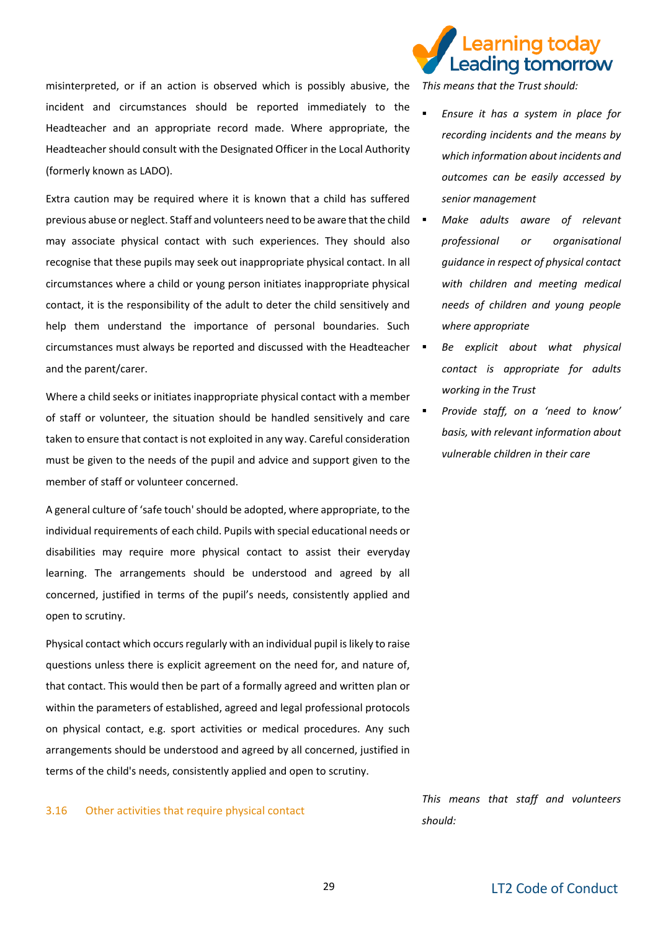misinterpreted, or if an action is observed which is possibly abusive, the incident and circumstances should be reported immediately to the Headteacher and an appropriate record made. Where appropriate, the Headteacher should consult with the Designated Officer in the Local Authority (formerly known as LADO).

Extra caution may be required where it is known that a child has suffered previous abuse or neglect. Staff and volunteers need to be aware that the child may associate physical contact with such experiences. They should also recognise that these pupils may seek out inappropriate physical contact. In all circumstances where a child or young person initiates inappropriate physical contact, it is the responsibility of the adult to deter the child sensitively and help them understand the importance of personal boundaries. Such circumstances must always be reported and discussed with the Headteacher and the parent/carer.

Where a child seeks or initiates inappropriate physical contact with a member of staff or volunteer, the situation should be handled sensitively and care taken to ensure that contact is not exploited in any way. Careful consideration must be given to the needs of the pupil and advice and support given to the member of staff or volunteer concerned.

A general culture of 'safe touch' should be adopted, where appropriate, to the individual requirements of each child. Pupils with special educational needs or disabilities may require more physical contact to assist their everyday learning. The arrangements should be understood and agreed by all concerned, justified in terms of the pupil's needs, consistently applied and open to scrutiny.

Physical contact which occurs regularly with an individual pupil is likely to raise questions unless there is explicit agreement on the need for, and nature of, that contact. This would then be part of a formally agreed and written plan or within the parameters of established, agreed and legal professional protocols on physical contact, e.g. sport activities or medical procedures. Any such arrangements should be understood and agreed by all concerned, justified in terms of the child's needs, consistently applied and open to scrutiny.

#### 3.16 Other activities that require physical contact



*This means that the Trust should:*

- *Ensure it has a system in place for recording incidents and the means by which information about incidents and outcomes can be easily accessed by senior management*
- **Make adults aware of relevant** *professional or organisational guidance in respect of physical contact with children and meeting medical needs of children and young people where appropriate*
- Be explicit about what physical *contact is appropriate for adults working in the Trust*
- *Provide staff, on a 'need to know' basis, with relevant information about vulnerable children in their care*

*This means that staff and volunteers should:*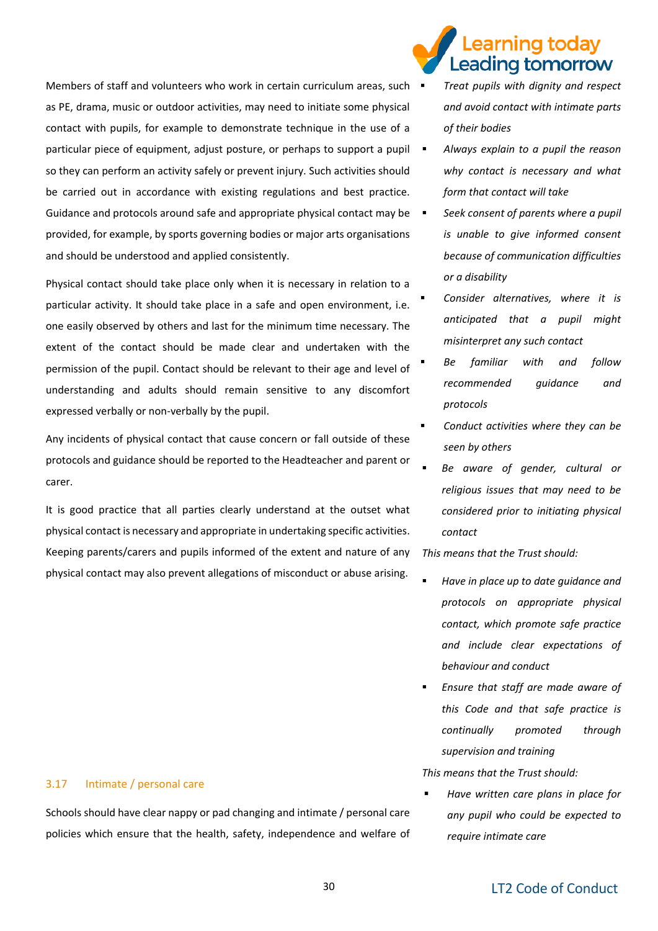Members of staff and volunteers who work in certain curriculum areas, such  $\blacksquare$ as PE, drama, music or outdoor activities, may need to initiate some physical contact with pupils, for example to demonstrate technique in the use of a particular piece of equipment, adjust posture, or perhaps to support a pupil so they can perform an activity safely or prevent injury. Such activities should be carried out in accordance with existing regulations and best practice. Guidance and protocols around safe and appropriate physical contact may be  $\blacksquare$ provided, for example, by sports governing bodies or major arts organisations and should be understood and applied consistently.

Physical contact should take place only when it is necessary in relation to a particular activity. It should take place in a safe and open environment, i.e. one easily observed by others and last for the minimum time necessary. The extent of the contact should be made clear and undertaken with the permission of the pupil. Contact should be relevant to their age and level of understanding and adults should remain sensitive to any discomfort expressed verbally or non-verbally by the pupil.

Any incidents of physical contact that cause concern or fall outside of these protocols and guidance should be reported to the Headteacher and parent or carer.

It is good practice that all parties clearly understand at the outset what physical contact is necessary and appropriate in undertaking specific activities. Keeping parents/carers and pupils informed of the extent and nature of any physical contact may also prevent allegations of misconduct or abuse arising.

### earning todav. Leading tomorrow

- *Treat pupils with dignity and respect and avoid contact with intimate parts of their bodies*
- *Always explain to a pupil the reason why contact is necessary and what form that contact will take*
- Seek consent of parents where a pupil *is unable to give informed consent because of communication difficulties or a disability*
- *Consider alternatives, where it is anticipated that a pupil might misinterpret any such contact*
- Be familiar with and follow *recommended guidance and protocols*
- *Conduct activities where they can be seen by others*
- Be aware of gender, cultural or *religious issues that may need to be considered prior to initiating physical contact*

*This means that the Trust should:*

- *Have in place up to date guidance and protocols on appropriate physical contact, which promote safe practice and include clear expectations of behaviour and conduct*
- Ensure that staff are made aware of *this Code and that safe practice is continually promoted through supervision and training*

*This means that the Trust should:* 

▪ *Have written care plans in place for any pupil who could be expected to require intimate care* 

#### 3.17 Intimate / personal care

Schools should have clear nappy or pad changing and intimate / personal care policies which ensure that the health, safety, independence and welfare of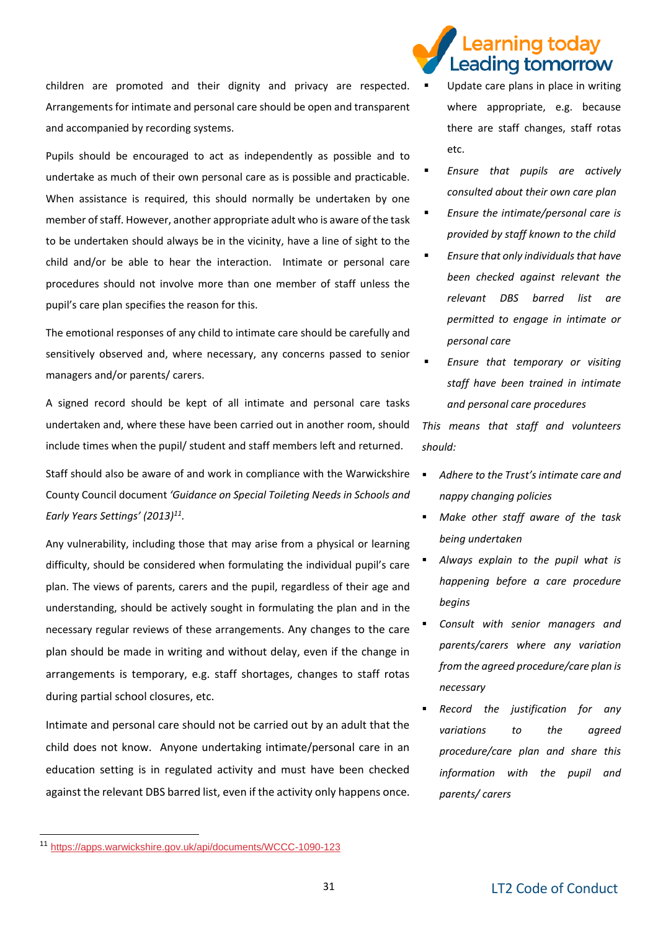children are promoted and their dignity and privacy are respected. Arrangements for intimate and personal care should be open and transparent and accompanied by recording systems.

Pupils should be encouraged to act as independently as possible and to undertake as much of their own personal care as is possible and practicable. When assistance is required, this should normally be undertaken by one member of staff. However, another appropriate adult who is aware of the task to be undertaken should always be in the vicinity, have a line of sight to the child and/or be able to hear the interaction. Intimate or personal care procedures should not involve more than one member of staff unless the pupil's care plan specifies the reason for this.

The emotional responses of any child to intimate care should be carefully and sensitively observed and, where necessary, any concerns passed to senior managers and/or parents/ carers.

A signed record should be kept of all intimate and personal care tasks undertaken and, where these have been carried out in another room, should include times when the pupil/ student and staff members left and returned.

Staff should also be aware of and work in compliance with the Warwickshire County Council document *'Guidance on Special Toileting Needs in Schools and Early Years Settings' (2013)<sup>11</sup> .*

Any vulnerability, including those that may arise from a physical or learning difficulty, should be considered when formulating the individual pupil's care plan. The views of parents, carers and the pupil, regardless of their age and understanding, should be actively sought in formulating the plan and in the necessary regular reviews of these arrangements. Any changes to the care plan should be made in writing and without delay, even if the change in arrangements is temporary, e.g. staff shortages, changes to staff rotas during partial school closures, etc.

Intimate and personal care should not be carried out by an adult that the child does not know. Anyone undertaking intimate/personal care in an education setting is in regulated activity and must have been checked against the relevant DBS barred list, even if the activity only happens once.

### earning todav. Leading tomorrow

- Update care plans in place in writing where appropriate, e.g. because there are staff changes, staff rotas etc.
- *Ensure that pupils are actively consulted about their own care plan*
- *Ensure the intimate/personal care is provided by staff known to the child*
- *Ensure that only individuals that have been checked against relevant the relevant DBS barred list are permitted to engage in intimate or personal care*
- *Ensure that temporary or visiting staff have been trained in intimate and personal care procedures*

*This means that staff and volunteers should:*

- *Adhere to the Trust's intimate care and nappy changing policies*
- *Make other staff aware of the task being undertaken*
	- *Always explain to the pupil what is happening before a care procedure begins*
- *Consult with senior managers and parents/carers where any variation from the agreed procedure/care plan is necessary*
- **Record the justification for any** *variations to the agreed procedure/care plan and share this information with the pupil and parents/ carers*

-

<sup>11</sup> <https://apps.warwickshire.gov.uk/api/documents/WCCC-1090-123>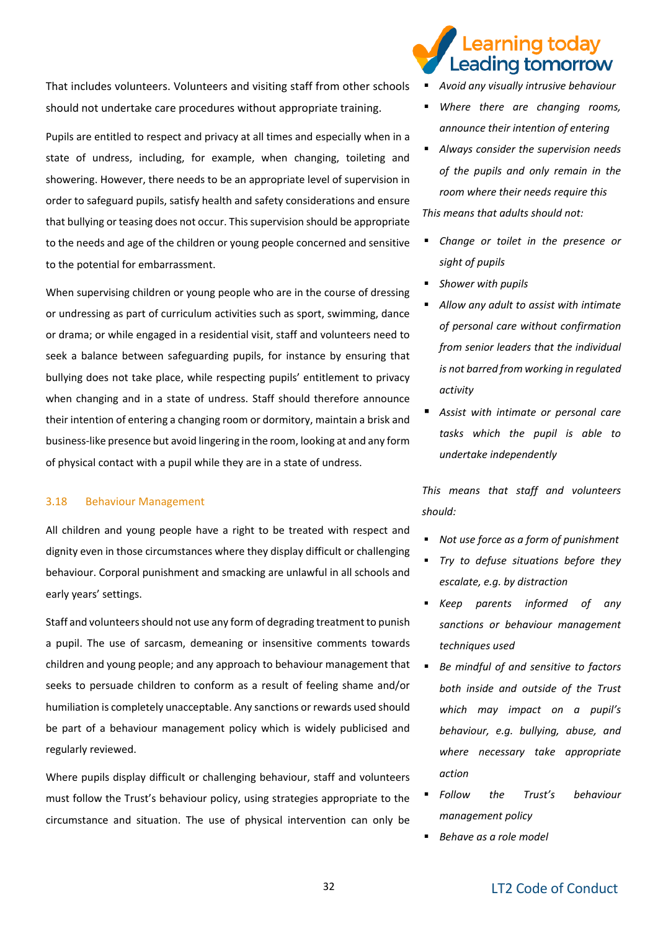That includes volunteers. Volunteers and visiting staff from other schools should not undertake care procedures without appropriate training.

Pupils are entitled to respect and privacy at all times and especially when in a state of undress, including, for example, when changing, toileting and showering. However, there needs to be an appropriate level of supervision in order to safeguard pupils, satisfy health and safety considerations and ensure that bullying or teasing does not occur. This supervision should be appropriate to the needs and age of the children or young people concerned and sensitive to the potential for embarrassment.

When supervising children or young people who are in the course of dressing or undressing as part of curriculum activities such as sport, swimming, dance or drama; or while engaged in a residential visit, staff and volunteers need to seek a balance between safeguarding pupils, for instance by ensuring that bullying does not take place, while respecting pupils' entitlement to privacy when changing and in a state of undress. Staff should therefore announce their intention of entering a changing room or dormitory, maintain a brisk and business-like presence but avoid lingering in the room, looking at and any form of physical contact with a pupil while they are in a state of undress.

#### 3.18 Behaviour Management

All children and young people have a right to be treated with respect and dignity even in those circumstances where they display difficult or challenging behaviour. Corporal punishment and smacking are unlawful in all schools and early years' settings.

Staff and volunteers should not use any form of degrading treatment to punish a pupil. The use of sarcasm, demeaning or insensitive comments towards children and young people; and any approach to behaviour management that seeks to persuade children to conform as a result of feeling shame and/or humiliation is completely unacceptable. Any sanctions or rewards used should be part of a behaviour management policy which is widely publicised and regularly reviewed.

Where pupils display difficult or challenging behaviour, staff and volunteers must follow the Trust's behaviour policy, using strategies appropriate to the circumstance and situation. The use of physical intervention can only be

# earning today. Leading tomorrow

▪ *Avoid any visually intrusive behaviour* 

- Where there are changing rooms, *announce their intention of entering*
- *Always consider the supervision needs of the pupils and only remain in the room where their needs require this This means that adults should not:*
- *Change or toilet in the presence or sight of pupils*
- **Shower with pupils**
- *Allow any adult to assist with intimate of personal care without confirmation from senior leaders that the individual is not barred from working in regulated activity*
- *Assist with intimate or personal care tasks which the pupil is able to undertake independently*

*This means that staff and volunteers should:*

- *Not use force as a form of punishment*
- **Try to defuse situations before they** *escalate, e.g. by distraction*
- *Keep parents informed of any sanctions or behaviour management techniques used*
- *Be mindful of and sensitive to factors both inside and outside of the Trust which may impact on a pupil's behaviour, e.g. bullying, abuse, and where necessary take appropriate action*
- *Follow the Trust's behaviour management policy*
- *Behave as a role model*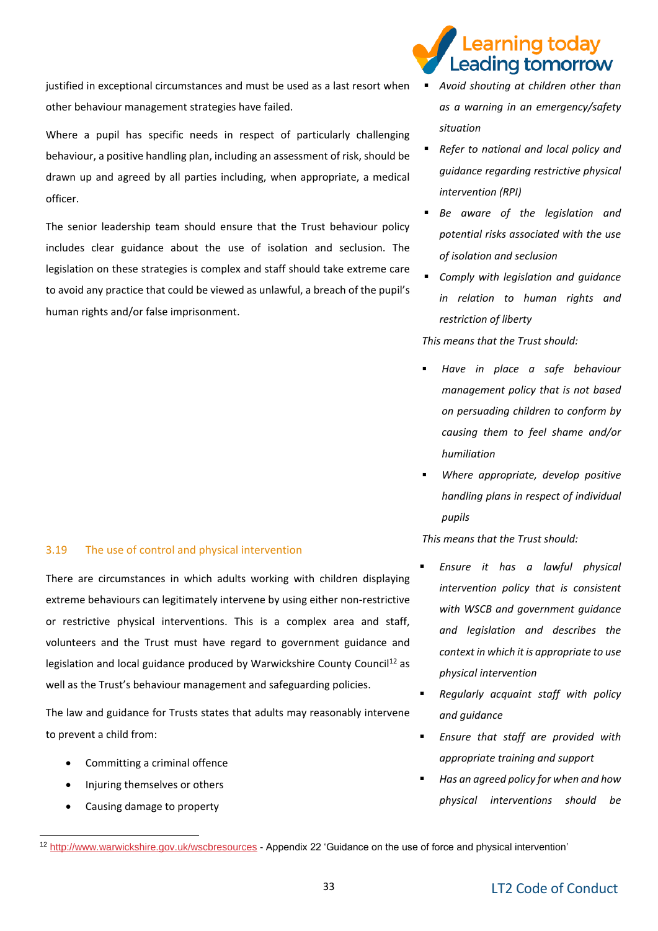justified in exceptional circumstances and must be used as a last resort when other behaviour management strategies have failed.

Where a pupil has specific needs in respect of particularly challenging behaviour, a positive handling plan, including an assessment of risk, should be drawn up and agreed by all parties including, when appropriate, a medical officer.

The senior leadership team should ensure that the Trust behaviour policy includes clear guidance about the use of isolation and seclusion. The legislation on these strategies is complex and staff should take extreme care to avoid any practice that could be viewed as unlawful, a breach of the pupil's human rights and/or false imprisonment.

#### 3.19 The use of control and physical intervention

There are circumstances in which adults working with children displaying extreme behaviours can legitimately intervene by using either non-restrictive or restrictive physical interventions. This is a complex area and staff, volunteers and the Trust must have regard to government guidance and legislation and local guidance produced by Warwickshire County Council<sup>12</sup> as well as the Trust's behaviour management and safeguarding policies.

The law and guidance for Trusts states that adults may reasonably intervene to prevent a child from:

- Committing a criminal offence
- Injuring themselves or others
- Causing damage to property

# earning today. Leading tomorrow

- *Avoid shouting at children other than as a warning in an emergency/safety situation*
- *Refer to national and local policy and guidance regarding restrictive physical intervention (RPI)*
- *Be aware of the legislation and potential risks associated with the use of isolation and seclusion*
- *Comply with legislation and guidance in relation to human rights and restriction of liberty*

*This means that the Trust should:*

- *Have in place a safe behaviour management policy that is not based on persuading children to conform by causing them to feel shame and/or humiliation*
- *Where appropriate, develop positive handling plans in respect of individual pupils*

*This means that the Trust should:*

- *Ensure it has a lawful physical intervention policy that is consistent with WSCB and government guidance and legislation and describes the context in which it is appropriate to use physical intervention*
- **Regularly acquaint staff with policy** *and guidance*
- *Ensure that staff are provided with appropriate training and support*
- **Has an agreed policy for when and how** *physical interventions should be*

<sup>-</sup><sup>12</sup> <http://www.warwickshire.gov.uk/wscbresources> - Appendix 22 'Guidance on the use of force and physical intervention'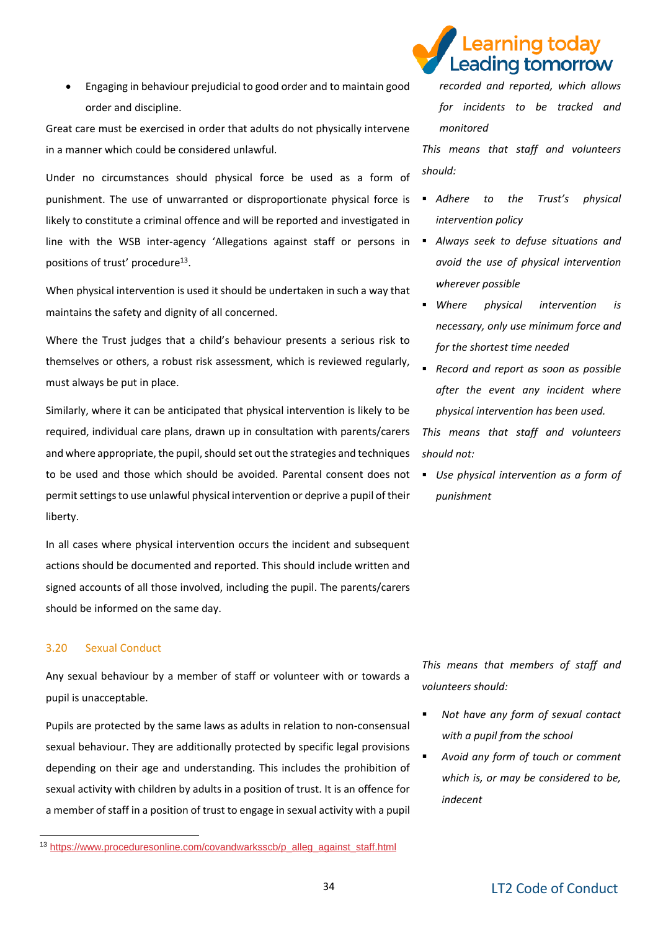• Engaging in behaviour prejudicial to good order and to maintain good order and discipline.

Great care must be exercised in order that adults do not physically intervene in a manner which could be considered unlawful.

Under no circumstances should physical force be used as a form of punishment. The use of unwarranted or disproportionate physical force is likely to constitute a criminal offence and will be reported and investigated in line with the WSB inter-agency 'Allegations against staff or persons in positions of trust' procedure<sup>13</sup>.

When physical intervention is used it should be undertaken in such a way that maintains the safety and dignity of all concerned.

Where the Trust judges that a child's behaviour presents a serious risk to themselves or others, a robust risk assessment, which is reviewed regularly, must always be put in place.

Similarly, where it can be anticipated that physical intervention is likely to be required, individual care plans, drawn up in consultation with parents/carers and where appropriate, the pupil, should set out the strategies and techniques to be used and those which should be avoided. Parental consent does not permit settings to use unlawful physical intervention or deprive a pupil of their liberty.

In all cases where physical intervention occurs the incident and subsequent actions should be documented and reported. This should include written and signed accounts of all those involved, including the pupil. The parents/carers should be informed on the same day.

#### 3.20 Sexual Conduct

-

Any sexual behaviour by a member of staff or volunteer with or towards a pupil is unacceptable.

Pupils are protected by the same laws as adults in relation to non-consensual sexual behaviour. They are additionally protected by specific legal provisions depending on their age and understanding. This includes the prohibition of sexual activity with children by adults in a position of trust. It is an offence for a member of staff in a position of trust to engage in sexual activity with a pupil



*recorded and reported, which allows for incidents to be tracked and monitored*

*This means that staff and volunteers should:*

- *Adhere to the Trust's physical intervention policy*
- *Always seek to defuse situations and avoid the use of physical intervention wherever possible*
- *Where physical intervention is necessary, only use minimum force and for the shortest time needed*
- *Record and report as soon as possible after the event any incident where physical intervention has been used.*

*This means that staff and volunteers should not:*

▪ *Use physical intervention as a form of punishment* 

*This means that members of staff and volunteers should:*

- *Not have any form of sexual contact with a pupil from the school*
- *Avoid any form of touch or comment which is, or may be considered to be, indecent*

<sup>13</sup> [https://www.proceduresonline.com/covandwarksscb/p\\_alleg\\_against\\_staff.html](https://www.proceduresonline.com/covandwarksscb/p_alleg_against_staff.html)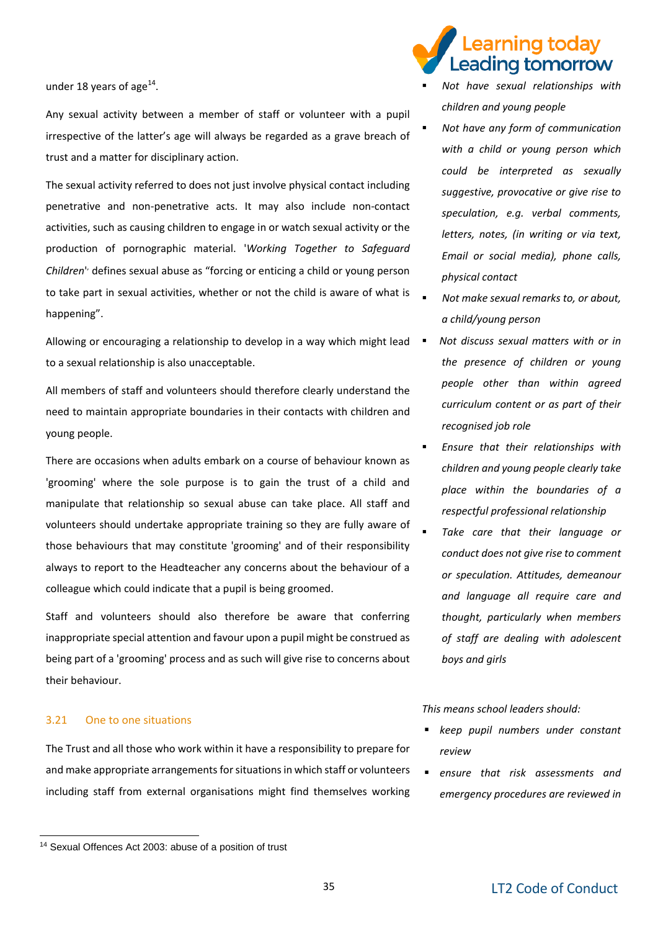under 18 years of age $^{14}$ .

Any sexual activity between a member of staff or volunteer with a pupil irrespective of the latter's age will always be regarded as a grave breach of trust and a matter for disciplinary action.

The sexual activity referred to does not just involve physical contact including penetrative and non-penetrative acts. It may also include non-contact activities, such as causing children to engage in or watch sexual activity or the production of pornographic material. '*Working Together to Safeguard*  Children<sup>1</sup> defines sexual abuse as "forcing or enticing a child or young person to take part in sexual activities, whether or not the child is aware of what is happening".

Allowing or encouraging a relationship to develop in a way which might lead  $\blacksquare$ to a sexual relationship is also unacceptable.

All members of staff and volunteers should therefore clearly understand the need to maintain appropriate boundaries in their contacts with children and young people.

There are occasions when adults embark on a course of behaviour known as 'grooming' where the sole purpose is to gain the trust of a child and manipulate that relationship so sexual abuse can take place. All staff and volunteers should undertake appropriate training so they are fully aware of those behaviours that may constitute 'grooming' and of their responsibility always to report to the Headteacher any concerns about the behaviour of a colleague which could indicate that a pupil is being groomed.

Staff and volunteers should also therefore be aware that conferring inappropriate special attention and favour upon a pupil might be construed as being part of a 'grooming' process and as such will give rise to concerns about their behaviour.

#### 3.21 One to one situations

-

The Trust and all those who work within it have a responsibility to prepare for and make appropriate arrangements for situations in which staff or volunteers including staff from external organisations might find themselves working

#### <sup>14</sup> Sexual Offences Act 2003: abuse of a position of trust

### earning today eading tomorrow

- *Not have sexual relationships with children and young people*
- **Not have any form of communication** *with a child or young person which could be interpreted as sexually suggestive, provocative or give rise to speculation, e.g. verbal comments, letters, notes, (in writing or via text, Email or social media), phone calls, physical contact*
- *Not make sexual remarks to, or about, a child/young person*
- *Not discuss sexual matters with or in the presence of children or young people other than within agreed curriculum content or as part of their recognised job role*
- *Ensure that their relationships with children and young people clearly take place within the boundaries of a respectful professional relationship*
- Take care that their language or *conduct does not give rise to comment or speculation. Attitudes, demeanour and language all require care and thought, particularly when members of staff are dealing with adolescent boys and girls*

#### *This means school leaders should:*

- *keep pupil numbers under constant review*
- ensure that risk assessments and *emergency procedures are reviewed in*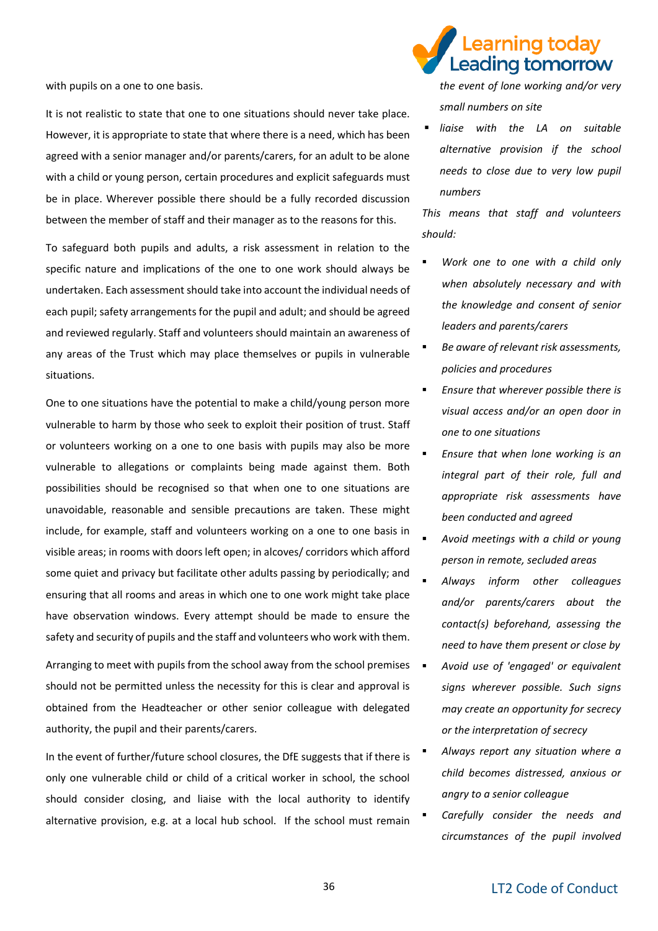with pupils on a one to one basis.

It is not realistic to state that one to one situations should never take place. However, it is appropriate to state that where there is a need, which has been agreed with a senior manager and/or parents/carers, for an adult to be alone with a child or young person, certain procedures and explicit safeguards must be in place. Wherever possible there should be a fully recorded discussion between the member of staff and their manager as to the reasons for this.

To safeguard both pupils and adults, a risk assessment in relation to the specific nature and implications of the one to one work should always be undertaken. Each assessment should take into account the individual needs of each pupil; safety arrangements for the pupil and adult; and should be agreed and reviewed regularly. Staff and volunteers should maintain an awareness of any areas of the Trust which may place themselves or pupils in vulnerable situations.

One to one situations have the potential to make a child/young person more vulnerable to harm by those who seek to exploit their position of trust. Staff or volunteers working on a one to one basis with pupils may also be more vulnerable to allegations or complaints being made against them. Both possibilities should be recognised so that when one to one situations are unavoidable, reasonable and sensible precautions are taken. These might include, for example, staff and volunteers working on a one to one basis in visible areas; in rooms with doors left open; in alcoves/ corridors which afford some quiet and privacy but facilitate other adults passing by periodically; and ensuring that all rooms and areas in which one to one work might take place have observation windows. Every attempt should be made to ensure the safety and security of pupils and the staff and volunteers who work with them.

Arranging to meet with pupils from the school away from the school premises  $\quadblacksquare$ should not be permitted unless the necessity for this is clear and approval is obtained from the Headteacher or other senior colleague with delegated authority, the pupil and their parents/carers.

In the event of further/future school closures, the DfE suggests that if there is only one vulnerable child or child of a critical worker in school, the school should consider closing, and liaise with the local authority to identify alternative provision, e.g. at a local hub school. If the school must remain

# earning todav. Leading tomorrow

*the event of lone working and/or very small numbers on site* 

ligise with the LA on suitable *alternative provision if the school needs to close due to very low pupil numbers*

*This means that staff and volunteers should:*

- Work one to one with a child only *when absolutely necessary and with the knowledge and consent of senior leaders and parents/carers*
- *Be aware of relevant risk assessments, policies and procedures*
- *Ensure that wherever possible there is visual access and/or an open door in one to one situations*
- *Ensure that when lone working is an integral part of their role, full and appropriate risk assessments have been conducted and agreed*
- *Avoid meetings with a child or young person in remote, secluded areas*
- *Always inform other colleagues and/or parents/carers about the contact(s) beforehand, assessing the need to have them present or close by*
- *Avoid use of 'engaged' or equivalent signs wherever possible. Such signs may create an opportunity for secrecy or the interpretation of secrecy*
- *Always report any situation where a child becomes distressed, anxious or angry to a senior colleague*
- *Carefully consider the needs and circumstances of the pupil involved*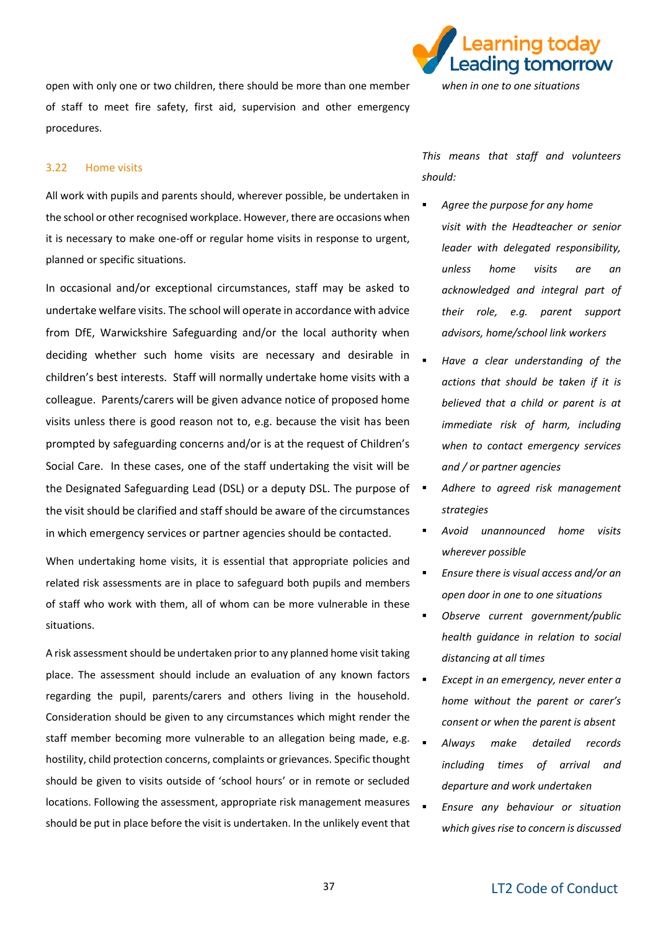open with only one or two children, there should be more than one member of staff to meet fire safety, first aid, supervision and other emergency procedures.

#### 3.22 Home visits

All work with pupils and parents should, wherever possible, be undertaken in the school or other recognised workplace. However, there are occasions when it is necessary to make one-off or regular home visits in response to urgent, planned or specific situations.

In occasional and/or exceptional circumstances, staff may be asked to undertake welfare visits. The school will operate in accordance with advice from DfE, Warwickshire Safeguarding and/or the local authority when deciding whether such home visits are necessary and desirable in children's best interests. Staff will normally undertake home visits with a colleague. Parents/carers will be given advance notice of proposed home visits unless there is good reason not to, e.g. because the visit has been prompted by safeguarding concerns and/or is at the request of Children's Social Care. In these cases, one of the staff undertaking the visit will be the Designated Safeguarding Lead (DSL) or a deputy DSL. The purpose of  $\blacksquare$ the visit should be clarified and staff should be aware of the circumstances in which emergency services or partner agencies should be contacted.

When undertaking home visits, it is essential that appropriate policies and related risk assessments are in place to safeguard both pupils and members of staff who work with them, all of whom can be more vulnerable in these situations.

A risk assessment should be undertaken prior to any planned home visit taking place. The assessment should include an evaluation of any known factors regarding the pupil, parents/carers and others living in the household. Consideration should be given to any circumstances which might render the staff member becoming more vulnerable to an allegation being made, e.g. hostility, child protection concerns, complaints or grievances. Specific thought should be given to visits outside of 'school hours' or in remote or secluded locations. Following the assessment, appropriate risk management measures should be put in place before the visit is undertaken. In the unlikely event that



*This means that staff and volunteers should:* 

- Agree the purpose for any home *visit with the Headteacher or senior leader with delegated responsibility, unless home visits are an acknowledged and integral part of their role, e.g. parent support advisors, home/school link workers*
- Have a clear understanding of the *actions that should be taken if it is believed that a child or parent is at immediate risk of harm, including when to contact emergency services and / or partner agencies*
- *Adhere to agreed risk management strategies*
- *Avoid unannounced home visits wherever possible*
- *Ensure there is visual access and/or an open door in one to one situations*
- *Observe current government/public health guidance in relation to social distancing at all times*
- *Except in an emergency, never enter a home without the parent or carer's consent or when the parent is absent*
- *Always make detailed records including times of arrival and departure and work undertaken*
- *Ensure any behaviour or situation which gives rise to concern is discussed*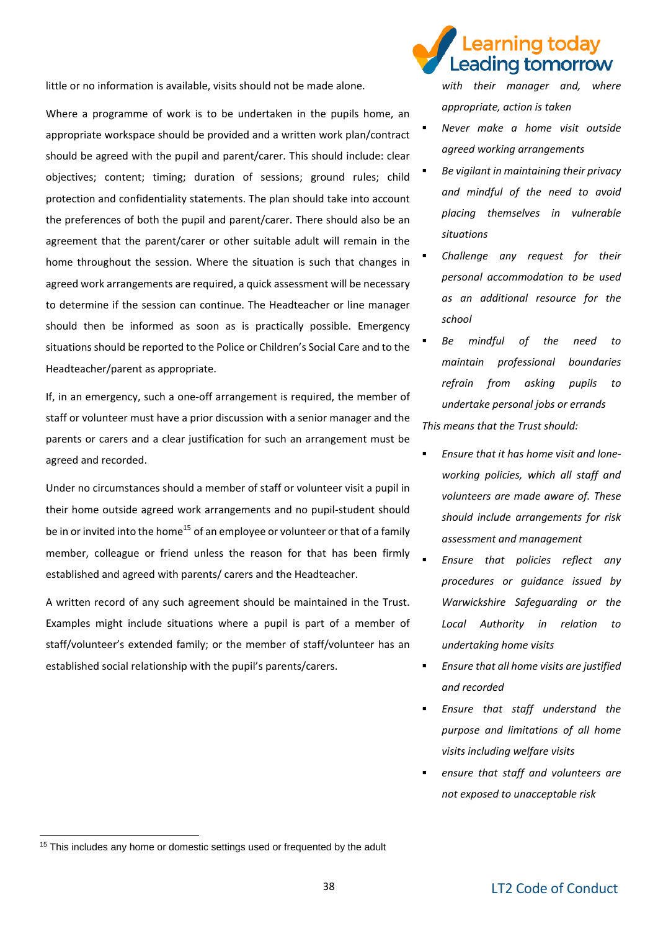little or no information is available, visits should not be made alone.

Where a programme of work is to be undertaken in the pupils home, an appropriate workspace should be provided and a written work plan/contract should be agreed with the pupil and parent/carer. This should include: clear objectives; content; timing; duration of sessions; ground rules; child protection and confidentiality statements. The plan should take into account the preferences of both the pupil and parent/carer. There should also be an agreement that the parent/carer or other suitable adult will remain in the home throughout the session. Where the situation is such that changes in agreed work arrangements are required, a quick assessment will be necessary to determine if the session can continue. The Headteacher or line manager should then be informed as soon as is practically possible. Emergency situations should be reported to the Police or Children's Social Care and to the Headteacher/parent as appropriate.

If, in an emergency, such a one-off arrangement is required, the member of staff or volunteer must have a prior discussion with a senior manager and the parents or carers and a clear justification for such an arrangement must be agreed and recorded.

Under no circumstances should a member of staff or volunteer visit a pupil in their home outside agreed work arrangements and no pupil-student should be in or invited into the home<sup>15</sup> of an employee or volunteer or that of a family member, colleague or friend unless the reason for that has been firmly established and agreed with parents/ carers and the Headteacher.

A written record of any such agreement should be maintained in the Trust. Examples might include situations where a pupil is part of a member of staff/volunteer's extended family; or the member of staff/volunteer has an established social relationship with the pupil's parents/carers.

# earning today eading tomorrow

*with their manager and, where appropriate, action is taken*

- *Never make a home visit outside agreed working arrangements*
- *Be vigilant in maintaining their privacy and mindful of the need to avoid placing themselves in vulnerable situations*
- **Challenge any request for their** *personal accommodation to be used as an additional resource for the school*
- Be mindful of the need to *maintain professional boundaries refrain from asking pupils to undertake personal jobs or errands This means that the Trust should:*
- *Ensure that it has home visit and loneworking policies, which all staff and volunteers are made aware of. These should include arrangements for risk assessment and management*
- *Ensure that policies reflect any procedures or guidance issued by Warwickshire Safeguarding or the Local Authority in relation to undertaking home visits*
- *Ensure that all home visits are justified and recorded*
- *Ensure that staff understand the purpose and limitations of all home visits including welfare visits*
- ensure that staff and volunteers are *not exposed to unacceptable risk*

-

<sup>&</sup>lt;sup>15</sup> This includes any home or domestic settings used or frequented by the adult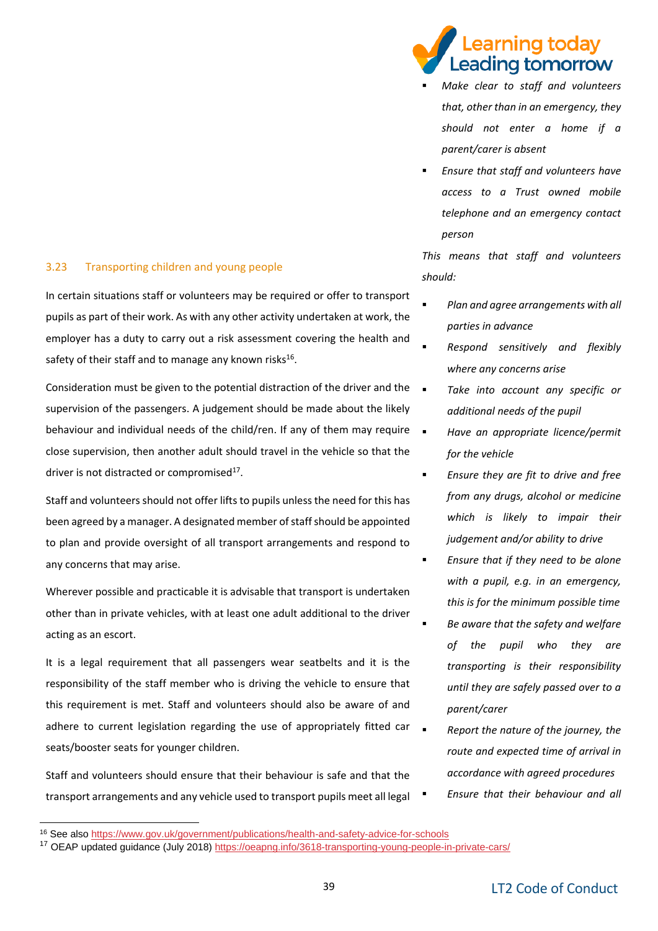#### 3.23 Transporting children and young people

In certain situations staff or volunteers may be required or offer to transport pupils as part of their work. As with any other activity undertaken at work, the employer has a duty to carry out a risk assessment covering the health and safety of their staff and to manage any known risks $^{16}$ .

Consideration must be given to the potential distraction of the driver and the supervision of the passengers. A judgement should be made about the likely behaviour and individual needs of the child/ren. If any of them may require close supervision, then another adult should travel in the vehicle so that the driver is not distracted or compromised<sup>17</sup>.

Staff and volunteers should not offer lifts to pupils unless the need for this has been agreed by a manager. A designated member of staff should be appointed to plan and provide oversight of all transport arrangements and respond to any concerns that may arise.

Wherever possible and practicable it is advisable that transport is undertaken other than in private vehicles, with at least one adult additional to the driver acting as an escort.

It is a legal requirement that all passengers wear seatbelts and it is the responsibility of the staff member who is driving the vehicle to ensure that this requirement is met. Staff and volunteers should also be aware of and adhere to current legislation regarding the use of appropriately fitted car seats/booster seats for younger children.

Staff and volunteers should ensure that their behaviour is safe and that the transport arrangements and any vehicle used to transport pupils meet all legal

-

### earning today. eading tomorrow.

- **Make clear to staff and volunteers** *that, other than in an emergency, they should not enter a home if a parent/carer is absent*
- *Ensure that staff and volunteers have access to a Trust owned mobile telephone and an emergency contact person*

*This means that staff and volunteers should:*

- *Plan and agree arrangements with all parties in advance*
- *Respond sensitively and flexibly where any concerns arise*
- **Take into account any specific or** *additional needs of the pupil*
- *Have an appropriate licence/permit for the vehicle* 
	- *Ensure they are fit to drive and free from any drugs, alcohol or medicine which is likely to impair their judgement and/or ability to drive*
	- Ensure that if they need to be alone *with a pupil, e.g. in an emergency, this is for the minimum possible time*
	- *Be aware that the safety and welfare of the pupil who they are transporting is their responsibility until they are safely passed over to a parent/carer*
	- **Report the nature of the journey, the** *route and expected time of arrival in accordance with agreed procedures Ensure that their behaviour and all*

<sup>16</sup> See als[o https://www.gov.uk/government/publications/health-and-safety-advice-for-schools](https://www.gov.uk/government/publications/health-and-safety-advice-for-schools)

<sup>&</sup>lt;sup>17</sup> OEAP updated guidance (July 2018) https://oeapng.info/3618-transporting-young-people-in-private-cars/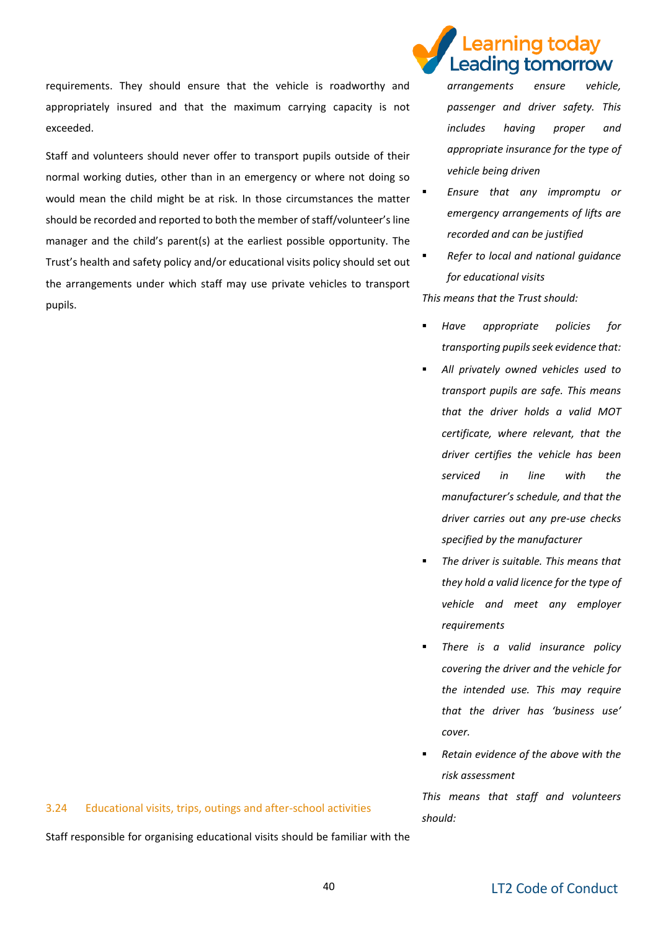requirements. They should ensure that the vehicle is roadworthy and appropriately insured and that the maximum carrying capacity is not exceeded.

Staff and volunteers should never offer to transport pupils outside of their normal working duties, other than in an emergency or where not doing so would mean the child might be at risk. In those circumstances the matter should be recorded and reported to both the member of staff/volunteer's line manager and the child's parent(s) at the earliest possible opportunity. The Trust's health and safety policy and/or educational visits policy should set out the arrangements under which staff may use private vehicles to transport pupils.

# earning todav. Leading tomorrow

*arrangements ensure vehicle, passenger and driver safety. This includes having proper and appropriate insurance for the type of vehicle being driven* 

- *Ensure that any impromptu or emergency arrangements of lifts are recorded and can be justified*
- *Refer to local and national guidance for educational visits*

*This means that the Trust should:*

- *Have appropriate policies for transporting pupils seek evidence that:*
	- *All privately owned vehicles used to transport pupils are safe. This means that the driver holds a valid MOT certificate, where relevant, that the driver certifies the vehicle has been serviced in line with the manufacturer's schedule, and that the driver carries out any pre-use checks specified by the manufacturer*
- **The driver is suitable. This means that** *they hold a valid licence for the type of vehicle and meet any employer requirements*
- There is a valid insurance policy *covering the driver and the vehicle for the intended use. This may require that the driver has 'business use' cover.*
- *Retain evidence of the above with the risk assessment*

*This means that staff and volunteers should:*

#### 3.24 Educational visits, trips, outings and after-school activities

Staff responsible for organising educational visits should be familiar with the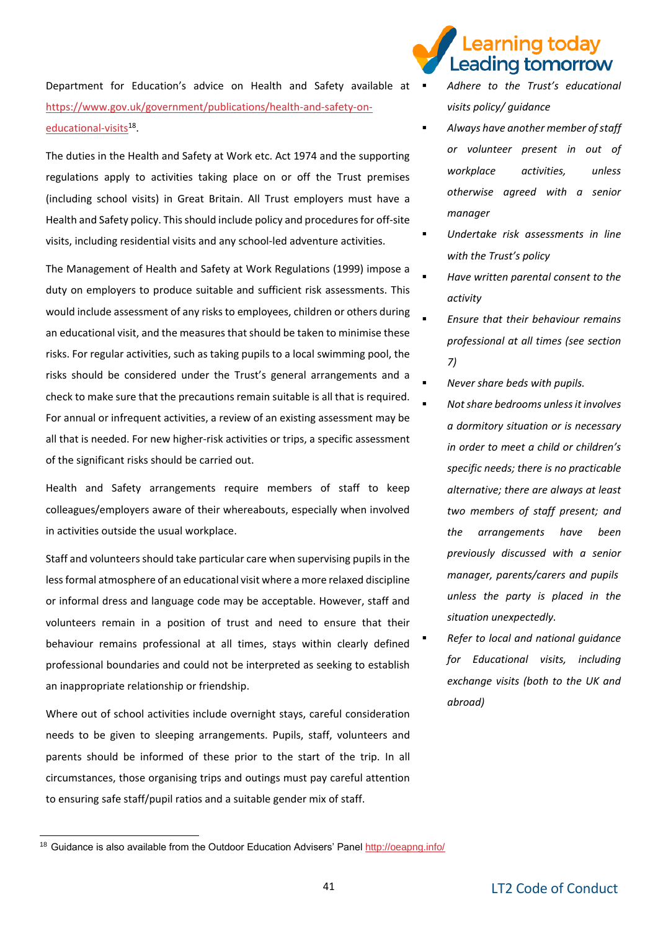Department for Education's advice on Health and Safety available at  $\blacksquare$ [https://www.gov.uk/government/publications/health-and-safety-on](https://www.gov.uk/government/publications/health-and-safety-on-educational-visits)[educational-visits](https://www.gov.uk/government/publications/health-and-safety-on-educational-visits)<sup>18</sup>.

The duties in the Health and Safety at Work etc. Act 1974 and the supporting regulations apply to activities taking place on or off the Trust premises (including school visits) in Great Britain. All Trust employers must have a Health and Safety policy. This should include policy and procedures for off-site visits, including residential visits and any school-led adventure activities.

The Management of Health and Safety at Work Regulations (1999) impose a duty on employers to produce suitable and sufficient risk assessments. This would include assessment of any risks to employees, children or others during an educational visit, and the measures that should be taken to minimise these risks. For regular activities, such as taking pupils to a local swimming pool, the risks should be considered under the Trust's general arrangements and a check to make sure that the precautions remain suitable is all that is required. For annual or infrequent activities, a review of an existing assessment may be all that is needed. For new higher-risk activities or trips, a specific assessment of the significant risks should be carried out.

Health and Safety arrangements require members of staff to keep colleagues/employers aware of their whereabouts, especially when involved in activities outside the usual workplace.

Staff and volunteers should take particular care when supervising pupils in the less formal atmosphere of an educational visit where a more relaxed discipline or informal dress and language code may be acceptable. However, staff and volunteers remain in a position of trust and need to ensure that their behaviour remains professional at all times, stays within clearly defined professional boundaries and could not be interpreted as seeking to establish an inappropriate relationship or friendship.

Where out of school activities include overnight stays, careful consideration needs to be given to sleeping arrangements. Pupils, staff, volunteers and parents should be informed of these prior to the start of the trip. In all circumstances, those organising trips and outings must pay careful attention to ensuring safe staff/pupil ratios and a suitable gender mix of staff.

### earning today. Leading tomorrow

- *Adhere to the Trust's educational visits policy/ guidance*
- *Always have another member of staff or volunteer present in out of workplace activities, unless otherwise agreed with a senior manager*
- *Undertake risk assessments in line with the Trust's policy*
- *Have written parental consent to the activity*
- *Ensure that their behaviour remains professional at all times (see section 7)*
- *Never share beds with pupils.*
- *Not share bedrooms unless it involves a dormitory situation or is necessary in order to meet a child or children's specific needs; there is no practicable alternative; there are always at least two members of staff present; and the arrangements have been previously discussed with a senior manager, parents/carers and pupils unless the party is placed in the situation unexpectedly.*
	- *Refer to local and national guidance for Educational visits, including exchange visits (both to the UK and abroad)*

-

<sup>&</sup>lt;sup>18</sup> Guidance is also available from the Outdoor Education Advisers' Pane[l http://oeapng.info/](http://oeapng.info/)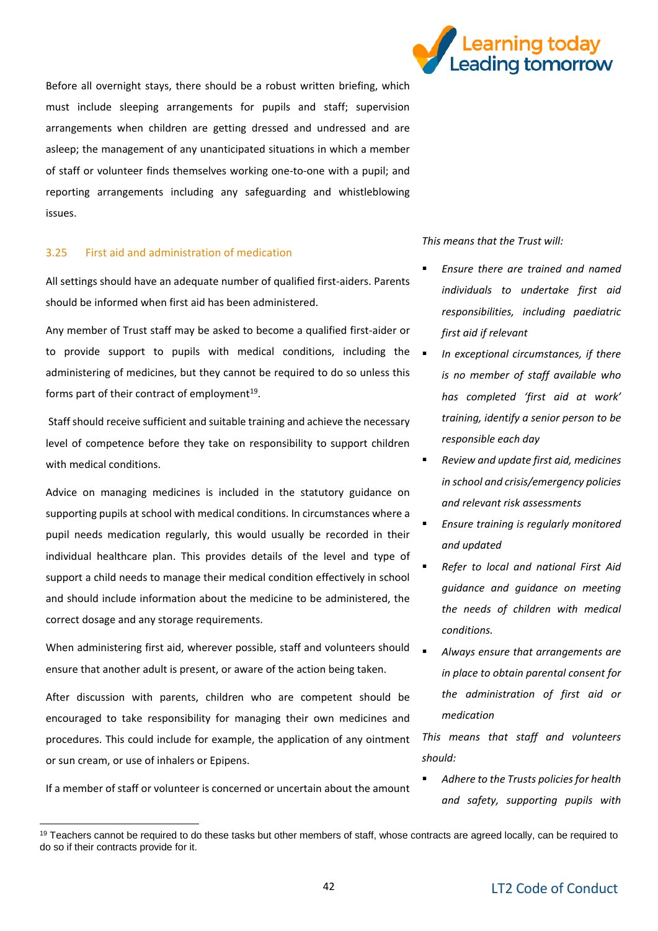

Before all overnight stays, there should be a robust written briefing, which must include sleeping arrangements for pupils and staff; supervision arrangements when children are getting dressed and undressed and are asleep; the management of any unanticipated situations in which a member of staff or volunteer finds themselves working one-to-one with a pupil; and reporting arrangements including any safeguarding and whistleblowing issues.

#### 3.25 First aid and administration of medication

All settings should have an adequate number of qualified first-aiders. Parents should be informed when first aid has been administered.

Any member of Trust staff may be asked to become a qualified first-aider or to provide support to pupils with medical conditions, including the  $\blacksquare$ administering of medicines, but they cannot be required to do so unless this forms part of their contract of employment<sup>19</sup>.

Staff should receive sufficient and suitable training and achieve the necessary level of competence before they take on responsibility to support children with medical conditions.

Advice on managing medicines is included in the statutory guidance on supporting pupils at school with medical conditions. In circumstances where a pupil needs medication regularly, this would usually be recorded in their individual healthcare plan. This provides details of the level and type of support a child needs to manage their medical condition effectively in school and should include information about the medicine to be administered, the correct dosage and any storage requirements.

When administering first aid, wherever possible, staff and volunteers should  $\Box$ ensure that another adult is present, or aware of the action being taken.

After discussion with parents, children who are competent should be encouraged to take responsibility for managing their own medicines and procedures. This could include for example, the application of any ointment or sun cream, or use of inhalers or Epipens.

If a member of staff or volunteer is concerned or uncertain about the amount

-

*This means that the Trust will:*

- *Ensure there are trained and named individuals to undertake first aid responsibilities, including paediatric first aid if relevant*
- In exceptional circumstances, if there *is no member of staff available who has completed 'first aid at work' training, identify a senior person to be responsible each day*
- *Review and update first aid, medicines in school and crisis/emergency policies and relevant risk assessments*
- *Ensure training is regularly monitored and updated*
- *Refer to local and national First Aid guidance and guidance on meeting the needs of children with medical conditions.*
- *Always ensure that arrangements are in place to obtain parental consent for the administration of first aid or medication*

*This means that staff and volunteers should:*

▪ *Adhere to the Trusts policies for health and safety, supporting pupils with* 

<sup>&</sup>lt;sup>19</sup> Teachers cannot be required to do these tasks but other members of staff, whose contracts are agreed locally, can be required to do so if their contracts provide for it.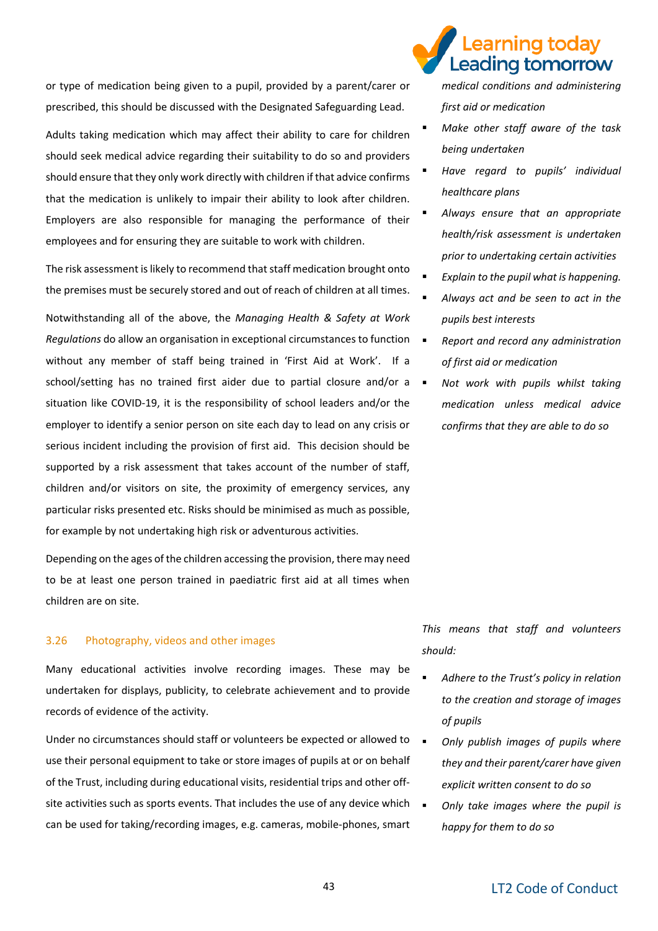or type of medication being given to a pupil, provided by a parent/carer or prescribed, this should be discussed with the Designated Safeguarding Lead.

Adults taking medication which may affect their ability to care for children should seek medical advice regarding their suitability to do so and providers should ensure that they only work directly with children if that advice confirms that the medication is unlikely to impair their ability to look after children. Employers are also responsible for managing the performance of their employees and for ensuring they are suitable to work with children.

The risk assessment is likely to recommend that staff medication brought onto the premises must be securely stored and out of reach of children at all times. Notwithstanding all of the above, the *Managing Health & Safety at Work Regulations* do allow an organisation in exceptional circumstances to function without any member of staff being trained in 'First Aid at Work'. If a school/setting has no trained first aider due to partial closure and/or a  $\blacksquare$ situation like COVID-19, it is the responsibility of school leaders and/or the employer to identify a senior person on site each day to lead on any crisis or serious incident including the provision of first aid. This decision should be supported by a risk assessment that takes account of the number of staff, children and/or visitors on site, the proximity of emergency services, any particular risks presented etc. Risks should be minimised as much as possible, for example by not undertaking high risk or adventurous activities.

Depending on the ages of the children accessing the provision, there may need to be at least one person trained in paediatric first aid at all times when children are on site.

#### 3.26 Photography, videos and other images

Many educational activities involve recording images. These may be undertaken for displays, publicity, to celebrate achievement and to provide records of evidence of the activity.

Under no circumstances should staff or volunteers be expected or allowed to use their personal equipment to take or store images of pupils at or on behalf of the Trust, including during educational visits, residential trips and other offsite activities such as sports events. That includes the use of any device which  $\Box$ can be used for taking/recording images, e.g. cameras, mobile-phones, smart

### earning today Leading tomorrow

*medical conditions and administering first aid or medication*

- **Make other staff aware of the task** *being undertaken*
- *Have regard to pupils' individual healthcare plans*
- *Always ensure that an appropriate health/risk assessment is undertaken prior to undertaking certain activities*
- *Explain to the pupil what is happening.*
- *Always act and be seen to act in the pupils best interests*
- *Report and record any administration of first aid or medication*
- Not work with pupils whilst taking *medication unless medical advice confirms that they are able to do so*

*This means that staff and volunteers should:*

- Adhere to the Trust's policy in relation *to the creation and storage of images of pupils*
- **Only publish images of pupils where** *they and their parent/carer have given explicit written consent to do so*
- *Only take images where the pupil is happy for them to do so*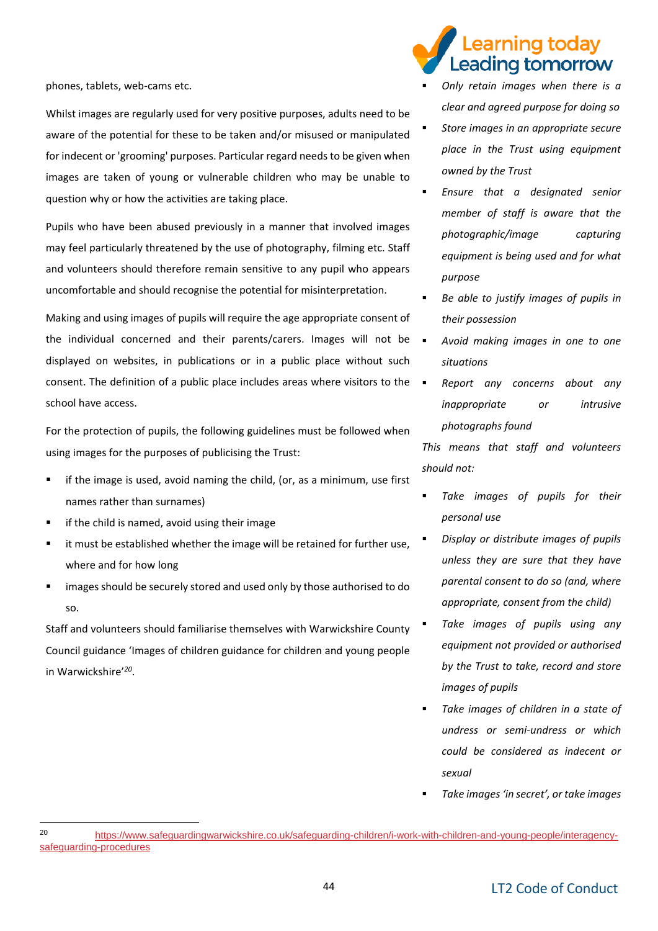phones, tablets, web-cams etc.

Whilst images are regularly used for very positive purposes, adults need to be aware of the potential for these to be taken and/or misused or manipulated for indecent or 'grooming' purposes. Particular regard needs to be given when images are taken of young or vulnerable children who may be unable to question why or how the activities are taking place.

Pupils who have been abused previously in a manner that involved images may feel particularly threatened by the use of photography, filming etc. Staff and volunteers should therefore remain sensitive to any pupil who appears uncomfortable and should recognise the potential for misinterpretation.

Making and using images of pupils will require the age appropriate consent of the individual concerned and their parents/carers. Images will not be = displayed on websites, in publications or in a public place without such consent. The definition of a public place includes areas where visitors to the school have access.

For the protection of pupils, the following guidelines must be followed when using images for the purposes of publicising the Trust:

- if the image is used, avoid naming the child, (or, as a minimum, use first names rather than surnames)
- if the child is named, avoid using their image

-

- it must be established whether the image will be retained for further use, where and for how long
- images should be securely stored and used only by those authorised to do so.

Staff and volunteers should familiarise themselves with Warwickshire County Council guidance 'Images of children guidance for children and young people in Warwickshire'*<sup>20</sup>* .

## earning today eading tomorrow

- *Only retain images when there is a clear and agreed purpose for doing so*
- *Store images in an appropriate secure place in the Trust using equipment owned by the Trust*
- Ensure that a designated senior *member of staff is aware that the photographic/image capturing equipment is being used and for what purpose*
- Be able to justify images of pupils in *their possession*
- *Avoid making images in one to one situations*
- **Report any concerns about any** *inappropriate or intrusive photographs found*

*This means that staff and volunteers should not:*

- Take images of pupils for their *personal use*
- *Display or distribute images of pupils unless they are sure that they have parental consent to do so (and, where appropriate, consent from the child)*
- Take *images of pupils using any equipment not provided or authorised by the Trust to take, record and store images of pupils*
- Take images of children in a state of *undress or semi-undress or which could be considered as indecent or sexual* 
	- *Take images 'in secret', or take images*

<sup>20</sup> [https://www.safeguardingwarwickshire.co.uk/safeguarding-children/i-work-with-children-and-young-people/interagency](https://www.safeguardingwarwickshire.co.uk/safeguarding-children/i-work-with-children-and-young-people/interagency-safeguarding-procedures)[safeguarding-procedures](https://www.safeguardingwarwickshire.co.uk/safeguarding-children/i-work-with-children-and-young-people/interagency-safeguarding-procedures)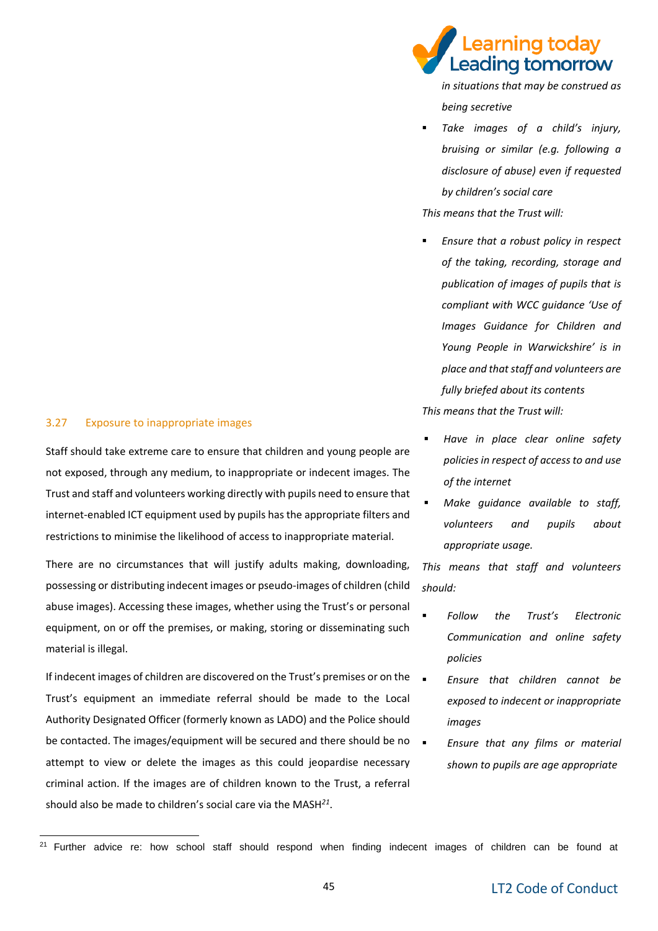#### 3.27 Exposure to inappropriate images

-

Staff should take extreme care to ensure that children and young people are not exposed, through any medium, to inappropriate or indecent images. The Trust and staff and volunteers working directly with pupils need to ensure that internet-enabled ICT equipment used by pupils has the appropriate filters and restrictions to minimise the likelihood of access to inappropriate material.

There are no circumstances that will justify adults making, downloading, possessing or distributing indecent images or pseudo-images of children (child abuse images). Accessing these images, whether using the Trust's or personal equipment, on or off the premises, or making, storing or disseminating such material is illegal.

If indecent images of children are discovered on the Trust's premises or on the  $\Box$ Trust's equipment an immediate referral should be made to the Local Authority Designated Officer (formerly known as LADO) and the Police should be contacted. The images/equipment will be secured and there should be no attempt to view or delete the images as this could jeopardise necessary criminal action. If the images are of children known to the Trust, a referral should also be made to children's social care via the MASH*<sup>21</sup>* .

earning today. Leading tomorrow

*in situations that may be construed as being secretive*

Take *images* of a child's *injury*, *bruising or similar (e.g. following a disclosure of abuse) even if requested by children's social care*

*This means that the Trust will:* 

- *Ensure that a robust policy in respect of the taking, recording, storage and publication of images of pupils that is compliant with WCC guidance 'Use of Images Guidance for Children and Young People in Warwickshire' is in place and that staff and volunteers are fully briefed about its contents This means that the Trust will:*
- *Have in place clear online safety policies in respect of access to and use of the internet*
- **Make guidance available to staff,** *volunteers and pupils about appropriate usage.*

*This means that staff and volunteers should:*

- *Follow the Trust's Electronic Communication and online safety policies*
- *Ensure that children cannot be exposed to indecent or inappropriate images*
- *Ensure that any films or material shown to pupils are age appropriate*

<sup>&</sup>lt;sup>21</sup> Further advice re: how school staff should respond when finding indecent images of children can be found at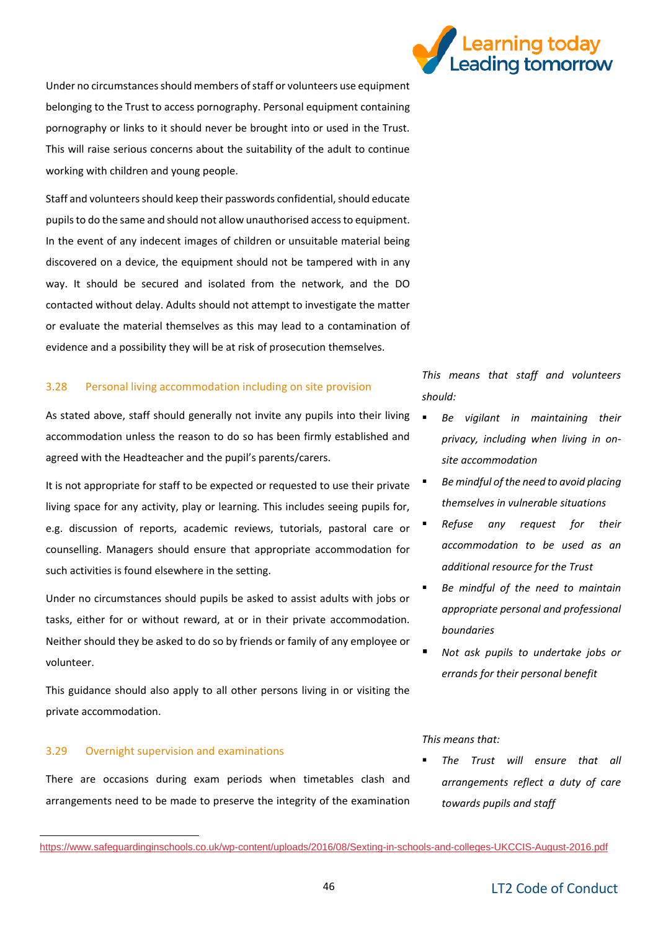

Under no circumstances should members of staff or volunteers use equipment belonging to the Trust to access pornography. Personal equipment containing pornography or links to it should never be brought into or used in the Trust. This will raise serious concerns about the suitability of the adult to continue working with children and young people.

Staff and volunteers should keep their passwords confidential, should educate pupils to do the same and should not allow unauthorised access to equipment. In the event of any indecent images of children or unsuitable material being discovered on a device, the equipment should not be tampered with in any way. It should be secured and isolated from the network, and the DO contacted without delay. Adults should not attempt to investigate the matter or evaluate the material themselves as this may lead to a contamination of evidence and a possibility they will be at risk of prosecution themselves.

#### 3.28 Personal living accommodation including on site provision

As stated above, staff should generally not invite any pupils into their living accommodation unless the reason to do so has been firmly established and agreed with the Headteacher and the pupil's parents/carers.

It is not appropriate for staff to be expected or requested to use their private living space for any activity, play or learning. This includes seeing pupils for, e.g. discussion of reports, academic reviews, tutorials, pastoral care or counselling. Managers should ensure that appropriate accommodation for such activities is found elsewhere in the setting.

Under no circumstances should pupils be asked to assist adults with jobs or tasks, either for or without reward, at or in their private accommodation. Neither should they be asked to do so by friends or family of any employee or volunteer.

This guidance should also apply to all other persons living in or visiting the private accommodation.

#### 3.29 Overnight supervision and examinations

There are occasions during exam periods when timetables clash and arrangements need to be made to preserve the integrity of the examination

*This means that staff and volunteers should:* 

- *Be vigilant in maintaining their privacy, including when living in onsite accommodation*
- Be mindful of the need to avoid placing *themselves in vulnerable situations*
- **Refuse any request for their** *accommodation to be used as an additional resource for the Trust*
- Be mindful of the need to maintain *appropriate personal and professional boundaries*
- *Not ask pupils to undertake jobs or errands for their personal benefit*

#### *This means that:*

The Trust will ensure that all *arrangements reflect a duty of care towards pupils and staff* 

<https://www.safeguardinginschools.co.uk/wp-content/uploads/2016/08/Sexting-in-schools-and-colleges-UKCCIS-August-2016.pdf>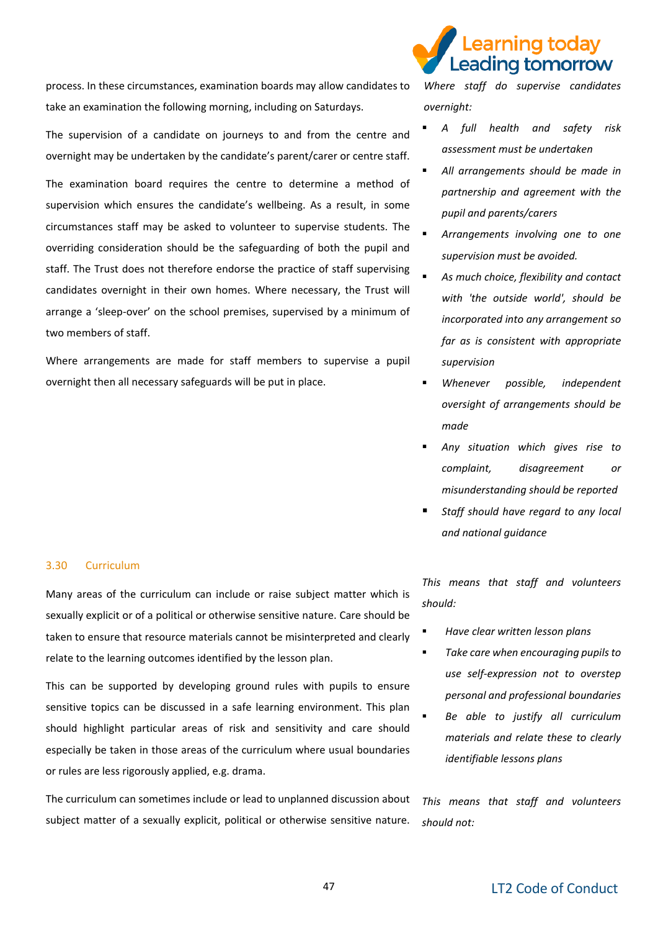process. In these circumstances, examination boards may allow candidates to take an examination the following morning, including on Saturdays.

The supervision of a candidate on journeys to and from the centre and overnight may be undertaken by the candidate's parent/carer or centre staff.

The examination board requires the centre to determine a method of supervision which ensures the candidate's wellbeing. As a result, in some circumstances staff may be asked to volunteer to supervise students. The overriding consideration should be the safeguarding of both the pupil and staff. The Trust does not therefore endorse the practice of staff supervising candidates overnight in their own homes. Where necessary, the Trust will arrange a 'sleep-over' on the school premises, supervised by a minimum of two members of staff.

Where arrangements are made for staff members to supervise a pupil overnight then all necessary safeguards will be put in place.

#### 3.30 Curriculum

Many areas of the curriculum can include or raise subject matter which is sexually explicit or of a political or otherwise sensitive nature. Care should be taken to ensure that resource materials cannot be misinterpreted and clearly relate to the learning outcomes identified by the lesson plan.

This can be supported by developing ground rules with pupils to ensure sensitive topics can be discussed in a safe learning environment. This plan should highlight particular areas of risk and sensitivity and care should especially be taken in those areas of the curriculum where usual boundaries or rules are less rigorously applied, e.g. drama.

The curriculum can sometimes include or lead to unplanned discussion about subject matter of a sexually explicit, political or otherwise sensitive nature.



*Where staff do supervise candidates overnight:* 

- *A full health and safety risk assessment must be undertaken*
- All arrangements should be made in *partnership and agreement with the pupil and parents/carers*
- Arrangements involving one to one *supervision must be avoided.*
- As much choice, flexibility and contact *with 'the outside world', should be incorporated into any arrangement so far as is consistent with appropriate supervision*
- Whenever possible, independent *oversight of arrangements should be made*
- Any situation which gives rise to *complaint, disagreement or misunderstanding should be reported*
- **Staff should have regard to any local** *and national guidance*

*This means that staff and volunteers should:*

- *Have clear written lesson plans*
	- *Take care when encouraging pupils to use self-expression not to overstep personal and professional boundaries*
	- Be able to justify all curriculum *materials and relate these to clearly identifiable lessons plans*

*This means that staff and volunteers should not:*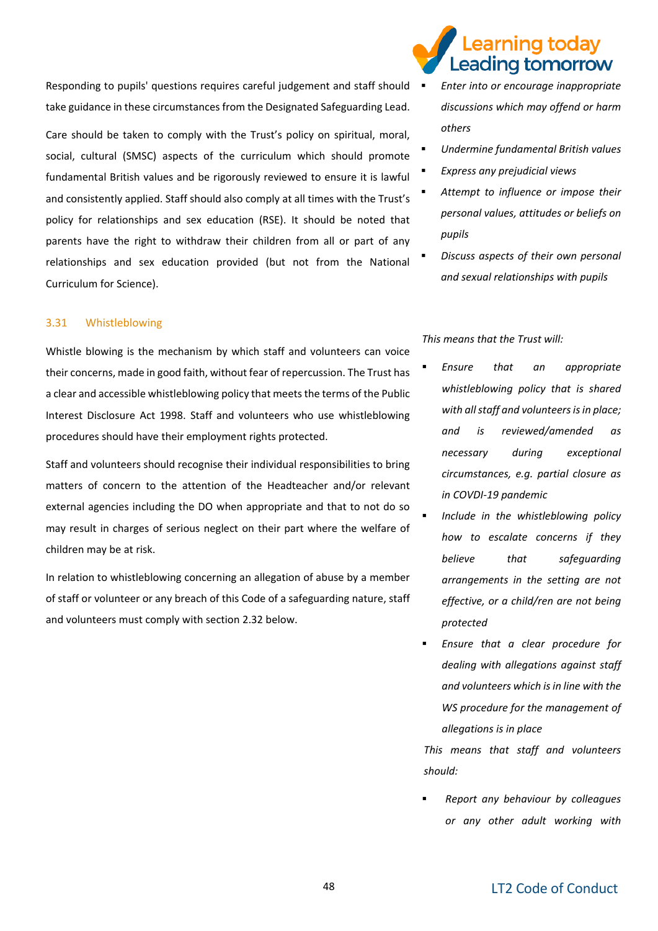Responding to pupils' questions requires careful judgement and staff should  $\blacksquare$ take guidance in these circumstances from the Designated Safeguarding Lead.

Care should be taken to comply with the Trust's policy on spiritual, moral, social, cultural (SMSC) aspects of the curriculum which should promote fundamental British values and be rigorously reviewed to ensure it is lawful and consistently applied. Staff should also comply at all times with the Trust's policy for relationships and sex education (RSE). It should be noted that parents have the right to withdraw their children from all or part of any relationships and sex education provided (but not from the National Curriculum for Science).

#### 3.31 Whistleblowing

Whistle blowing is the mechanism by which staff and volunteers can voice their concerns, made in good faith, without fear of repercussion. The Trust has a clear and accessible whistleblowing policy that meets the terms of the Public Interest Disclosure Act 1998. Staff and volunteers who use whistleblowing procedures should have their employment rights protected.

Staff and volunteers should recognise their individual responsibilities to bring matters of concern to the attention of the Headteacher and/or relevant external agencies including the DO when appropriate and that to not do so may result in charges of serious neglect on their part where the welfare of children may be at risk.

In relation to whistleblowing concerning an allegation of abuse by a member of staff or volunteer or any breach of this Code of a safeguarding nature, staff and volunteers must comply with section 2.32 below.

### earning todav. Leading tomorrow

- *Enter into or encourage inappropriate discussions which may offend or harm others*
- *Undermine fundamental British values*
- *Express any prejudicial views*
- Attempt to *influence* or *impose* their *personal values, attitudes or beliefs on pupils*
- *Discuss aspects of their own personal and sexual relationships with pupils*

*This means that the Trust will:*

- Ensure that an appropriate *whistleblowing policy that is shared with all staff and volunteers is in place; and is reviewed/amended as necessary during exceptional circumstances, e.g. partial closure as in COVDI-19 pandemic*
- Include in the whistleblowing policy *how to escalate concerns if they believe that safeguarding arrangements in the setting are not effective, or a child/ren are not being protected*
- Ensure that a clear procedure for *dealing with allegations against staff and volunteers which is in line with the WS procedure for the management of allegations is in place*

*This means that staff and volunteers should:*

▪ *Report any behaviour by colleagues or any other adult working with*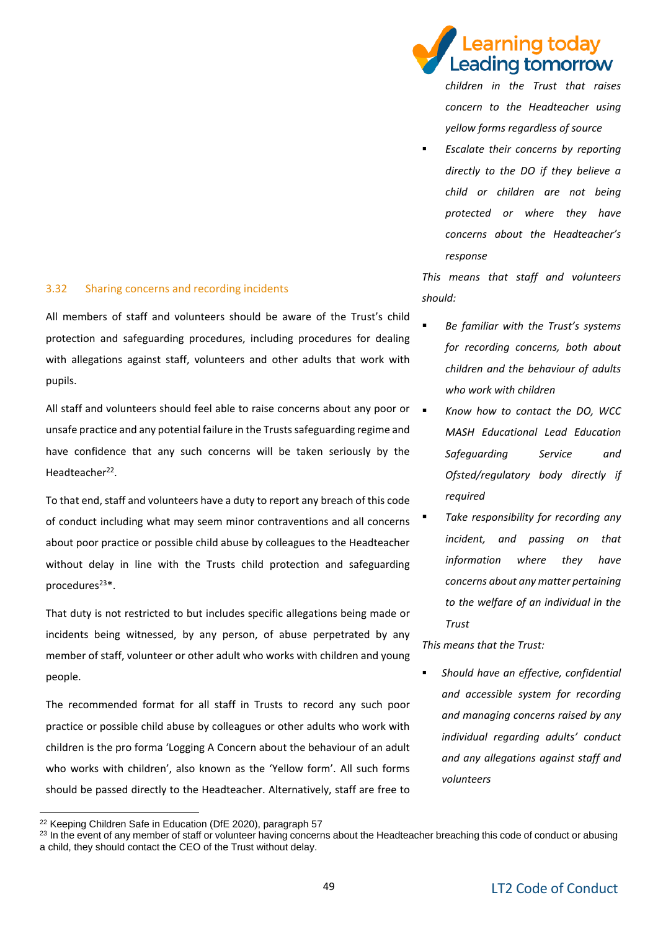#### 3.32 Sharing concerns and recording incidents

All members of staff and volunteers should be aware of the Trust's child protection and safeguarding procedures, including procedures for dealing with allegations against staff, volunteers and other adults that work with pupils.

All staff and volunteers should feel able to raise concerns about any poor or unsafe practice and any potential failure in the Trusts safeguarding regime and have confidence that any such concerns will be taken seriously by the Headteacher<sup>22</sup>.

To that end, staff and volunteers have a duty to report any breach of this code of conduct including what may seem minor contraventions and all concerns about poor practice or possible child abuse by colleagues to the Headteacher without delay in line with the Trusts child protection and safeguarding procedures<sup>23\*</sup>.

That duty is not restricted to but includes specific allegations being made or incidents being witnessed, by any person, of abuse perpetrated by any member of staff, volunteer or other adult who works with children and young people.

The recommended format for all staff in Trusts to record any such poor practice or possible child abuse by colleagues or other adults who work with children is the pro forma 'Logging A Concern about the behaviour of an adult who works with children', also known as the 'Yellow form'. All such forms should be passed directly to the Headteacher. Alternatively, staff are free to earning todav

▪ *Escalate their concerns by reporting directly to the DO if they believe a child or children are not being protected or where they have concerns about the Headteacher's response*

*This means that staff and volunteers should:*

- **Be familiar with the Trust's systems** *for recording concerns, both about children and the behaviour of adults who work with children*
- *Know how to contact the DO, WCC MASH Educational Lead Education Safeguarding Service and Ofsted/regulatory body directly if required*
- *Take responsibility for recording any incident, and passing on that information where they have concerns about any matter pertaining to the welfare of an individual in the Trust*

*This means that the Trust:*

▪ *Should have an effective, confidential and accessible system for recording and managing concerns raised by any individual regarding adults' conduct and any allegations against staff and volunteers* 

-

eading tomorrow *children in the Trust that raises concern to the Headteacher using yellow forms regardless of source*

<sup>&</sup>lt;sup>22</sup> Keeping Children Safe in Education (DfE 2020), paragraph 57

<sup>&</sup>lt;sup>23</sup> In the event of any member of staff or volunteer having concerns about the Headteacher breaching this code of conduct or abusing a child, they should contact the CEO of the Trust without delay.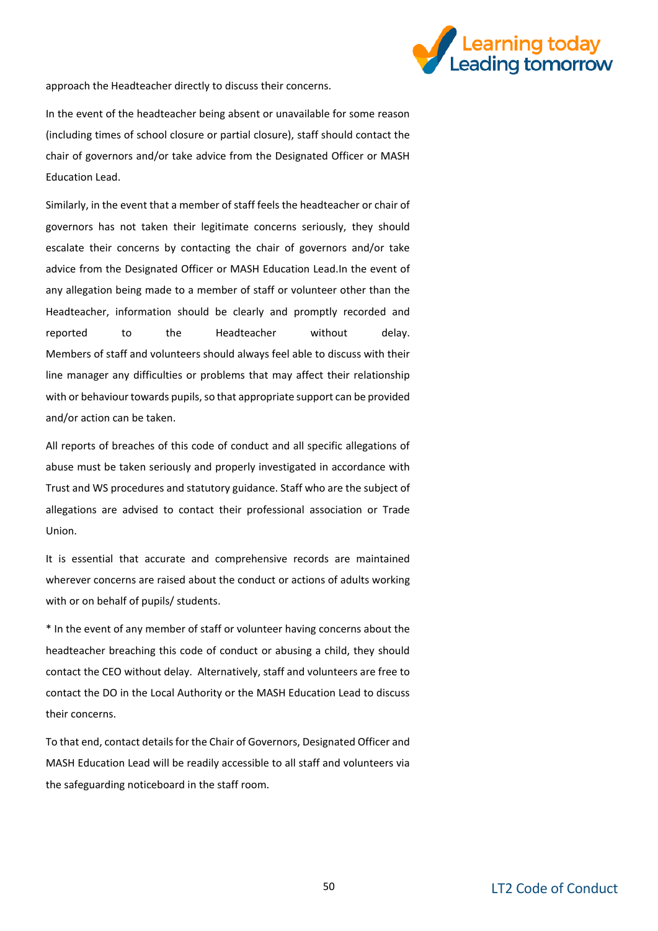

approach the Headteacher directly to discuss their concerns.

In the event of the headteacher being absent or unavailable for some reason (including times of school closure or partial closure), staff should contact the chair of governors and/or take advice from the Designated Officer or MASH Education Lead.

Similarly, in the event that a member of staff feels the headteacher or chair of governors has not taken their legitimate concerns seriously, they should escalate their concerns by contacting the chair of governors and/or take advice from the Designated Officer or MASH Education Lead.In the event of any allegation being made to a member of staff or volunteer other than the Headteacher, information should be clearly and promptly recorded and reported to the Headteacher without delay. Members of staff and volunteers should always feel able to discuss with their line manager any difficulties or problems that may affect their relationship with or behaviour towards pupils, so that appropriate support can be provided and/or action can be taken.

All reports of breaches of this code of conduct and all specific allegations of abuse must be taken seriously and properly investigated in accordance with Trust and WS procedures and statutory guidance. Staff who are the subject of allegations are advised to contact their professional association or Trade Union.

It is essential that accurate and comprehensive records are maintained wherever concerns are raised about the conduct or actions of adults working with or on behalf of pupils/ students.

\* In the event of any member of staff or volunteer having concerns about the headteacher breaching this code of conduct or abusing a child, they should contact the CEO without delay. Alternatively, staff and volunteers are free to contact the DO in the Local Authority or the MASH Education Lead to discuss their concerns.

To that end, contact details for the Chair of Governors, Designated Officer and MASH Education Lead will be readily accessible to all staff and volunteers via the safeguarding noticeboard in the staff room.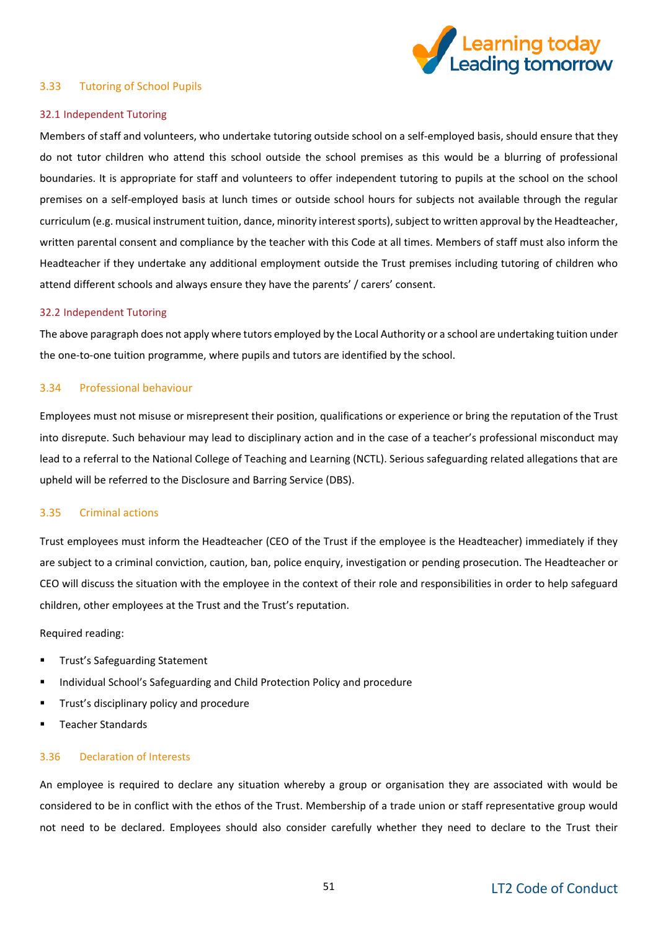

#### 3.33 Tutoring of School Pupils

#### 32.1 Independent Tutoring

Members of staff and volunteers, who undertake tutoring outside school on a self-employed basis, should ensure that they do not tutor children who attend this school outside the school premises as this would be a blurring of professional boundaries. It is appropriate for staff and volunteers to offer independent tutoring to pupils at the school on the school premises on a self-employed basis at lunch times or outside school hours for subjects not available through the regular curriculum (e.g. musical instrument tuition, dance, minority interest sports), subject to written approval by the Headteacher, written parental consent and compliance by the teacher with this Code at all times. Members of staff must also inform the Headteacher if they undertake any additional employment outside the Trust premises including tutoring of children who attend different schools and always ensure they have the parents' / carers' consent.

#### 32.2 Independent Tutoring

The above paragraph does not apply where tutors employed by the Local Authority or a school are undertaking tuition under the one-to-one tuition programme, where pupils and tutors are identified by the school.

#### 3.34 Professional behaviour

Employees must not misuse or misrepresent their position, qualifications or experience or bring the reputation of the Trust into disrepute. Such behaviour may lead to disciplinary action and in the case of a teacher's professional misconduct may lead to a referral to the National College of Teaching and Learning (NCTL). Serious safeguarding related allegations that are upheld will be referred to the Disclosure and Barring Service (DBS).

#### 3.35 Criminal actions

Trust employees must inform the Headteacher (CEO of the Trust if the employee is the Headteacher) immediately if they are subject to a criminal conviction, caution, ban, police enquiry, investigation or pending prosecution. The Headteacher or CEO will discuss the situation with the employee in the context of their role and responsibilities in order to help safeguard children, other employees at the Trust and the Trust's reputation.

#### Required reading:

- Trust's Safeguarding Statement
- Individual School's Safeguarding and Child Protection Policy and procedure
- Trust's disciplinary policy and procedure
- Teacher Standards

#### 3.36 Declaration of Interests

An employee is required to declare any situation whereby a group or organisation they are associated with would be considered to be in conflict with the ethos of the Trust. Membership of a trade union or staff representative group would not need to be declared. Employees should also consider carefully whether they need to declare to the Trust their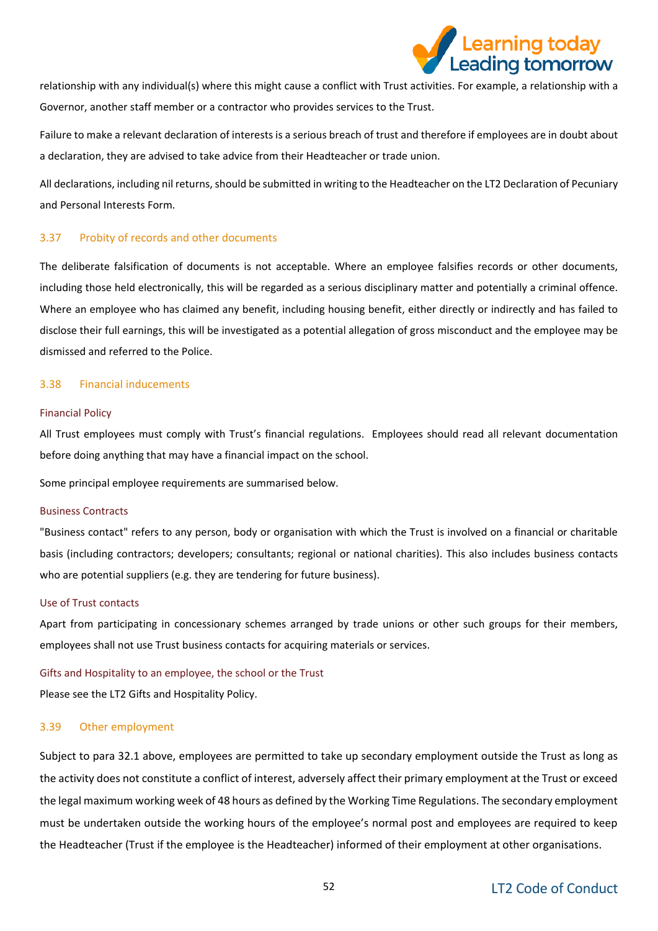

relationship with any individual(s) where this might cause a conflict with Trust activities. For example, a relationship with a Governor, another staff member or a contractor who provides services to the Trust.

Failure to make a relevant declaration of interests is a serious breach of trust and therefore if employees are in doubt about a declaration, they are advised to take advice from their Headteacher or trade union.

All declarations, including nil returns, should be submitted in writing to the Headteacher on the LT2 Declaration of Pecuniary and Personal Interests Form.

#### 3.37 Probity of records and other documents

The deliberate falsification of documents is not acceptable. Where an employee falsifies records or other documents, including those held electronically, this will be regarded as a serious disciplinary matter and potentially a criminal offence. Where an employee who has claimed any benefit, including housing benefit, either directly or indirectly and has failed to disclose their full earnings, this will be investigated as a potential allegation of gross misconduct and the employee may be dismissed and referred to the Police.

#### 3.38 Financial inducements

#### Financial Policy

All Trust employees must comply with Trust's financial regulations. Employees should read all relevant documentation before doing anything that may have a financial impact on the school.

Some principal employee requirements are summarised below.

#### Business Contracts

"Business contact" refers to any person, body or organisation with which the Trust is involved on a financial or charitable basis (including contractors; developers; consultants; regional or national charities). This also includes business contacts who are potential suppliers (e.g. they are tendering for future business).

#### Use of Trust contacts

Apart from participating in concessionary schemes arranged by trade unions or other such groups for their members, employees shall not use Trust business contacts for acquiring materials or services.

#### Gifts and Hospitality to an employee, the school or the Trust

Please see the LT2 Gifts and Hospitality Policy.

#### 3.39 Other employment

Subject to para 32.1 above, employees are permitted to take up secondary employment outside the Trust as long as the activity does not constitute a conflict of interest, adversely affect their primary employment at the Trust or exceed the legal maximum working week of 48 hours as defined by the Working Time Regulations. The secondary employment must be undertaken outside the working hours of the employee's normal post and employees are required to keep the Headteacher (Trust if the employee is the Headteacher) informed of their employment at other organisations.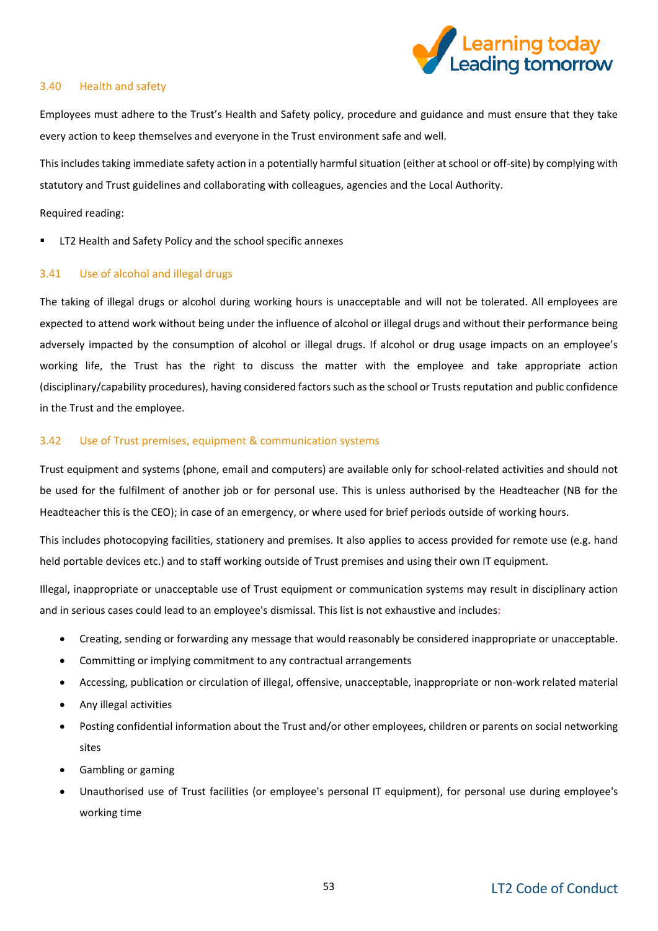

#### 3.40 Health and safety

Employees must adhere to the Trust's Health and Safety policy, procedure and guidance and must ensure that they take every action to keep themselves and everyone in the Trust environment safe and well.

This includes taking immediate safety action in a potentially harmful situation (either at school or off-site) by complying with statutory and Trust guidelines and collaborating with colleagues, agencies and the Local Authority.

Required reading:

LT2 Health and Safety Policy and the school specific annexes

#### 3.41 Use of alcohol and illegal drugs

The taking of illegal drugs or alcohol during working hours is unacceptable and will not be tolerated. All employees are expected to attend work without being under the influence of alcohol or illegal drugs and without their performance being adversely impacted by the consumption of alcohol or illegal drugs. If alcohol or drug usage impacts on an employee's working life, the Trust has the right to discuss the matter with the employee and take appropriate action (disciplinary/capability procedures), having considered factors such as the school or Trusts reputation and public confidence in the Trust and the employee.

#### 3.42 Use of Trust premises, equipment & communication systems

Trust equipment and systems (phone, email and computers) are available only for school-related activities and should not be used for the fulfilment of another job or for personal use. This is unless authorised by the Headteacher (NB for the Headteacher this is the CEO); in case of an emergency, or where used for brief periods outside of working hours.

This includes photocopying facilities, stationery and premises. It also applies to access provided for remote use (e.g. hand held portable devices etc.) and to staff working outside of Trust premises and using their own IT equipment.

Illegal, inappropriate or unacceptable use of Trust equipment or communication systems may result in disciplinary action and in serious cases could lead to an employee's dismissal. This list is not exhaustive and includes:

- Creating, sending or forwarding any message that would reasonably be considered inappropriate or unacceptable.
- Committing or implying commitment to any contractual arrangements
- Accessing, publication or circulation of illegal, offensive, unacceptable, inappropriate or non-work related material
- Any illegal activities
- Posting confidential information about the Trust and/or other employees, children or parents on social networking sites
- Gambling or gaming
- Unauthorised use of Trust facilities (or employee's personal IT equipment), for personal use during employee's working time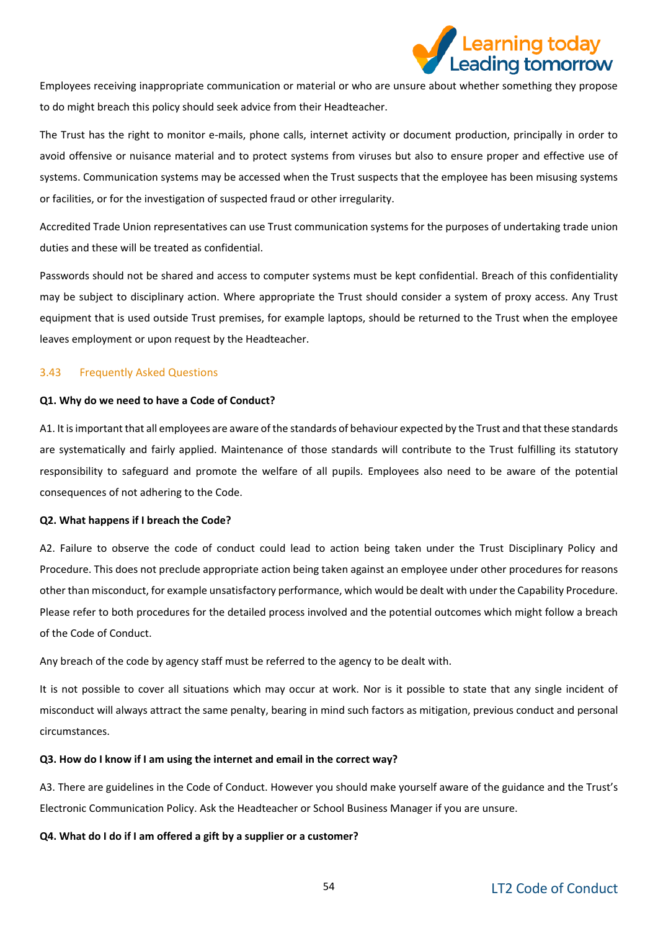

Employees receiving inappropriate communication or material or who are unsure about whether something they propose to do might breach this policy should seek advice from their Headteacher.

The Trust has the right to monitor e-mails, phone calls, internet activity or document production, principally in order to avoid offensive or nuisance material and to protect systems from viruses but also to ensure proper and effective use of systems. Communication systems may be accessed when the Trust suspects that the employee has been misusing systems or facilities, or for the investigation of suspected fraud or other irregularity.

Accredited Trade Union representatives can use Trust communication systems for the purposes of undertaking trade union duties and these will be treated as confidential.

Passwords should not be shared and access to computer systems must be kept confidential. Breach of this confidentiality may be subject to disciplinary action. Where appropriate the Trust should consider a system of proxy access. Any Trust equipment that is used outside Trust premises, for example laptops, should be returned to the Trust when the employee leaves employment or upon request by the Headteacher.

#### 3.43 Frequently Asked Questions

#### **Q1. Why do we need to have a Code of Conduct?**

A1. It is important that all employees are aware of the standards of behaviour expected by the Trust and that these standards are systematically and fairly applied. Maintenance of those standards will contribute to the Trust fulfilling its statutory responsibility to safeguard and promote the welfare of all pupils. Employees also need to be aware of the potential consequences of not adhering to the Code.

#### **Q2. What happens if I breach the Code?**

A2. Failure to observe the code of conduct could lead to action being taken under the Trust Disciplinary Policy and Procedure. This does not preclude appropriate action being taken against an employee under other procedures for reasons other than misconduct, for example unsatisfactory performance, which would be dealt with under the Capability Procedure. Please refer to both procedures for the detailed process involved and the potential outcomes which might follow a breach of the Code of Conduct.

Any breach of the code by agency staff must be referred to the agency to be dealt with.

It is not possible to cover all situations which may occur at work. Nor is it possible to state that any single incident of misconduct will always attract the same penalty, bearing in mind such factors as mitigation, previous conduct and personal circumstances.

#### **Q3. How do I know if I am using the internet and email in the correct way?**

A3. There are guidelines in the Code of Conduct. However you should make yourself aware of the guidance and the Trust's Electronic Communication Policy. Ask the Headteacher or School Business Manager if you are unsure.

**Q4. What do I do if I am offered a gift by a supplier or a customer?**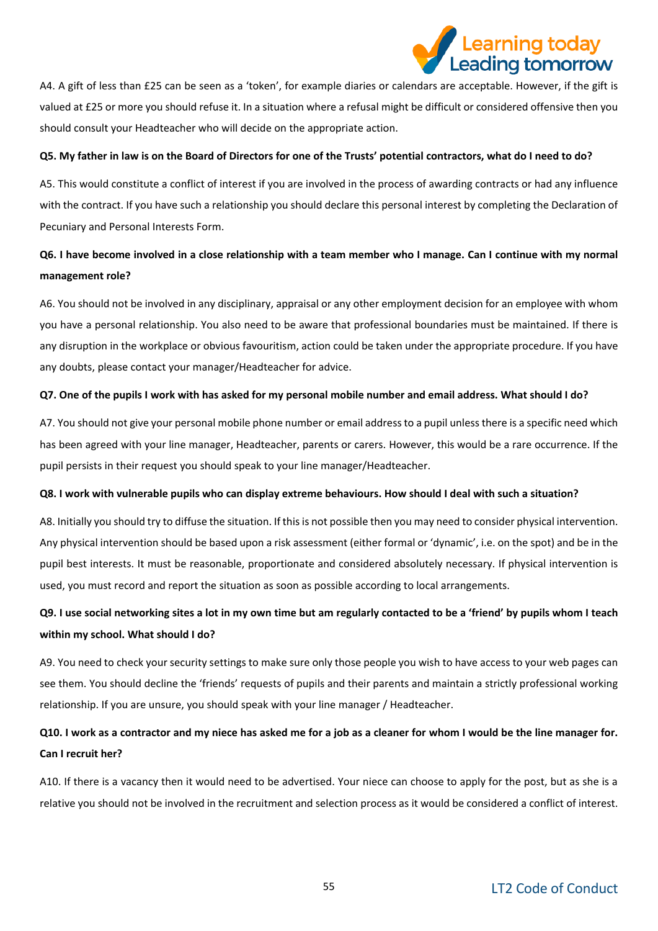# earning today.

A4. A gift of less than £25 can be seen as a 'token', for example diaries or calendars are acceptable. However, if the gift is valued at £25 or more you should refuse it. In a situation where a refusal might be difficult or considered offensive then you should consult your Headteacher who will decide on the appropriate action.

#### **Q5. My father in law is on the Board of Directors for one of the Trusts' potential contractors, what do I need to do?**

A5. This would constitute a conflict of interest if you are involved in the process of awarding contracts or had any influence with the contract. If you have such a relationship you should declare this personal interest by completing the Declaration of Pecuniary and Personal Interests Form.

### **Q6. I have become involved in a close relationship with a team member who I manage. Can I continue with my normal management role?**

A6. You should not be involved in any disciplinary, appraisal or any other employment decision for an employee with whom you have a personal relationship. You also need to be aware that professional boundaries must be maintained. If there is any disruption in the workplace or obvious favouritism, action could be taken under the appropriate procedure. If you have any doubts, please contact your manager/Headteacher for advice.

#### **Q7. One of the pupils I work with has asked for my personal mobile number and email address. What should I do?**

A7. You should not give your personal mobile phone number or email address to a pupil unless there is a specific need which has been agreed with your line manager, Headteacher, parents or carers. However, this would be a rare occurrence. If the pupil persists in their request you should speak to your line manager/Headteacher.

#### **Q8. I work with vulnerable pupils who can display extreme behaviours. How should I deal with such a situation?**

A8. Initially you should try to diffuse the situation. If this is not possible then you may need to consider physical intervention. Any physical intervention should be based upon a risk assessment (either formal or 'dynamic', i.e. on the spot) and be in the pupil best interests. It must be reasonable, proportionate and considered absolutely necessary. If physical intervention is used, you must record and report the situation as soon as possible according to local arrangements.

### **Q9. I use social networking sites a lot in my own time but am regularly contacted to be a 'friend' by pupils whom I teach within my school. What should I do?**

A9. You need to check your security settings to make sure only those people you wish to have access to your web pages can see them. You should decline the 'friends' requests of pupils and their parents and maintain a strictly professional working relationship. If you are unsure, you should speak with your line manager / Headteacher.

### **Q10. I work as a contractor and my niece has asked me for a job as a cleaner for whom I would be the line manager for. Can I recruit her?**

A10. If there is a vacancy then it would need to be advertised. Your niece can choose to apply for the post, but as she is a relative you should not be involved in the recruitment and selection process as it would be considered a conflict of interest.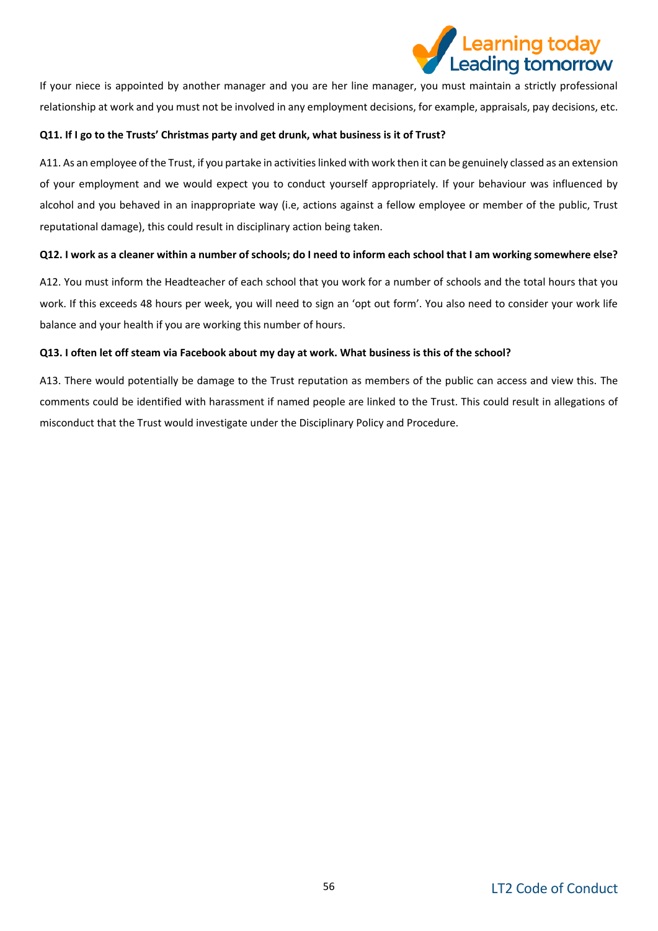

If your niece is appointed by another manager and you are her line manager, you must maintain a strictly professional relationship at work and you must not be involved in any employment decisions, for example, appraisals, pay decisions, etc.

#### **Q11. If I go to the Trusts' Christmas party and get drunk, what business is it of Trust?**

A11. As an employee of the Trust, if you partake in activities linked with work then it can be genuinely classed as an extension of your employment and we would expect you to conduct yourself appropriately. If your behaviour was influenced by alcohol and you behaved in an inappropriate way (i.e, actions against a fellow employee or member of the public, Trust reputational damage), this could result in disciplinary action being taken.

#### **Q12. I work as a cleaner within a number of schools; do I need to inform each school that I am working somewhere else?**

A12. You must inform the Headteacher of each school that you work for a number of schools and the total hours that you work. If this exceeds 48 hours per week, you will need to sign an 'opt out form'. You also need to consider your work life balance and your health if you are working this number of hours.

#### **Q13. I often let off steam via Facebook about my day at work. What business is this of the school?**

A13. There would potentially be damage to the Trust reputation as members of the public can access and view this. The comments could be identified with harassment if named people are linked to the Trust. This could result in allegations of misconduct that the Trust would investigate under the Disciplinary Policy and Procedure.